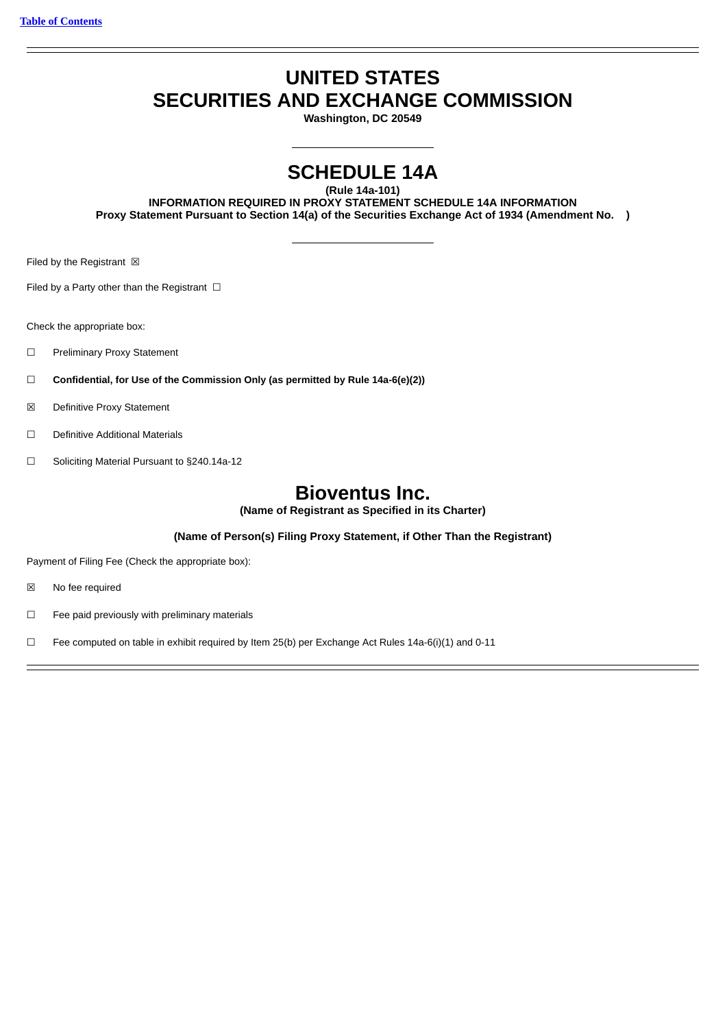# **UNITED STATES SECURITIES AND EXCHANGE COMMISSION**

**Washington, DC 20549**

# **SCHEDULE 14A**

**(Rule 14a-101)**

**INFORMATION REQUIRED IN PROXY STATEMENT SCHEDULE 14A INFORMATION Proxy Statement Pursuant to Section 14(a) of the Securities Exchange Act of 1934 (Amendment No. )**

Filed by the Registrant  $\boxtimes$ 

Filed by a Party other than the Registrant  $□$ 

Check the appropriate box:

- ☐ Preliminary Proxy Statement
- ☐ **Confidential, for Use of the Commission Only (as permitted by Rule 14a-6(e)(2))**
- ☒ Definitive Proxy Statement
- ☐ Definitive Additional Materials
- ☐ Soliciting Material Pursuant to §240.14a-12

# **Bioventus Inc.**

**(Name of Registrant as Specified in its Charter)**

**(Name of Person(s) Filing Proxy Statement, if Other Than the Registrant)**

Payment of Filing Fee (Check the appropriate box):

- ☒ No fee required
- ☐ Fee paid previously with preliminary materials
- □ Fee computed on table in exhibit required by Item 25(b) per Exchange Act Rules 14a-6(i)(1) and 0-11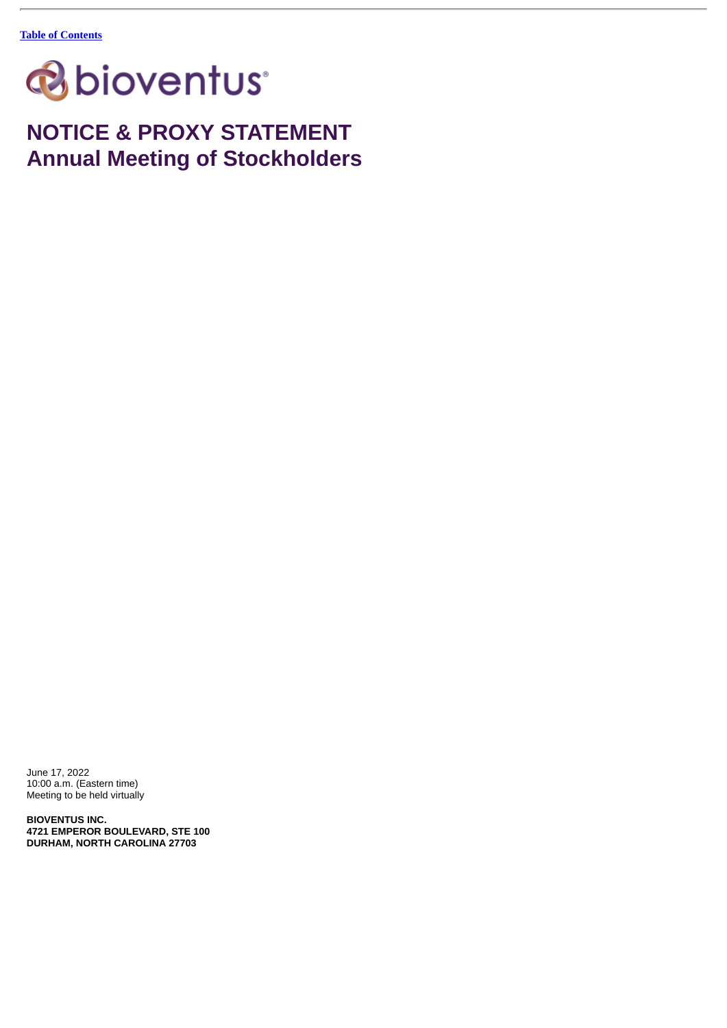

**NOTICE & PROXY STATEMENT Annual Meeting of Stockholders**

June 17, 2022 10:00 a.m. (Eastern time) Meeting to be held virtually

**BIOVENTUS INC. 4721 EMPEROR BOULEVARD, STE 100 DURHAM, NORTH CAROLINA 27703**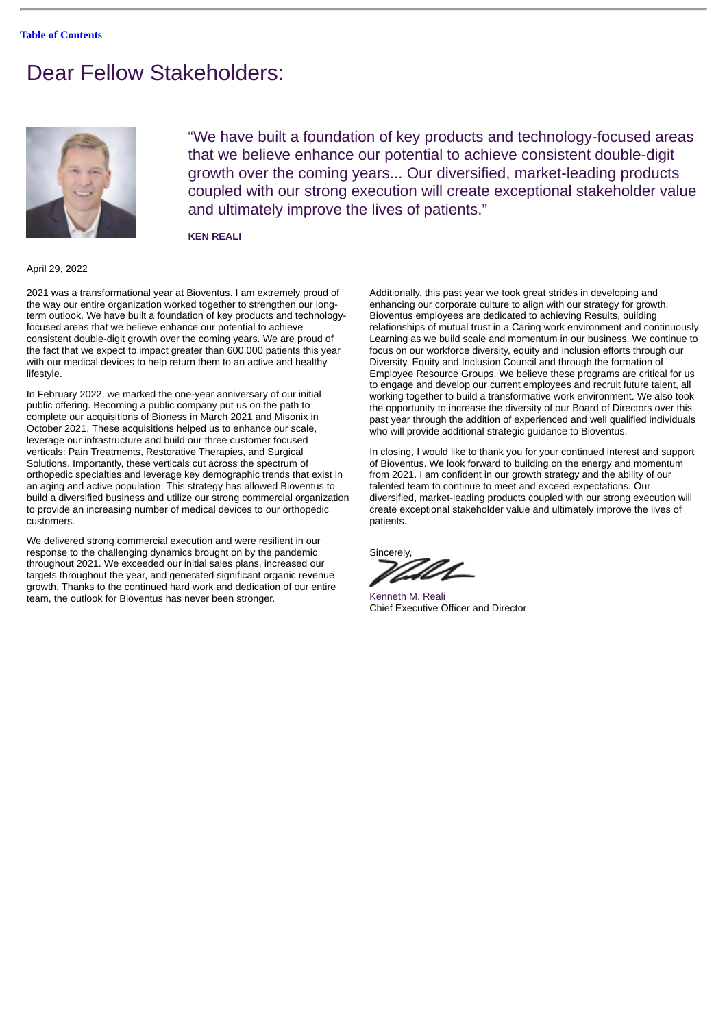# Dear Fellow Stakeholders:



"We have built a foundation of key products and technology-focused areas that we believe enhance our potential to achieve consistent double-digit growth over the coming years... Our diversified, market-leading products coupled with our strong execution will create exceptional stakeholder value and ultimately improve the lives of patients."

**KEN REALI**

#### April 29, 2022

2021 was a transformational year at Bioventus. I am extremely proud of the way our entire organization worked together to strengthen our longterm outlook. We have built a foundation of key products and technologyfocused areas that we believe enhance our potential to achieve consistent double-digit growth over the coming years. We are proud of the fact that we expect to impact greater than 600,000 patients this year with our medical devices to help return them to an active and healthy lifestyle.

In February 2022, we marked the one-year anniversary of our initial public offering. Becoming a public company put us on the path to complete our acquisitions of Bioness in March 2021 and Misonix in October 2021. These acquisitions helped us to enhance our scale, leverage our infrastructure and build our three customer focused verticals: Pain Treatments, Restorative Therapies, and Surgical Solutions. Importantly, these verticals cut across the spectrum of orthopedic specialties and leverage key demographic trends that exist in an aging and active population. This strategy has allowed Bioventus to build a diversified business and utilize our strong commercial organization to provide an increasing number of medical devices to our orthopedic customers.

We delivered strong commercial execution and were resilient in our response to the challenging dynamics brought on by the pandemic throughout 2021. We exceeded our initial sales plans, increased our targets throughout the year, and generated significant organic revenue growth. Thanks to the continued hard work and dedication of our entire team, the outlook for Bioventus has never been stronger.

Additionally, this past year we took great strides in developing and enhancing our corporate culture to align with our strategy for growth. Bioventus employees are dedicated to achieving Results, building relationships of mutual trust in a Caring work environment and continuously Learning as we build scale and momentum in our business. We continue to focus on our workforce diversity, equity and inclusion efforts through our Diversity, Equity and Inclusion Council and through the formation of Employee Resource Groups. We believe these programs are critical for us to engage and develop our current employees and recruit future talent, all working together to build a transformative work environment. We also took the opportunity to increase the diversity of our Board of Directors over this past year through the addition of experienced and well qualified individuals who will provide additional strategic guidance to Bioventus.

In closing, I would like to thank you for your continued interest and support of Bioventus. We look forward to building on the energy and momentum from 2021. I am confident in our growth strategy and the ability of our talented team to continue to meet and exceed expectations. Our diversified, market-leading products coupled with our strong execution will create exceptional stakeholder value and ultimately improve the lives of patients.

Sincerely,

Kenneth M. Reali Chief Executive Officer and Director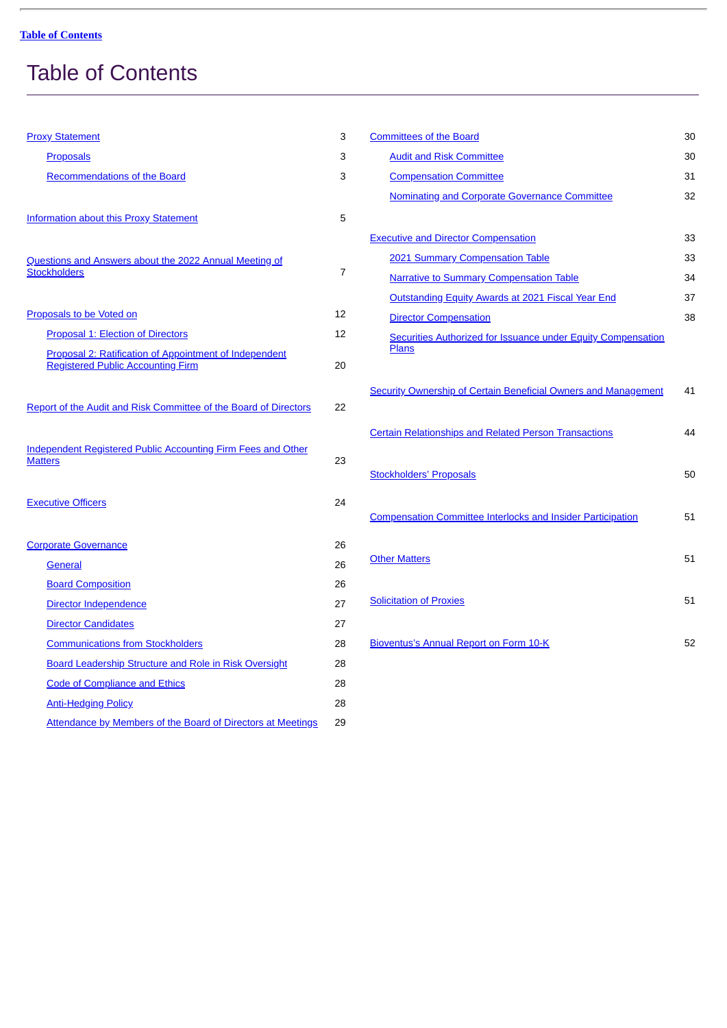# <span id="page-3-0"></span>Table of Contents

| <b>Proxy Statement</b>                                                                             | 3              |
|----------------------------------------------------------------------------------------------------|----------------|
| <b>Proposals</b>                                                                                   | 3              |
| Recommendations of the Board                                                                       | 3              |
| <b>Information about this Proxy Statement</b>                                                      | 5              |
| Questions and Answers about the 2022 Annual Meeting of<br><b>Stockholders</b>                      | $\overline{7}$ |
| Proposals to be Voted on                                                                           | 12             |
| <b>Proposal 1: Election of Directors</b>                                                           | 12             |
| Proposal 2: Ratification of Appointment of Independent<br><b>Registered Public Accounting Firm</b> | 20             |
| Report of the Audit and Risk Committee of the Board of Directors                                   | 22             |
| Independent Registered Public Accounting Firm Fees and Other<br><b>Matters</b>                     | 23             |
| <b>Executive Officers</b>                                                                          | 24             |
| <b>Corporate Governance</b>                                                                        | 26             |
| <b>General</b>                                                                                     | 26             |
| <b>Board Composition</b>                                                                           | 26             |
| Director Independence                                                                              | 27             |
| <b>Director Candidates</b>                                                                         | 27             |
| <b>Communications from Stockholders</b>                                                            | 28             |
| Board Leadership Structure and Role in Risk Oversight                                              | 28             |
| <b>Code of Compliance and Ethics</b>                                                               | 28             |
| <b>Anti-Hedging Policy</b>                                                                         | 28             |
| Attendance by Members of the Board of Directors at Meetings                                        | 29             |

| <b>Committees of the Board</b>                                               | 30 |
|------------------------------------------------------------------------------|----|
| <b>Audit and Risk Committee</b>                                              | 30 |
| <b>Compensation Committee</b>                                                | 31 |
| Nominating and Corporate Governance Committee                                | 32 |
|                                                                              |    |
| <b>Executive and Director Compensation</b>                                   | 33 |
| 2021 Summary Compensation Table                                              | 33 |
| <b>Narrative to Summary Compensation Table</b>                               | 34 |
| Outstanding Equity Awards at 2021 Fiscal Year End                            | 37 |
| <b>Director Compensation</b>                                                 | 38 |
| Securities Authorized for Issuance under Equity Compensation<br><b>Plans</b> |    |
|                                                                              |    |
|                                                                              | 41 |
| Security Ownership of Certain Beneficial Owners and Management               |    |
|                                                                              | 44 |
| <b>Certain Relationships and Related Person Transactions</b>                 |    |
|                                                                              |    |
| <b>Stockholders' Proposals</b>                                               | 50 |
|                                                                              |    |
| <b>Compensation Committee Interlocks and Insider Participation</b>           | 51 |
|                                                                              |    |
| <b>Other Matters</b>                                                         | 51 |
|                                                                              |    |
| <b>Solicitation of Proxies</b>                                               | 51 |
|                                                                              |    |
| <b>Bioventus's Annual Report on Form 10-K</b>                                | 52 |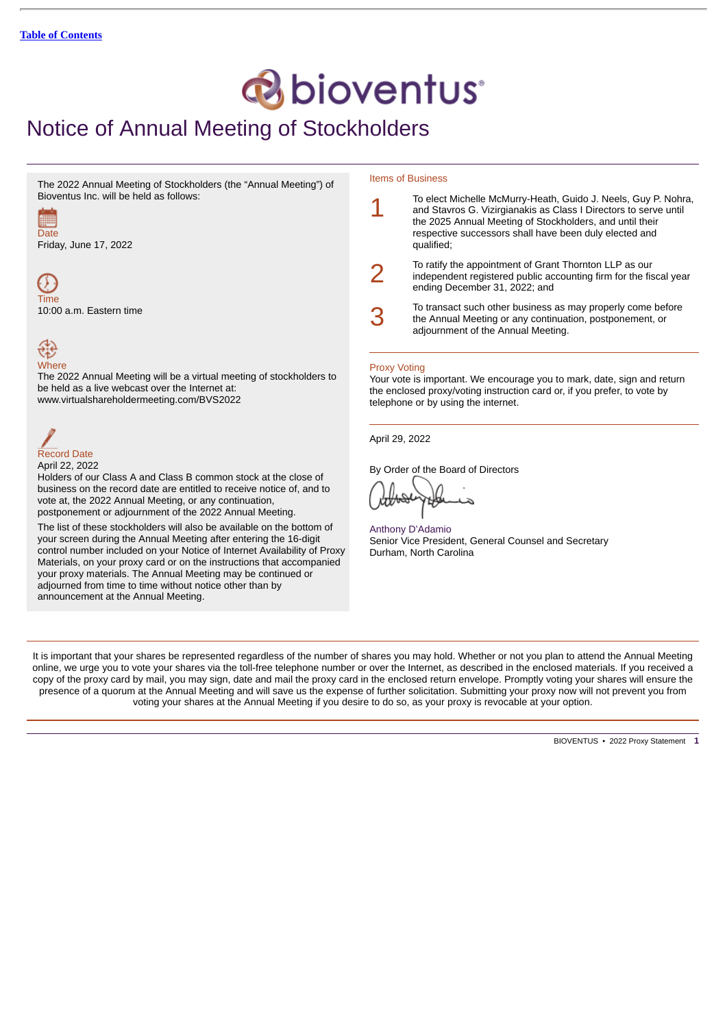# *C* bioventus<sup>®</sup>

# Notice of Annual Meeting of Stockholders

The 2022 Annual Meeting of Stockholders (the "Annual Meeting") of Bioventus Inc. will be held as follows:



Friday, June 17, 2022



10:00 a.m. Eastern time

# 숂 **Where**

The 2022 Annual Meeting will be a virtual meeting of stockholders to be held as a live webcast over the Internet at: www.virtualshareholdermeeting.com/BVS2022

Record Date

April 22, 2022

Holders of our Class A and Class B common stock at the close of business on the record date are entitled to receive notice of, and to vote at, the 2022 Annual Meeting, or any continuation, postponement or adjournment of the 2022 Annual Meeting.

The list of these stockholders will also be available on the bottom of your screen during the Annual Meeting after entering the 16-digit control number included on your Notice of Internet Availability of Proxy Materials, on your proxy card or on the instructions that accompanied your proxy materials. The Annual Meeting may be continued or adjourned from time to time without notice other than by announcement at the Annual Meeting.

### Items of Business

|   | To elect Michelle McMurry-Heath, Guido J. Neels, Guy P. Nohra,<br>and Stavros G. Vizirgianakis as Class I Directors to serve until<br>the 2025 Annual Meeting of Stockholders, and until their<br>respective successors shall have been duly elected and<br>qualified; |
|---|------------------------------------------------------------------------------------------------------------------------------------------------------------------------------------------------------------------------------------------------------------------------|
|   | To ratify the appointment of Grant Thornton LLP as our<br>independent registered public accounting firm for the fiscal year<br>ending December 31, 2022; and                                                                                                           |
| 3 | To transact such other business as may properly come before<br>the Annual Meeting or any continuation, postponement, or<br>adjournment of the Annual Meeting.                                                                                                          |

# Proxy Voting

Your vote is important. We encourage you to mark, date, sign and return the enclosed proxy/voting instruction card or, if you prefer, to vote by telephone or by using the internet.

April 29, 2022

By Order of the Board of Directors

Anthony D'Adamio Senior Vice President, General Counsel and Secretary Durham, North Carolina

It is important that your shares be represented regardless of the number of shares you may hold. Whether or not you plan to attend the Annual Meeting online, we urge you to vote your shares via the toll-free telephone number or over the Internet, as described in the enclosed materials. If you received a copy of the proxy card by mail, you may sign, date and mail the proxy card in the enclosed return envelope. Promptly voting your shares will ensure the presence of a quorum at the Annual Meeting and will save us the expense of further solicitation. Submitting your proxy now will not prevent you from voting your shares at the Annual Meeting if you desire to do so, as your proxy is revocable at your option.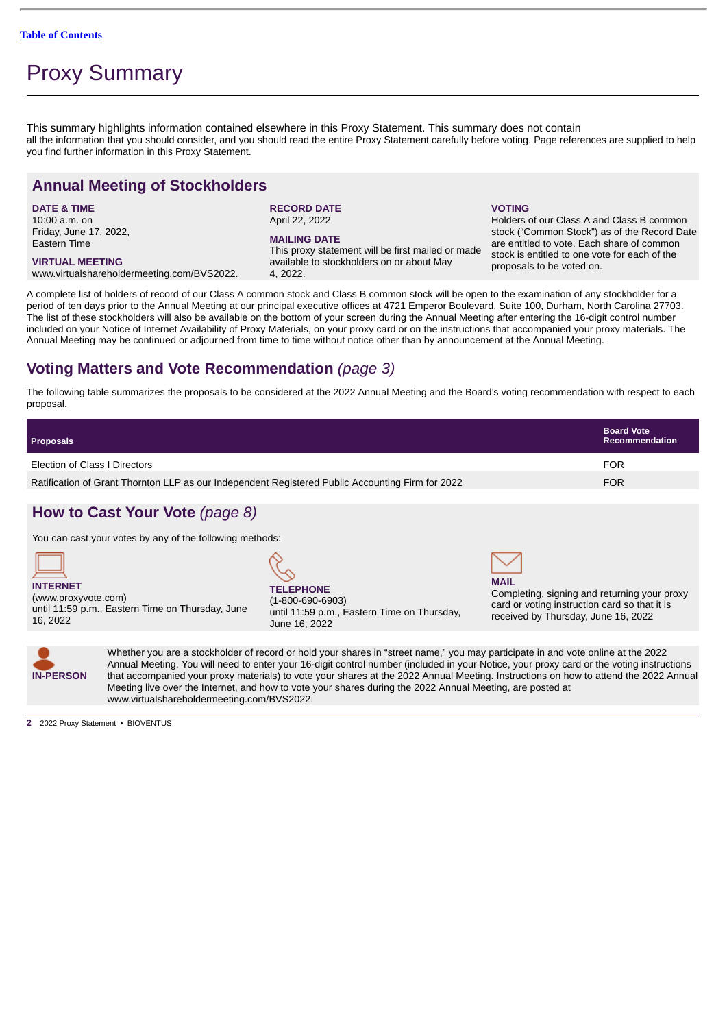# Proxy Summary

This summary highlights information contained elsewhere in this Proxy Statement. This summary does not contain all the information that you should consider, and you should read the entire Proxy Statement carefully before voting. Page references are supplied to help you find further information in this Proxy Statement.

# **Annual Meeting of Stockholders**

**DATE & TIME** 10:00 a.m. on Friday, June 17, 2022, Eastern Time

**VIRTUAL MEETING** www.virtualshareholdermeeting.com/BVS2022. **RECORD DATE** April 22, 2022

### **MAILING DATE**

This proxy statement will be first mailed or made available to stockholders on or about May 4, 2022.

# **VOTING**

Holders of our Class A and Class B common stock ("Common Stock") as of the Record Date are entitled to vote. Each share of common stock is entitled to one vote for each of the proposals to be voted on.

A complete list of holders of record of our Class A common stock and Class B common stock will be open to the examination of any stockholder for a period of ten days prior to the Annual Meeting at our principal executive offices at 4721 Emperor Boulevard, Suite 100, Durham, North Carolina 27703. The list of these stockholders will also be available on the bottom of your screen during the Annual Meeting after entering the 16-digit control number included on your Notice of Internet Availability of Proxy Materials, on your proxy card or on the instructions that accompanied your proxy materials. The Annual Meeting may be continued or adjourned from time to time without notice other than by announcement at the Annual Meeting.

# **Voting Matters and Vote Recommendation** *(page 3)*

The following table summarizes the proposals to be considered at the 2022 Annual Meeting and the Board's voting recommendation with respect to each proposal.

| <b>Proposals</b>                                                                                        |                                                                                                              |                                                                                                                                                     | <b>Board Vote</b><br><b>Recommendation</b> |  |
|---------------------------------------------------------------------------------------------------------|--------------------------------------------------------------------------------------------------------------|-----------------------------------------------------------------------------------------------------------------------------------------------------|--------------------------------------------|--|
| Election of Class I Directors                                                                           |                                                                                                              |                                                                                                                                                     | <b>FOR</b>                                 |  |
| Ratification of Grant Thornton LLP as our Independent Registered Public Accounting Firm for 2022<br>FOR |                                                                                                              |                                                                                                                                                     |                                            |  |
| How to Cast Your Vote (page 8)                                                                          |                                                                                                              |                                                                                                                                                     |                                            |  |
| You can cast your votes by any of the following methods:                                                |                                                                                                              |                                                                                                                                                     |                                            |  |
| <b>INTERNET</b><br>(www.proxyvote.com)<br>until 11:59 p.m., Eastern Time on Thursday, June<br>16, 2022  | <b>TELEPHONE</b><br>$(1 - 800 - 690 - 6903)$<br>until 11:59 p.m., Eastern Time on Thursday,<br>June 16, 2022 | <b>MAIL</b><br>Completing, signing and returning your proxy<br>card or voting instruction card so that it is<br>received by Thursday, June 16, 2022 |                                            |  |



Whether you are a stockholder of record or hold your shares in "street name," you may participate in and vote online at the 2022 Annual Meeting. You will need to enter your 16-digit control number (included in your Notice, your proxy card or the voting instructions that accompanied your proxy materials) to vote your shares at the 2022 Annual Meeting. Instructions on how to attend the 2022 Annual Meeting live over the Internet, and how to vote your shares during the 2022 Annual Meeting, are posted at www.virtualshareholdermeeting.com/BVS2022.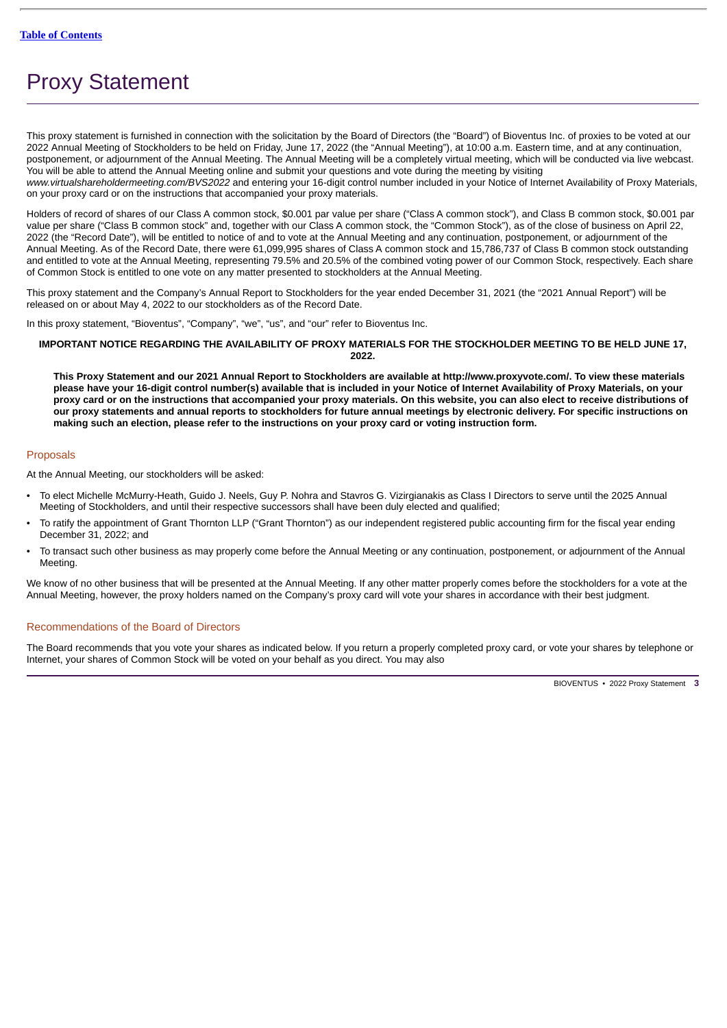# <span id="page-6-0"></span>Proxy Statement

This proxy statement is furnished in connection with the solicitation by the Board of Directors (the "Board") of Bioventus Inc. of proxies to be voted at our 2022 Annual Meeting of Stockholders to be held on Friday, June 17, 2022 (the "Annual Meeting"), at 10:00 a.m. Eastern time, and at any continuation, postponement, or adjournment of the Annual Meeting. The Annual Meeting will be a completely virtual meeting, which will be conducted via live webcast. You will be able to attend the Annual Meeting online and submit your questions and vote during the meeting by visiting *www.virtualshareholdermeeting.com/BVS2022* and entering your 16-digit control number included in your Notice of Internet Availability of Proxy Materials, on your proxy card or on the instructions that accompanied your proxy materials.

Holders of record of shares of our Class A common stock, \$0.001 par value per share ("Class A common stock"), and Class B common stock, \$0.001 par value per share ("Class B common stock" and, together with our Class A common stock, the "Common Stock"), as of the close of business on April 22, 2022 (the "Record Date"), will be entitled to notice of and to vote at the Annual Meeting and any continuation, postponement, or adjournment of the Annual Meeting. As of the Record Date, there were 61,099,995 shares of Class A common stock and 15,786,737 of Class B common stock outstanding and entitled to vote at the Annual Meeting, representing 79.5% and 20.5% of the combined voting power of our Common Stock, respectively. Each share of Common Stock is entitled to one vote on any matter presented to stockholders at the Annual Meeting.

This proxy statement and the Company's Annual Report to Stockholders for the year ended December 31, 2021 (the "2021 Annual Report") will be released on or about May 4, 2022 to our stockholders as of the Record Date.

In this proxy statement, "Bioventus", "Company", "we", "us", and "our" refer to Bioventus Inc.

# **IMPORTANT NOTICE REGARDING THE AVAILABILITY OF PROXY MATERIALS FOR THE STOCKHOLDER MEETING TO BE HELD JUNE 17, 2022.**

**This Proxy Statement and our 2021 Annual Report to Stockholders are available at http://www.proxyvote.com/. To view these materials please have your 16-digit control number(s) available that is included in your Notice of Internet Availability of Proxy Materials, on your proxy card or on the instructions that accompanied your proxy materials. On this website, you can also elect to receive distributions of our proxy statements and annual reports to stockholders for future annual meetings by electronic delivery. For specific instructions on making such an election, please refer to the instructions on your proxy card or voting instruction form.**

# <span id="page-6-1"></span>Proposals

At the Annual Meeting, our stockholders will be asked:

- To elect Michelle McMurry-Heath, Guido J. Neels, Guy P. Nohra and Stavros G. Vizirgianakis as Class I Directors to serve until the 2025 Annual Meeting of Stockholders, and until their respective successors shall have been duly elected and qualified;
- To ratify the appointment of Grant Thornton LLP ("Grant Thornton") as our independent registered public accounting firm for the fiscal year ending December 31, 2022; and
- To transact such other business as may properly come before the Annual Meeting or any continuation, postponement, or adjournment of the Annual Meeting.

We know of no other business that will be presented at the Annual Meeting. If any other matter properly comes before the stockholders for a vote at the Annual Meeting, however, the proxy holders named on the Company's proxy card will vote your shares in accordance with their best judgment.

# <span id="page-6-2"></span>Recommendations of the Board of Directors

The Board recommends that you vote your shares as indicated below. If you return a properly completed proxy card, or vote your shares by telephone or Internet, your shares of Common Stock will be voted on your behalf as you direct. You may also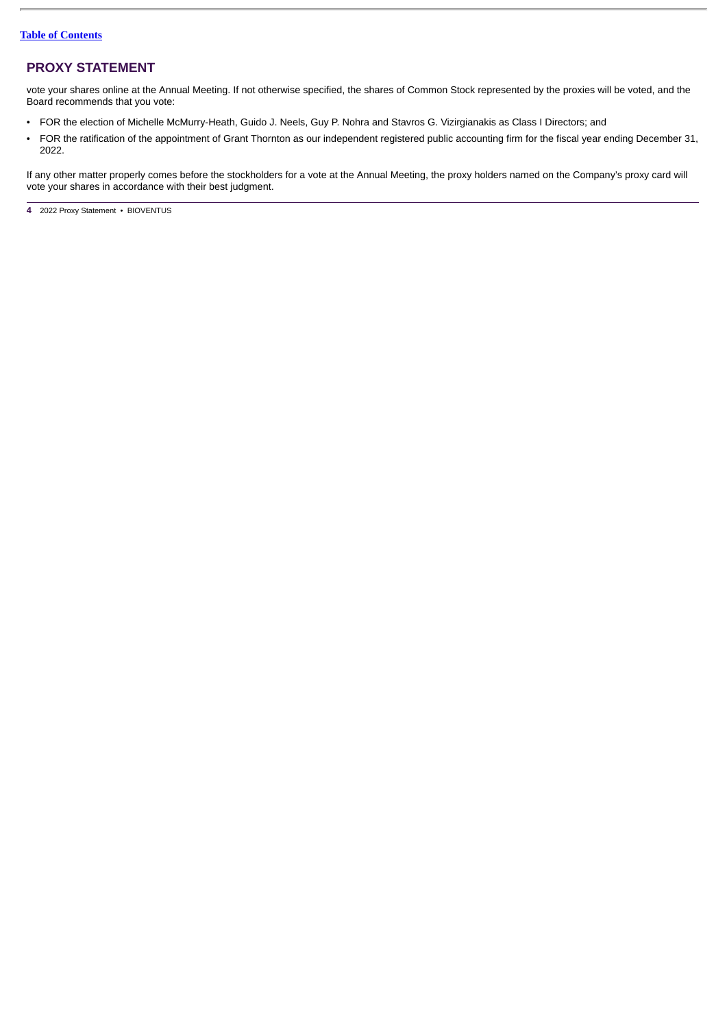# **PROXY STATEMENT**

vote your shares online at the Annual Meeting. If not otherwise specified, the shares of Common Stock represented by the proxies will be voted, and the Board recommends that you vote:

- FOR the election of Michelle McMurry-Heath, Guido J. Neels, Guy P. Nohra and Stavros G. Vizirgianakis as Class I Directors; and
- FOR the ratification of the appointment of Grant Thornton as our independent registered public accounting firm for the fiscal year ending December 31, 2022.

If any other matter properly comes before the stockholders for a vote at the Annual Meeting, the proxy holders named on the Company's proxy card will vote your shares in accordance with their best judgment.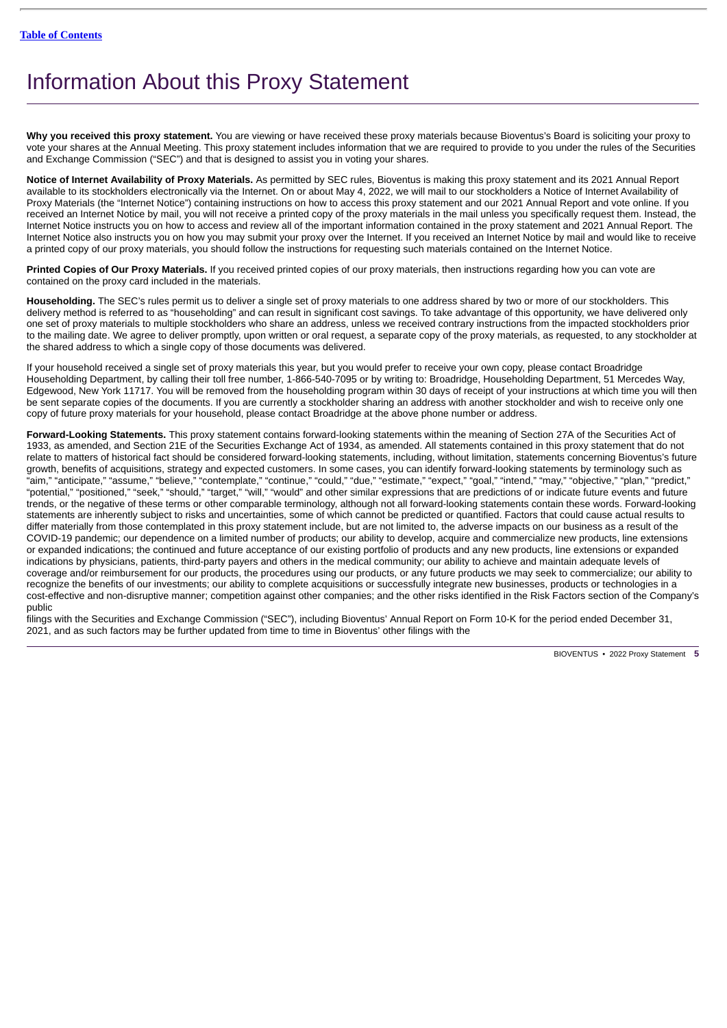# <span id="page-8-0"></span>Information About this Proxy Statement

**Why you received this proxy statement.** You are viewing or have received these proxy materials because Bioventus's Board is soliciting your proxy to vote your shares at the Annual Meeting. This proxy statement includes information that we are required to provide to you under the rules of the Securities and Exchange Commission ("SEC") and that is designed to assist you in voting your shares.

**Notice of Internet Availability of Proxy Materials.** As permitted by SEC rules, Bioventus is making this proxy statement and its 2021 Annual Report available to its stockholders electronically via the Internet. On or about May 4, 2022, we will mail to our stockholders a Notice of Internet Availability of Proxy Materials (the "Internet Notice") containing instructions on how to access this proxy statement and our 2021 Annual Report and vote online. If you received an Internet Notice by mail, you will not receive a printed copy of the proxy materials in the mail unless you specifically request them. Instead, the Internet Notice instructs you on how to access and review all of the important information contained in the proxy statement and 2021 Annual Report. The Internet Notice also instructs you on how you may submit your proxy over the Internet. If you received an Internet Notice by mail and would like to receive a printed copy of our proxy materials, you should follow the instructions for requesting such materials contained on the Internet Notice.

**Printed Copies of Our Proxy Materials.** If you received printed copies of our proxy materials, then instructions regarding how you can vote are contained on the proxy card included in the materials.

**Householding.** The SEC's rules permit us to deliver a single set of proxy materials to one address shared by two or more of our stockholders. This delivery method is referred to as "householding" and can result in significant cost savings. To take advantage of this opportunity, we have delivered only one set of proxy materials to multiple stockholders who share an address, unless we received contrary instructions from the impacted stockholders prior to the mailing date. We agree to deliver promptly, upon written or oral request, a separate copy of the proxy materials, as requested, to any stockholder at the shared address to which a single copy of those documents was delivered.

If your household received a single set of proxy materials this year, but you would prefer to receive your own copy, please contact Broadridge Householding Department, by calling their toll free number, 1-866-540-7095 or by writing to: Broadridge, Householding Department, 51 Mercedes Way, Edgewood, New York 11717. You will be removed from the householding program within 30 days of receipt of your instructions at which time you will then be sent separate copies of the documents. If you are currently a stockholder sharing an address with another stockholder and wish to receive only one copy of future proxy materials for your household, please contact Broadridge at the above phone number or address.

**Forward-Looking Statements.** This proxy statement contains forward-looking statements within the meaning of Section 27A of the Securities Act of 1933, as amended, and Section 21E of the Securities Exchange Act of 1934, as amended. All statements contained in this proxy statement that do not relate to matters of historical fact should be considered forward-looking statements, including, without limitation, statements concerning Bioventus's future growth, benefits of acquisitions, strategy and expected customers. In some cases, you can identify forward-looking statements by terminology such as "aim," "anticipate," "assume," "believe," "contemplate," "continue," "could," "due," "estimate," "expect," "goal," "intend," "may," "objective," "plan," "predict," "potential," "positioned," "seek," "should," "target," "will," "would" and other similar expressions that are predictions of or indicate future events and future trends, or the negative of these terms or other comparable terminology, although not all forward-looking statements contain these words. Forward-looking statements are inherently subject to risks and uncertainties, some of which cannot be predicted or quantified. Factors that could cause actual results to differ materially from those contemplated in this proxy statement include, but are not limited to, the adverse impacts on our business as a result of the COVID-19 pandemic; our dependence on a limited number of products; our ability to develop, acquire and commercialize new products, line extensions or expanded indications; the continued and future acceptance of our existing portfolio of products and any new products, line extensions or expanded indications by physicians, patients, third-party payers and others in the medical community; our ability to achieve and maintain adequate levels of coverage and/or reimbursement for our products, the procedures using our products, or any future products we may seek to commercialize; our ability to recognize the benefits of our investments; our ability to complete acquisitions or successfully integrate new businesses, products or technologies in a cost-effective and non-disruptive manner; competition against other companies; and the other risks identified in the Risk Factors section of the Company's public

filings with the Securities and Exchange Commission ("SEC"), including Bioventus' Annual Report on Form 10-K for the period ended December 31, 2021, and as such factors may be further updated from time to time in Bioventus' other filings with the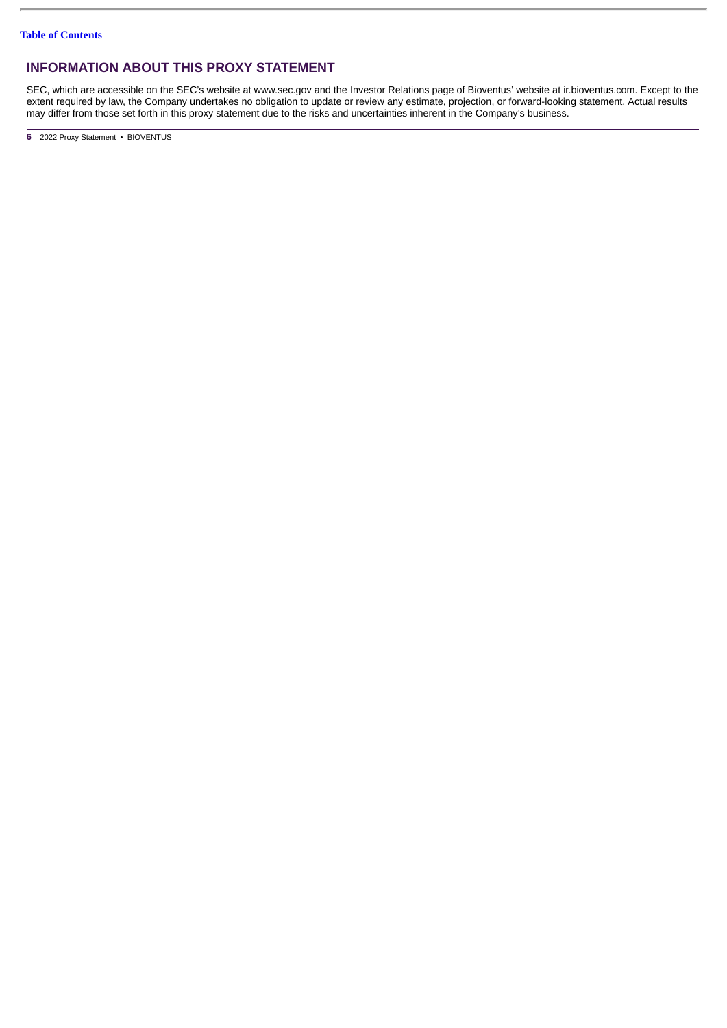# **INFORMATION ABOUT THIS PROXY STATEMENT**

SEC, which are accessible on the SEC's website at www.sec.gov and the Investor Relations page of Bioventus' website at ir.bioventus.com. Except to the extent required by law, the Company undertakes no obligation to update or review any estimate, projection, or forward-looking statement. Actual results may differ from those set forth in this proxy statement due to the risks and uncertainties inherent in the Company's business.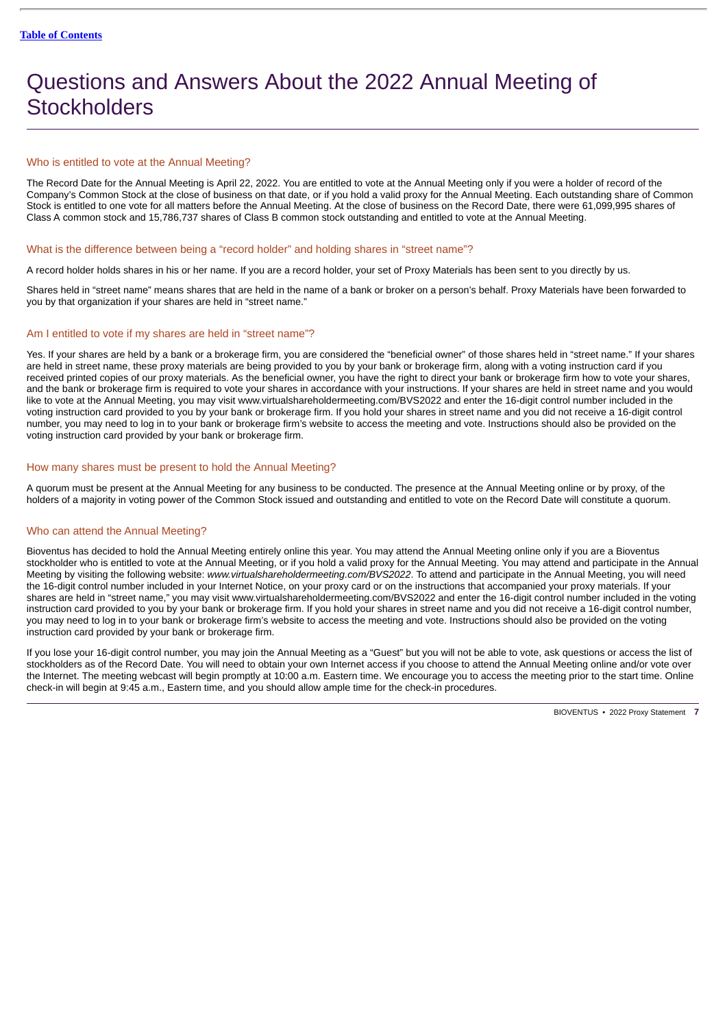# <span id="page-10-0"></span>Questions and Answers About the 2022 Annual Meeting of **Stockholders**

# Who is entitled to vote at the Annual Meeting?

The Record Date for the Annual Meeting is April 22, 2022. You are entitled to vote at the Annual Meeting only if you were a holder of record of the Company's Common Stock at the close of business on that date, or if you hold a valid proxy for the Annual Meeting. Each outstanding share of Common Stock is entitled to one vote for all matters before the Annual Meeting. At the close of business on the Record Date, there were 61,099,995 shares of Class A common stock and 15,786,737 shares of Class B common stock outstanding and entitled to vote at the Annual Meeting.

### What is the difference between being a "record holder" and holding shares in "street name"?

A record holder holds shares in his or her name. If you are a record holder, your set of Proxy Materials has been sent to you directly by us.

Shares held in "street name" means shares that are held in the name of a bank or broker on a person's behalf. Proxy Materials have been forwarded to you by that organization if your shares are held in "street name."

# Am I entitled to vote if my shares are held in "street name"?

Yes. If your shares are held by a bank or a brokerage firm, you are considered the "beneficial owner" of those shares held in "street name." If your shares are held in street name, these proxy materials are being provided to you by your bank or brokerage firm, along with a voting instruction card if you received printed copies of our proxy materials. As the beneficial owner, you have the right to direct your bank or brokerage firm how to vote your shares, and the bank or brokerage firm is required to vote your shares in accordance with your instructions. If your shares are held in street name and you would like to vote at the Annual Meeting, you may visit www.virtualshareholdermeeting.com/BVS2022 and enter the 16-digit control number included in the voting instruction card provided to you by your bank or brokerage firm. If you hold your shares in street name and you did not receive a 16-digit control number, you may need to log in to your bank or brokerage firm's website to access the meeting and vote. Instructions should also be provided on the voting instruction card provided by your bank or brokerage firm.

# How many shares must be present to hold the Annual Meeting?

A quorum must be present at the Annual Meeting for any business to be conducted. The presence at the Annual Meeting online or by proxy, of the holders of a majority in voting power of the Common Stock issued and outstanding and entitled to vote on the Record Date will constitute a quorum.

# Who can attend the Annual Meeting?

Bioventus has decided to hold the Annual Meeting entirely online this year. You may attend the Annual Meeting online only if you are a Bioventus stockholder who is entitled to vote at the Annual Meeting, or if you hold a valid proxy for the Annual Meeting. You may attend and participate in the Annual Meeting by visiting the following website: *www.virtualshareholdermeeting.com/BVS2022*. To attend and participate in the Annual Meeting, you will need the 16-digit control number included in your Internet Notice, on your proxy card or on the instructions that accompanied your proxy materials. If your shares are held in "street name," you may visit www.virtualshareholdermeeting.com/BVS2022 and enter the 16-digit control number included in the voting instruction card provided to you by your bank or brokerage firm. If you hold your shares in street name and you did not receive a 16-digit control number, you may need to log in to your bank or brokerage firm's website to access the meeting and vote. Instructions should also be provided on the voting instruction card provided by your bank or brokerage firm.

If you lose your 16-digit control number, you may join the Annual Meeting as a "Guest" but you will not be able to vote, ask questions or access the list of stockholders as of the Record Date. You will need to obtain your own Internet access if you choose to attend the Annual Meeting online and/or vote over the Internet. The meeting webcast will begin promptly at 10:00 a.m. Eastern time. We encourage you to access the meeting prior to the start time. Online check-in will begin at 9:45 a.m., Eastern time, and you should allow ample time for the check-in procedures.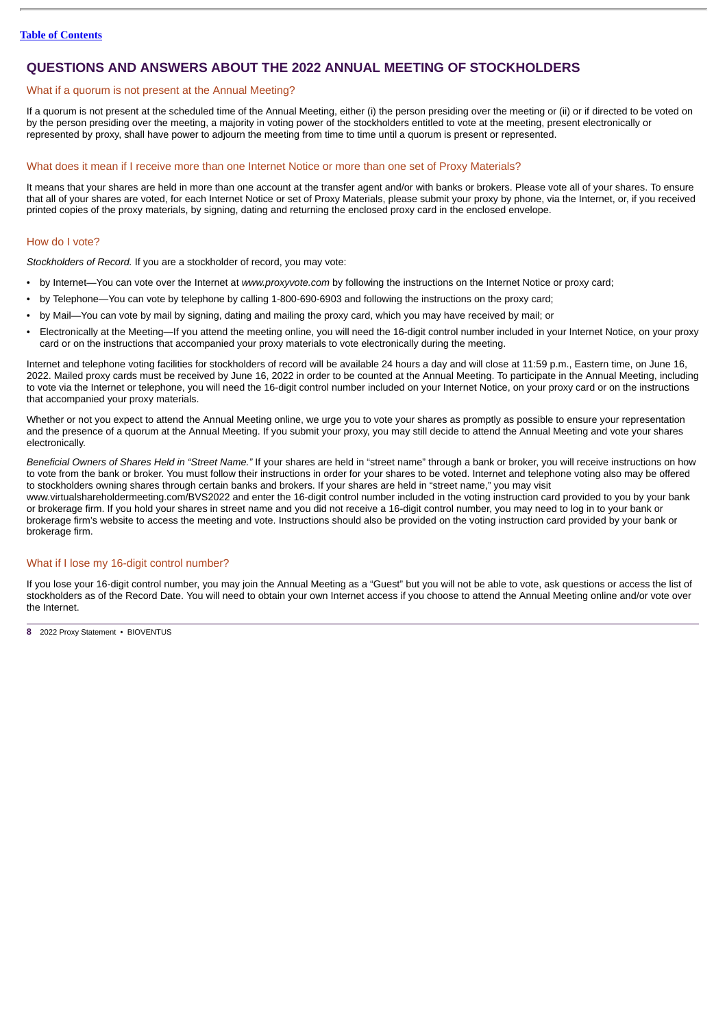# **QUESTIONS AND ANSWERS ABOUT THE 2022 ANNUAL MEETING OF STOCKHOLDERS**

### What if a quorum is not present at the Annual Meeting?

If a quorum is not present at the scheduled time of the Annual Meeting, either (i) the person presiding over the meeting or (ii) or if directed to be voted on by the person presiding over the meeting, a majority in voting power of the stockholders entitled to vote at the meeting, present electronically or represented by proxy, shall have power to adjourn the meeting from time to time until a quorum is present or represented.

# What does it mean if I receive more than one Internet Notice or more than one set of Proxy Materials?

It means that your shares are held in more than one account at the transfer agent and/or with banks or brokers. Please vote all of your shares. To ensure that all of your shares are voted, for each Internet Notice or set of Proxy Materials, please submit your proxy by phone, via the Internet, or, if you received printed copies of the proxy materials, by signing, dating and returning the enclosed proxy card in the enclosed envelope.

# How do I vote?

*Stockholders of Record.* If you are a stockholder of record, you may vote:

- by Internet—You can vote over the Internet at *www.proxyvote.com* by following the instructions on the Internet Notice or proxy card;
- by Telephone—You can vote by telephone by calling 1-800-690-6903 and following the instructions on the proxy card;
- by Mail—You can vote by mail by signing, dating and mailing the proxy card, which you may have received by mail; or
- Electronically at the Meeting—If you attend the meeting online, you will need the 16-digit control number included in your Internet Notice, on your proxy card or on the instructions that accompanied your proxy materials to vote electronically during the meeting.

Internet and telephone voting facilities for stockholders of record will be available 24 hours a day and will close at 11:59 p.m., Eastern time, on June 16, 2022. Mailed proxy cards must be received by June 16, 2022 in order to be counted at the Annual Meeting. To participate in the Annual Meeting, including to vote via the Internet or telephone, you will need the 16-digit control number included on your Internet Notice, on your proxy card or on the instructions that accompanied your proxy materials.

Whether or not you expect to attend the Annual Meeting online, we urge you to vote your shares as promptly as possible to ensure your representation and the presence of a quorum at the Annual Meeting. If you submit your proxy, you may still decide to attend the Annual Meeting and vote your shares electronically.

*Beneficial Owners of Shares Held in "Street Name."* If your shares are held in "street name" through a bank or broker, you will receive instructions on how to vote from the bank or broker. You must follow their instructions in order for your shares to be voted. Internet and telephone voting also may be offered to stockholders owning shares through certain banks and brokers. If your shares are held in "street name," you may visit www.virtualshareholdermeeting.com/BVS2022 and enter the 16-digit control number included in the voting instruction card provided to you by your bank or brokerage firm. If you hold your shares in street name and you did not receive a 16-digit control number, you may need to log in to your bank or brokerage firm's website to access the meeting and vote. Instructions should also be provided on the voting instruction card provided by your bank or brokerage firm.

# What if I lose my 16-digit control number?

If you lose your 16-digit control number, you may join the Annual Meeting as a "Guest" but you will not be able to vote, ask questions or access the list of stockholders as of the Record Date. You will need to obtain your own Internet access if you choose to attend the Annual Meeting online and/or vote over the Internet.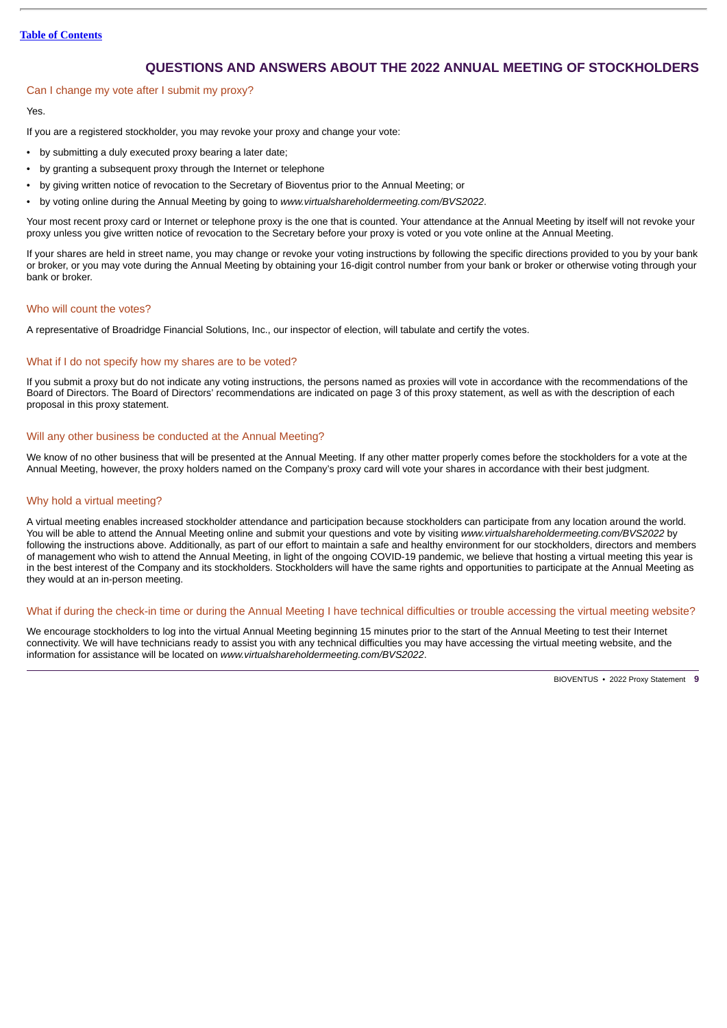### **Table of [Contents](#page-3-0)**

# **QUESTIONS AND ANSWERS ABOUT THE 2022 ANNUAL MEETING OF STOCKHOLDERS**

# Can I change my vote after I submit my proxy?

### Yes.

If you are a registered stockholder, you may revoke your proxy and change your vote:

- by submitting a duly executed proxy bearing a later date;
- by granting a subsequent proxy through the Internet or telephone
- by giving written notice of revocation to the Secretary of Bioventus prior to the Annual Meeting; or
- by voting online during the Annual Meeting by going to *www.virtualshareholdermeeting.com/BVS2022*.

Your most recent proxy card or Internet or telephone proxy is the one that is counted. Your attendance at the Annual Meeting by itself will not revoke your proxy unless you give written notice of revocation to the Secretary before your proxy is voted or you vote online at the Annual Meeting.

If your shares are held in street name, you may change or revoke your voting instructions by following the specific directions provided to you by your bank or broker, or you may vote during the Annual Meeting by obtaining your 16-digit control number from your bank or broker or otherwise voting through your bank or broker.

### Who will count the votes?

A representative of Broadridge Financial Solutions, Inc., our inspector of election, will tabulate and certify the votes.

### What if I do not specify how my shares are to be voted?

If you submit a proxy but do not indicate any voting instructions, the persons named as proxies will vote in accordance with the recommendations of the Board of Directors. The Board of Directors' recommendations are indicated on page 3 of this proxy statement, as well as with the description of each proposal in this proxy statement.

### Will any other business be conducted at the Annual Meeting?

We know of no other business that will be presented at the Annual Meeting. If any other matter properly comes before the stockholders for a vote at the Annual Meeting, however, the proxy holders named on the Company's proxy card will vote your shares in accordance with their best judgment.

### Why hold a virtual meeting?

A virtual meeting enables increased stockholder attendance and participation because stockholders can participate from any location around the world. You will be able to attend the Annual Meeting online and submit your questions and vote by visiting *www.virtualshareholdermeeting.com/BVS2022* by following the instructions above. Additionally, as part of our effort to maintain a safe and healthy environment for our stockholders, directors and members of management who wish to attend the Annual Meeting, in light of the ongoing COVID-19 pandemic, we believe that hosting a virtual meeting this year is in the best interest of the Company and its stockholders. Stockholders will have the same rights and opportunities to participate at the Annual Meeting as they would at an in-person meeting.

### What if during the check-in time or during the Annual Meeting I have technical difficulties or trouble accessing the virtual meeting website?

We encourage stockholders to log into the virtual Annual Meeting beginning 15 minutes prior to the start of the Annual Meeting to test their Internet connectivity. We will have technicians ready to assist you with any technical difficulties you may have accessing the virtual meeting website, and the information for assistance will be located on *www.virtualshareholdermeeting.com/BVS2022*.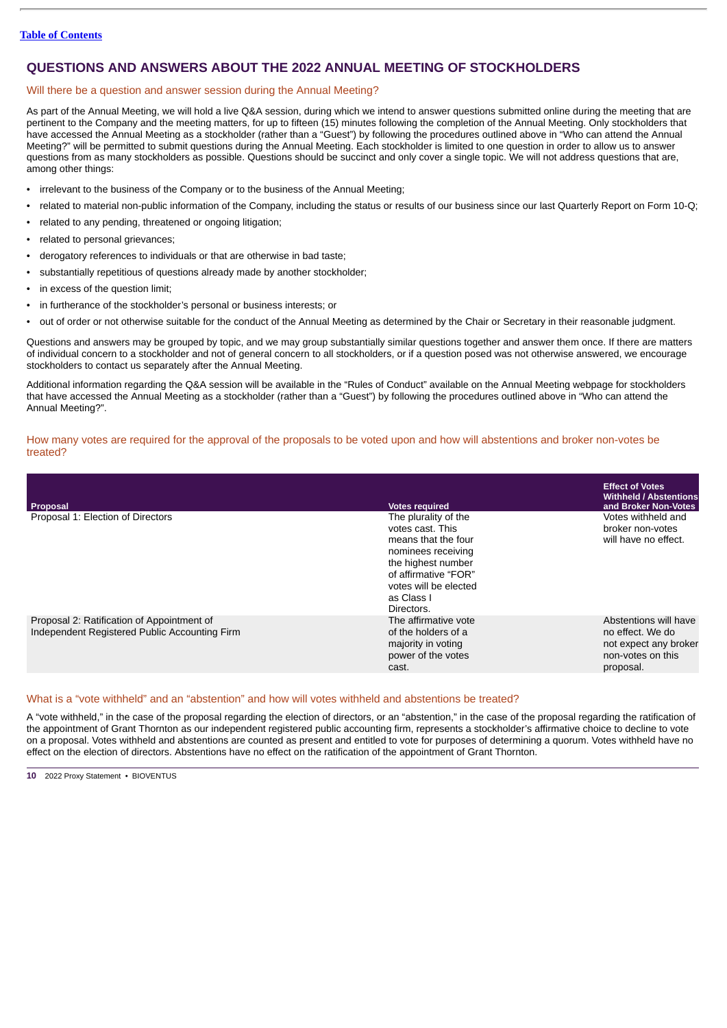# **QUESTIONS AND ANSWERS ABOUT THE 2022 ANNUAL MEETING OF STOCKHOLDERS**

# Will there be a question and answer session during the Annual Meeting?

As part of the Annual Meeting, we will hold a live Q&A session, during which we intend to answer questions submitted online during the meeting that are pertinent to the Company and the meeting matters, for up to fifteen (15) minutes following the completion of the Annual Meeting. Only stockholders that have accessed the Annual Meeting as a stockholder (rather than a "Guest") by following the procedures outlined above in "Who can attend the Annual Meeting?" will be permitted to submit questions during the Annual Meeting. Each stockholder is limited to one question in order to allow us to answer questions from as many stockholders as possible. Questions should be succinct and only cover a single topic. We will not address questions that are, among other things:

- irrelevant to the business of the Company or to the business of the Annual Meeting;
- related to material non-public information of the Company, including the status or results of our business since our last Quarterly Report on Form 10-Q;
- related to any pending, threatened or ongoing litigation;
- related to personal grievances;
- derogatory references to individuals or that are otherwise in bad taste;
- substantially repetitious of questions already made by another stockholder;
- in excess of the question limit;
- in furtherance of the stockholder's personal or business interests; or
- out of order or not otherwise suitable for the conduct of the Annual Meeting as determined by the Chair or Secretary in their reasonable judgment.

Questions and answers may be grouped by topic, and we may group substantially similar questions together and answer them once. If there are matters of individual concern to a stockholder and not of general concern to all stockholders, or if a question posed was not otherwise answered, we encourage stockholders to contact us separately after the Annual Meeting.

Additional information regarding the Q&A session will be available in the "Rules of Conduct" available on the Annual Meeting webpage for stockholders that have accessed the Annual Meeting as a stockholder (rather than a "Guest") by following the procedures outlined above in "Who can attend the Annual Meeting?".

# How many votes are required for the approval of the proposals to be voted upon and how will abstentions and broker non-votes be treated?

| Proposal                                                                                    | <b>Votes required</b>                                                                                                                                                                    | <b>Effect of Votes</b><br><b>Withheld / Abstentions</b><br>and Broker Non-Votes                      |
|---------------------------------------------------------------------------------------------|------------------------------------------------------------------------------------------------------------------------------------------------------------------------------------------|------------------------------------------------------------------------------------------------------|
| Proposal 1: Election of Directors                                                           | The plurality of the<br>votes cast. This<br>means that the four<br>nominees receiving<br>the highest number<br>of affirmative "FOR"<br>votes will be elected<br>as Class I<br>Directors. | Votes withheld and<br>broker non-votes<br>will have no effect.                                       |
| Proposal 2: Ratification of Appointment of<br>Independent Registered Public Accounting Firm | The affirmative vote<br>of the holders of a<br>majority in voting<br>power of the votes<br>cast.                                                                                         | Abstentions will have<br>no effect. We do<br>not expect any broker<br>non-votes on this<br>proposal. |

# What is a "vote withheld" and an "abstention" and how will votes withheld and abstentions be treated?

A "vote withheld," in the case of the proposal regarding the election of directors, or an "abstention," in the case of the proposal regarding the ratification of the appointment of Grant Thornton as our independent registered public accounting firm, represents a stockholder's affirmative choice to decline to vote on a proposal. Votes withheld and abstentions are counted as present and entitled to vote for purposes of determining a quorum. Votes withheld have no effect on the election of directors. Abstentions have no effect on the ratification of the appointment of Grant Thornton.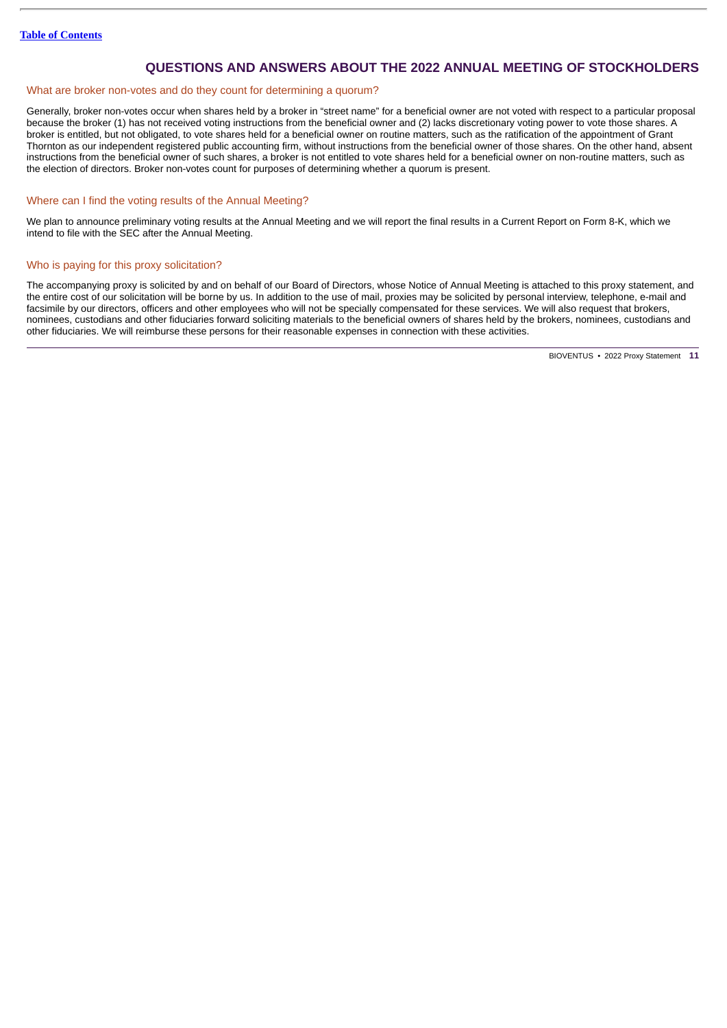# **QUESTIONS AND ANSWERS ABOUT THE 2022 ANNUAL MEETING OF STOCKHOLDERS**

# What are broker non-votes and do they count for determining a quorum?

Generally, broker non-votes occur when shares held by a broker in "street name" for a beneficial owner are not voted with respect to a particular proposal because the broker (1) has not received voting instructions from the beneficial owner and (2) lacks discretionary voting power to vote those shares. A broker is entitled, but not obligated, to vote shares held for a beneficial owner on routine matters, such as the ratification of the appointment of Grant Thornton as our independent registered public accounting firm, without instructions from the beneficial owner of those shares. On the other hand, absent instructions from the beneficial owner of such shares, a broker is not entitled to vote shares held for a beneficial owner on non-routine matters, such as the election of directors. Broker non-votes count for purposes of determining whether a quorum is present.

### Where can I find the voting results of the Annual Meeting?

We plan to announce preliminary voting results at the Annual Meeting and we will report the final results in a Current Report on Form 8-K, which we intend to file with the SEC after the Annual Meeting.

### Who is paying for this proxy solicitation?

The accompanying proxy is solicited by and on behalf of our Board of Directors, whose Notice of Annual Meeting is attached to this proxy statement, and the entire cost of our solicitation will be borne by us. In addition to the use of mail, proxies may be solicited by personal interview, telephone, e-mail and facsimile by our directors, officers and other employees who will not be specially compensated for these services. We will also request that brokers, nominees, custodians and other fiduciaries forward soliciting materials to the beneficial owners of shares held by the brokers, nominees, custodians and other fiduciaries. We will reimburse these persons for their reasonable expenses in connection with these activities.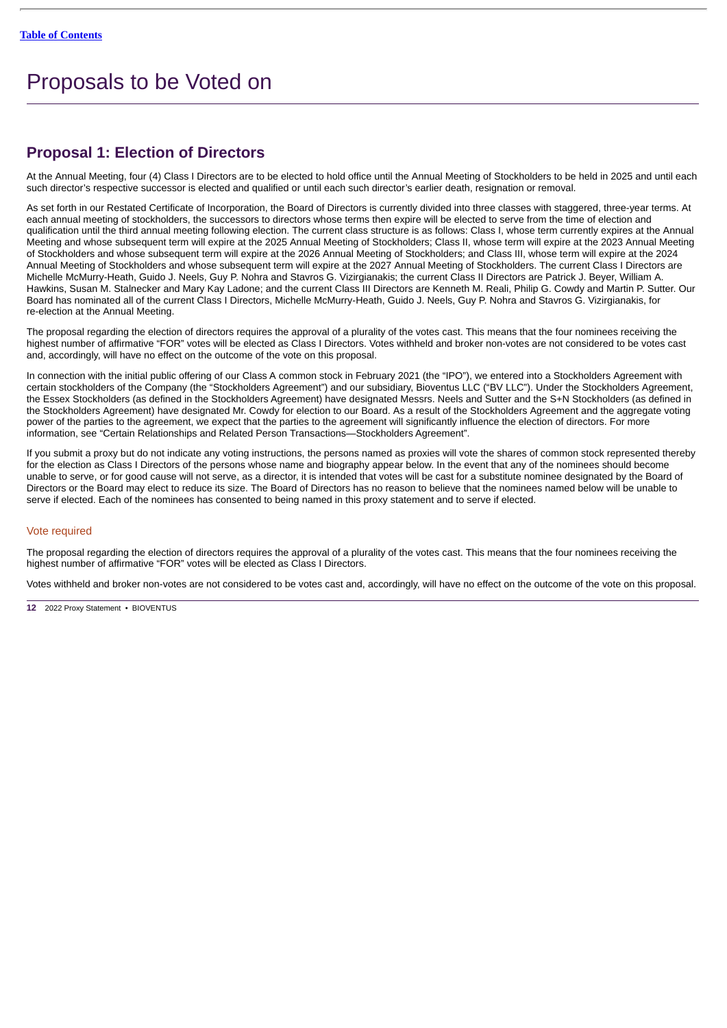# <span id="page-15-0"></span>Proposals to be Voted on

# <span id="page-15-1"></span>**Proposal 1: Election of Directors**

At the Annual Meeting, four (4) Class I Directors are to be elected to hold office until the Annual Meeting of Stockholders to be held in 2025 and until each such director's respective successor is elected and qualified or until each such director's earlier death, resignation or removal.

As set forth in our Restated Certificate of Incorporation, the Board of Directors is currently divided into three classes with staggered, three-year terms. At each annual meeting of stockholders, the successors to directors whose terms then expire will be elected to serve from the time of election and qualification until the third annual meeting following election. The current class structure is as follows: Class I, whose term currently expires at the Annual Meeting and whose subsequent term will expire at the 2025 Annual Meeting of Stockholders; Class II, whose term will expire at the 2023 Annual Meeting of Stockholders and whose subsequent term will expire at the 2026 Annual Meeting of Stockholders; and Class III, whose term will expire at the 2024 Annual Meeting of Stockholders and whose subsequent term will expire at the 2027 Annual Meeting of Stockholders. The current Class I Directors are Michelle McMurry-Heath, Guido J. Neels, Guy P. Nohra and Stavros G. Vizirgianakis; the current Class II Directors are Patrick J. Beyer, William A. Hawkins, Susan M. Stalnecker and Mary Kay Ladone; and the current Class III Directors are Kenneth M. Reali, Philip G. Cowdy and Martin P. Sutter. Our Board has nominated all of the current Class I Directors, Michelle McMurry-Heath, Guido J. Neels, Guy P. Nohra and Stavros G. Vizirgianakis, for re-election at the Annual Meeting.

The proposal regarding the election of directors requires the approval of a plurality of the votes cast. This means that the four nominees receiving the highest number of affirmative "FOR" votes will be elected as Class I Directors. Votes withheld and broker non-votes are not considered to be votes cast and, accordingly, will have no effect on the outcome of the vote on this proposal.

In connection with the initial public offering of our Class A common stock in February 2021 (the "IPO"), we entered into a Stockholders Agreement with certain stockholders of the Company (the "Stockholders Agreement") and our subsidiary, Bioventus LLC ("BV LLC"). Under the Stockholders Agreement, the Essex Stockholders (as defined in the Stockholders Agreement) have designated Messrs. Neels and Sutter and the S+N Stockholders (as defined in the Stockholders Agreement) have designated Mr. Cowdy for election to our Board. As a result of the Stockholders Agreement and the aggregate voting power of the parties to the agreement, we expect that the parties to the agreement will significantly influence the election of directors. For more information, see "Certain Relationships and Related Person Transactions—Stockholders Agreement".

If you submit a proxy but do not indicate any voting instructions, the persons named as proxies will vote the shares of common stock represented thereby for the election as Class I Directors of the persons whose name and biography appear below. In the event that any of the nominees should become unable to serve, or for good cause will not serve, as a director, it is intended that votes will be cast for a substitute nominee designated by the Board of Directors or the Board may elect to reduce its size. The Board of Directors has no reason to believe that the nominees named below will be unable to serve if elected. Each of the nominees has consented to being named in this proxy statement and to serve if elected.

# Vote required

The proposal regarding the election of directors requires the approval of a plurality of the votes cast. This means that the four nominees receiving the highest number of affirmative "FOR" votes will be elected as Class I Directors.

Votes withheld and broker non-votes are not considered to be votes cast and, accordingly, will have no effect on the outcome of the vote on this proposal.

**<sup>12</sup>** 2022 Proxy Statement • BIOVENTUS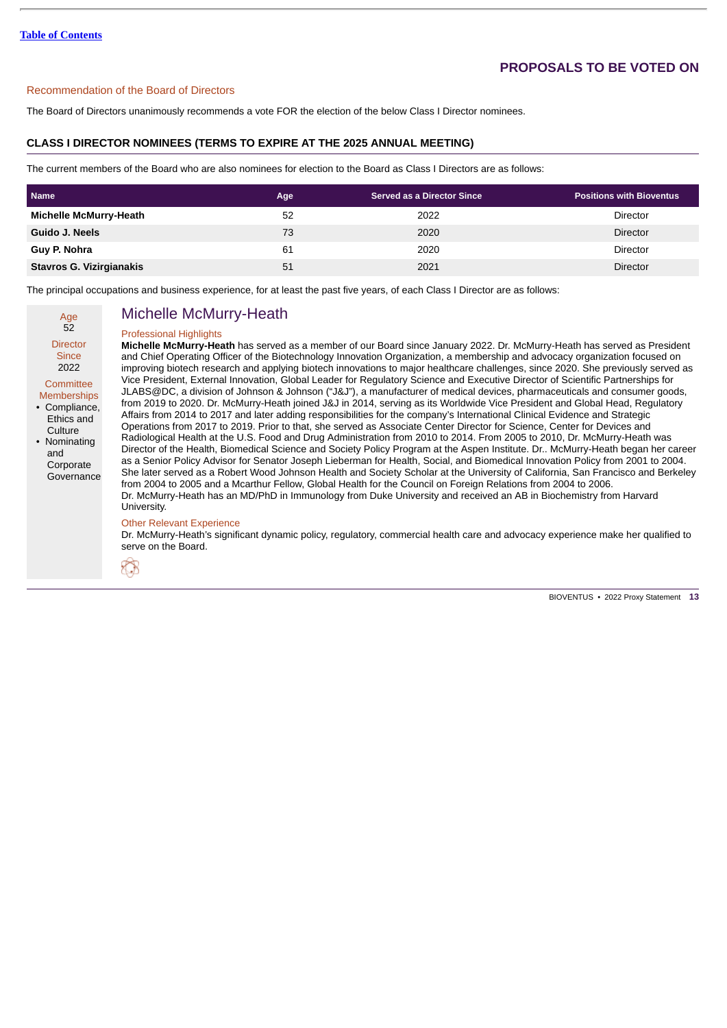# Recommendation of the Board of Directors

The Board of Directors unanimously recommends a vote FOR the election of the below Class I Director nominees.

# **CLASS I DIRECTOR NOMINEES (TERMS TO EXPIRE AT THE 2025 ANNUAL MEETING)**

The current members of the Board who are also nominees for election to the Board as Class I Directors are as follows:

| <b>Name</b>                   | Age | <b>Served as a Director Since</b> | <b>Positions with Bioventus</b> |
|-------------------------------|-----|-----------------------------------|---------------------------------|
| <b>Michelle McMurry-Heath</b> | 52  | 2022                              | Director                        |
| Guido J. Neels                | 73  | 2020                              | <b>Director</b>                 |
| Guy P. Nohra                  | 61  | 2020                              | <b>Director</b>                 |
| Stavros G. Vizirgianakis      | 51  | 2021                              | <b>Director</b>                 |

The principal occupations and business experience, for at least the past five years, of each Class I Director are as follows:

Age 52 **Director** 

# Michelle McMurry-Heath

### Professional Highlights

**Since** 2022 **Committee Memberships** • Compliance, Ethics and

**Culture** • Nominating and Corporate **Governance**  **Michelle McMurry-Heath** has served as a member of our Board since January 2022. Dr. McMurry-Heath has served as President and Chief Operating Officer of the Biotechnology Innovation Organization, a membership and advocacy organization focused on improving biotech research and applying biotech innovations to major healthcare challenges, since 2020. She previously served as Vice President, External Innovation, Global Leader for Regulatory Science and Executive Director of Scientific Partnerships for JLABS@DC, a division of Johnson & Johnson ("J&J"), a manufacturer of medical devices, pharmaceuticals and consumer goods, from 2019 to 2020. Dr. McMurry-Heath joined J&J in 2014, serving as its Worldwide Vice President and Global Head, Regulatory Affairs from 2014 to 2017 and later adding responsibilities for the company's International Clinical Evidence and Strategic Operations from 2017 to 2019. Prior to that, she served as Associate Center Director for Science, Center for Devices and Radiological Health at the U.S. Food and Drug Administration from 2010 to 2014. From 2005 to 2010, Dr. McMurry-Heath was Director of the Health, Biomedical Science and Society Policy Program at the Aspen Institute. Dr.. McMurry-Heath began her career as a Senior Policy Advisor for Senator Joseph Lieberman for Health, Social, and Biomedical Innovation Policy from 2001 to 2004. She later served as a Robert Wood Johnson Health and Society Scholar at the University of California, San Francisco and Berkeley from 2004 to 2005 and a Mcarthur Fellow, Global Health for the Council on Foreign Relations from 2004 to 2006. Dr. McMurry-Heath has an MD/PhD in Immunology from Duke University and received an AB in Biochemistry from Harvard University.

#### Other Relevant Experience

Dr. McMurry-Heath's significant dynamic policy, regulatory, commercial health care and advocacy experience make her qualified to serve on the Board.

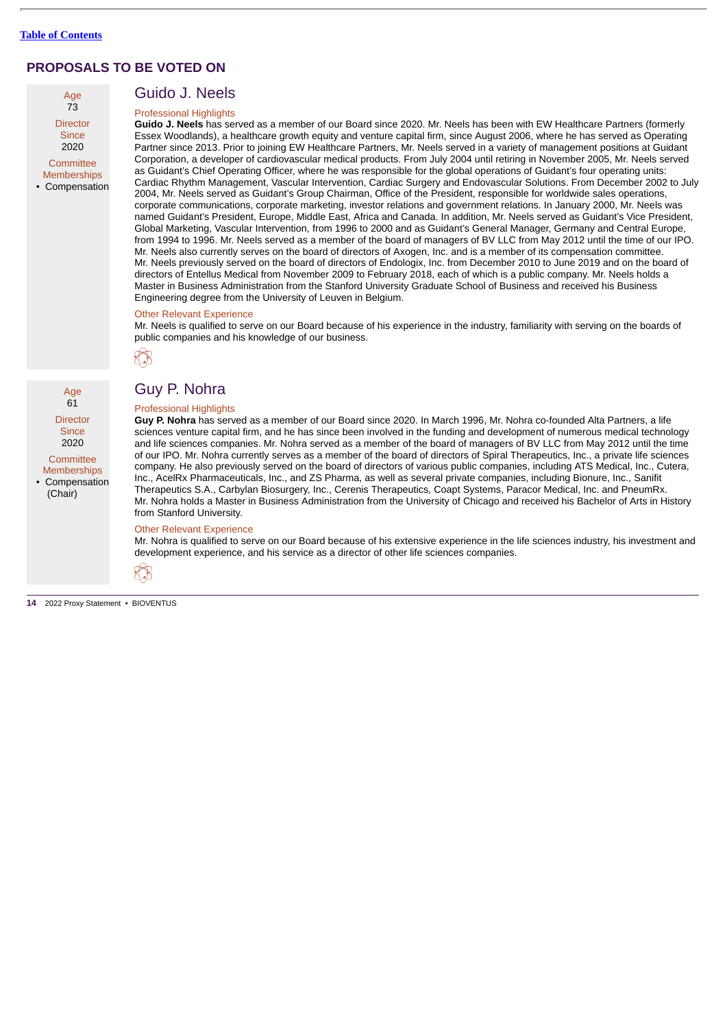Age 73 **Director Since** 2020

**Committee** Memberships • Compensation

Age 61 **Director Since** 2020 **Committee Memberships** • Compensation (Chair)

# Guido J. Neels Professional Highlights

**Guido J. Neels** has served as a member of our Board since 2020. Mr. Neels has been with EW Healthcare Partners (formerly Essex Woodlands), a healthcare growth equity and venture capital firm, since August 2006, where he has served as Operating Partner since 2013. Prior to joining EW Healthcare Partners, Mr. Neels served in a variety of management positions at Guidant Corporation, a developer of cardiovascular medical products. From July 2004 until retiring in November 2005, Mr. Neels served as Guidant's Chief Operating Officer, where he was responsible for the global operations of Guidant's four operating units: Cardiac Rhythm Management, Vascular Intervention, Cardiac Surgery and Endovascular Solutions. From December 2002 to July 2004, Mr. Neels served as Guidant's Group Chairman, Office of the President, responsible for worldwide sales operations, corporate communications, corporate marketing, investor relations and government relations. In January 2000, Mr. Neels was named Guidant's President, Europe, Middle East, Africa and Canada. In addition, Mr. Neels served as Guidant's Vice President, Global Marketing, Vascular Intervention, from 1996 to 2000 and as Guidant's General Manager, Germany and Central Europe, from 1994 to 1996. Mr. Neels served as a member of the board of managers of BV LLC from May 2012 until the time of our IPO. Mr. Neels also currently serves on the board of directors of Axogen, Inc. and is a member of its compensation committee. Mr. Neels previously served on the board of directors of Endologix, Inc. from December 2010 to June 2019 and on the board of directors of Entellus Medical from November 2009 to February 2018, each of which is a public company. Mr. Neels holds a Master in Business Administration from the Stanford University Graduate School of Business and received his Business Engineering degree from the University of Leuven in Belgium.

# Other Relevant Experience

Mr. Neels is qualified to serve on our Board because of his experience in the industry, familiarity with serving on the boards of public companies and his knowledge of our business.



# Guy P. Nohra

# Professional Highlights

**Guy P. Nohra** has served as a member of our Board since 2020. In March 1996, Mr. Nohra co-founded Alta Partners, a life sciences venture capital firm, and he has since been involved in the funding and development of numerous medical technology and life sciences companies. Mr. Nohra served as a member of the board of managers of BV LLC from May 2012 until the time of our IPO. Mr. Nohra currently serves as a member of the board of directors of Spiral Therapeutics, Inc., a private life sciences company. He also previously served on the board of directors of various public companies, including ATS Medical, Inc., Cutera, Inc., AcelRx Pharmaceuticals, Inc., and ZS Pharma, as well as several private companies, including Bionure, Inc., Sanifit Therapeutics S.A., Carbylan Biosurgery, Inc., Cerenis Therapeutics, Coapt Systems, Paracor Medical, Inc. and PneumRx. Mr. Nohra holds a Master in Business Administration from the University of Chicago and received his Bachelor of Arts in History from Stanford University.

#### Other Relevant Experience

Mr. Nohra is qualified to serve on our Board because of his extensive experience in the life sciences industry, his investment and development experience, and his service as a director of other life sciences companies.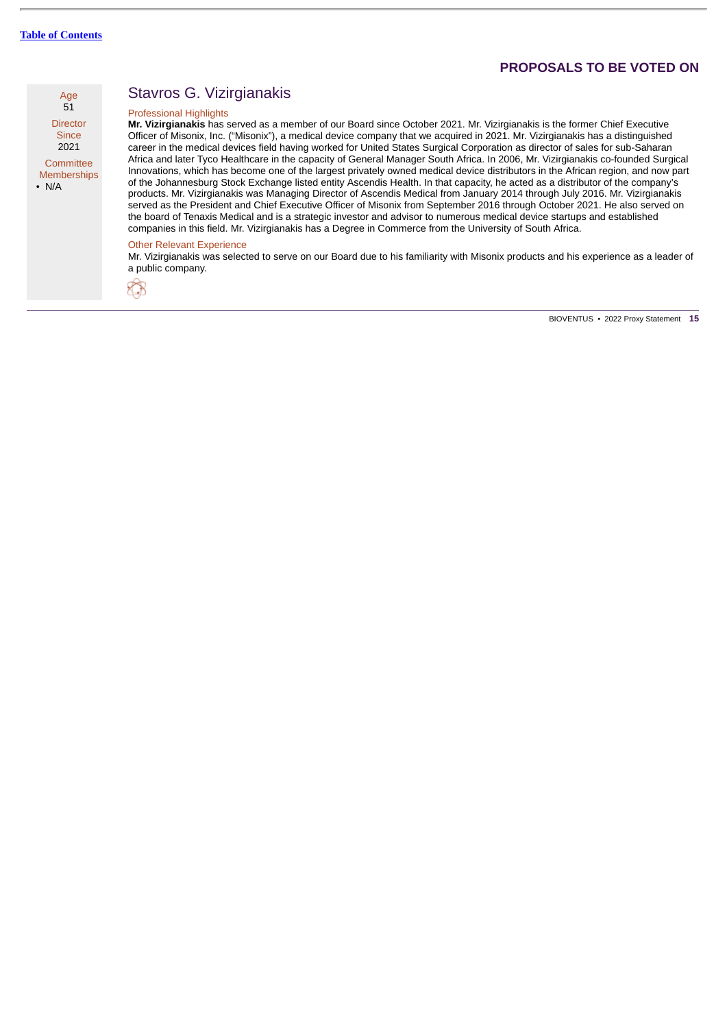

Memberships • N/A

# Stavros G. Vizirgianakis

### Professional Highlights

**Mr. Vizirgianakis** has served as a member of our Board since October 2021. Mr. Vizirgianakis is the former Chief Executive Officer of Misonix, Inc. ("Misonix"), a medical device company that we acquired in 2021. Mr. Vizirgianakis has a distinguished career in the medical devices field having worked for United States Surgical Corporation as director of sales for sub-Saharan Africa and later Tyco Healthcare in the capacity of General Manager South Africa. In 2006, Mr. Vizirgianakis co-founded Surgical Innovations, which has become one of the largest privately owned medical device distributors in the African region, and now part of the Johannesburg Stock Exchange listed entity Ascendis Health. In that capacity, he acted as a distributor of the company's products. Mr. Vizirgianakis was Managing Director of Ascendis Medical from January 2014 through July 2016. Mr. Vizirgianakis served as the President and Chief Executive Officer of Misonix from September 2016 through October 2021. He also served on the board of Tenaxis Medical and is a strategic investor and advisor to numerous medical device startups and established companies in this field. Mr. Vizirgianakis has a Degree in Commerce from the University of South Africa.

#### Other Relevant Experience

Mr. Vizirgianakis was selected to serve on our Board due to his familiarity with Misonix products and his experience as a leader of a public company.

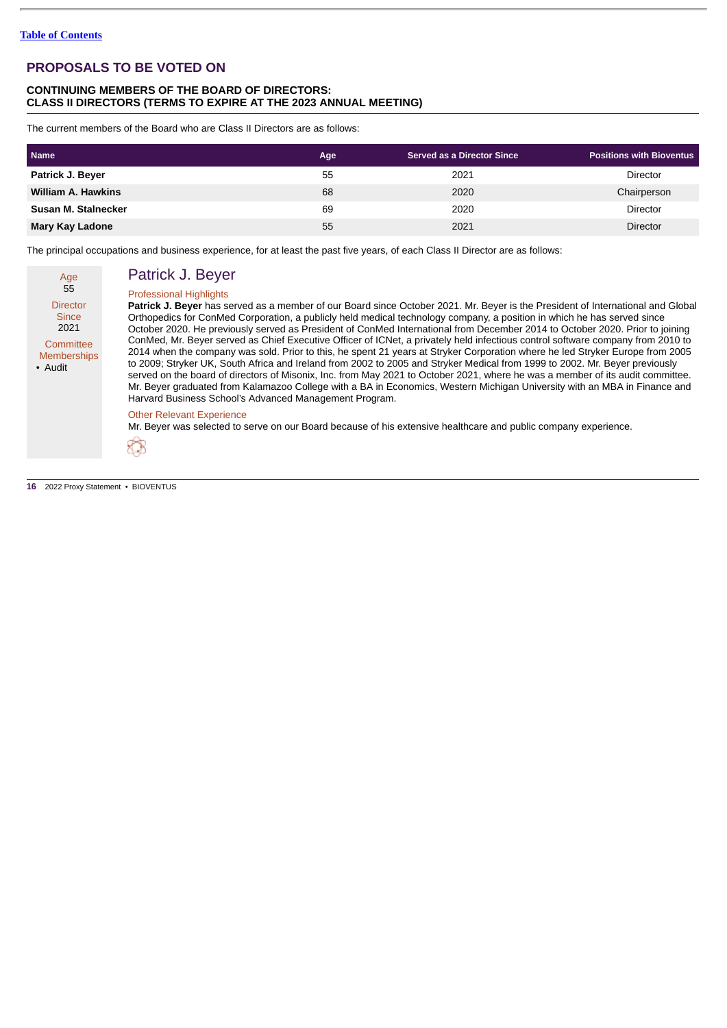# **CONTINUING MEMBERS OF THE BOARD OF DIRECTORS: CLASS II DIRECTORS (TERMS TO EXPIRE AT THE 2023 ANNUAL MEETING)**

The current members of the Board who are Class II Directors are as follows:

| <b>Name</b>         | Age | <b>Served as a Director Since</b> | <b>Positions with Bioventus</b> |
|---------------------|-----|-----------------------------------|---------------------------------|
| Patrick J. Beyer    | 55  | 2021                              | <b>Director</b>                 |
| William A. Hawkins  | 68  | 2020                              | Chairperson                     |
| Susan M. Stalnecker | 69  | 2020                              | <b>Director</b>                 |
| Mary Kay Ladone     | 55  | 2021                              | <b>Director</b>                 |

The principal occupations and business experience, for at least the past five years, of each Class II Director are as follows:

| Age<br>55                                  |  |
|--------------------------------------------|--|
| Director<br>Since<br>2021                  |  |
| Committee<br><b>Memberships</b><br>• Audit |  |

# Patrick J. Beyer Professional Highlights

**Patrick J. Beyer** has served as a member of our Board since October 2021. Mr. Beyer is the President of International and Global Orthopedics for ConMed Corporation, a publicly held medical technology company, a position in which he has served since October 2020. He previously served as President of ConMed International from December 2014 to October 2020. Prior to joining ConMed, Mr. Beyer served as Chief Executive Officer of ICNet, a privately held infectious control software company from 2010 to 2014 when the company was sold. Prior to this, he spent 21 years at Stryker Corporation where he led Stryker Europe from 2005 to 2009; Stryker UK, South Africa and Ireland from 2002 to 2005 and Stryker Medical from 1999 to 2002. Mr. Beyer previously served on the board of directors of Misonix, Inc. from May 2021 to October 2021, where he was a member of its audit committee. Mr. Beyer graduated from Kalamazoo College with a BA in Economics, Western Michigan University with an MBA in Finance and Harvard Business School's Advanced Management Program.

### Other Relevant Experience

Mr. Beyer was selected to serve on our Board because of his extensive healthcare and public company experience.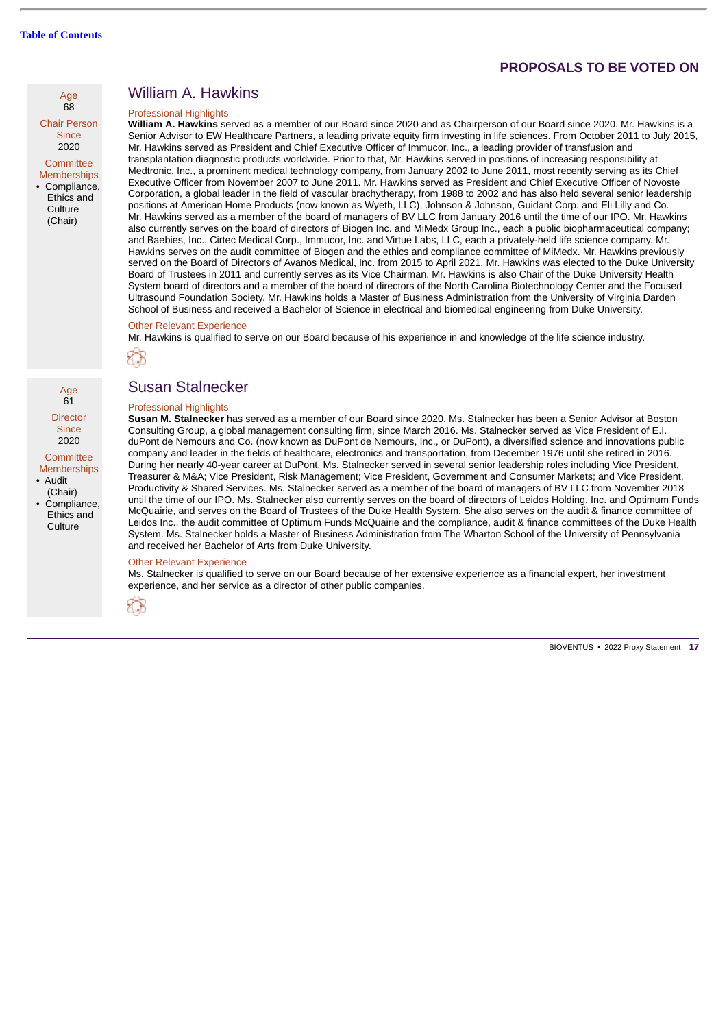

**Since** 2020

**Committee** Memberships • Compliance, Ethics and **Culture** (Chair)

Age  $61$ **Director Since** 2020 **Committee** Memberships • Audit (Chair) • Compliance, Ethics and Culture

# William A. Hawkins

### Professional Highlights

**William A. Hawkins** served as a member of our Board since 2020 and as Chairperson of our Board since 2020. Mr. Hawkins is a Senior Advisor to EW Healthcare Partners, a leading private equity firm investing in life sciences. From October 2011 to July 2015, Mr. Hawkins served as President and Chief Executive Officer of Immucor, Inc., a leading provider of transfusion and transplantation diagnostic products worldwide. Prior to that, Mr. Hawkins served in positions of increasing responsibility at Medtronic, Inc., a prominent medical technology company, from January 2002 to June 2011, most recently serving as its Chief Executive Officer from November 2007 to June 2011. Mr. Hawkins served as President and Chief Executive Officer of Novoste Corporation, a global leader in the field of vascular brachytherapy, from 1988 to 2002 and has also held several senior leadership positions at American Home Products (now known as Wyeth, LLC), Johnson & Johnson, Guidant Corp. and Eli Lilly and Co. Mr. Hawkins served as a member of the board of managers of BV LLC from January 2016 until the time of our IPO. Mr. Hawkins also currently serves on the board of directors of Biogen Inc. and MiMedx Group Inc., each a public biopharmaceutical company; and Baebies, Inc., Cirtec Medical Corp., Immucor, Inc. and Virtue Labs, LLC, each a privately-held life science company. Mr. Hawkins serves on the audit committee of Biogen and the ethics and compliance committee of MiMedx. Mr. Hawkins previously served on the Board of Directors of Avanos Medical, Inc. from 2015 to April 2021. Mr. Hawkins was elected to the Duke University Board of Trustees in 2011 and currently serves as its Vice Chairman. Mr. Hawkins is also Chair of the Duke University Health System board of directors and a member of the board of directors of the North Carolina Biotechnology Center and the Focused Ultrasound Foundation Society. Mr. Hawkins holds a Master of Business Administration from the University of Virginia Darden School of Business and received a Bachelor of Science in electrical and biomedical engineering from Duke University.

# Other Relevant Experience

Mr. Hawkins is qualified to serve on our Board because of his experience in and knowledge of the life science industry.



# Susan Stalnecker

#### Professional Highlights

**Susan M. Stalnecker** has served as a member of our Board since 2020. Ms. Stalnecker has been a Senior Advisor at Boston Consulting Group, a global management consulting firm, since March 2016. Ms. Stalnecker served as Vice President of E.I. duPont de Nemours and Co. (now known as DuPont de Nemours, Inc., or DuPont), a diversified science and innovations public company and leader in the fields of healthcare, electronics and transportation, from December 1976 until she retired in 2016. During her nearly 40-year career at DuPont, Ms. Stalnecker served in several senior leadership roles including Vice President, Treasurer & M&A; Vice President, Risk Management; Vice President, Government and Consumer Markets; and Vice President, Productivity & Shared Services. Ms. Stalnecker served as a member of the board of managers of BV LLC from November 2018 until the time of our IPO. Ms. Stalnecker also currently serves on the board of directors of Leidos Holding, Inc. and Optimum Funds McQuairie, and serves on the Board of Trustees of the Duke Health System. She also serves on the audit & finance committee of Leidos Inc., the audit committee of Optimum Funds McQuairie and the compliance, audit & finance committees of the Duke Health System. Ms. Stalnecker holds a Master of Business Administration from The Wharton School of the University of Pennsylvania and received her Bachelor of Arts from Duke University.

#### Other Relevant Experience

Ms. Stalnecker is qualified to serve on our Board because of her extensive experience as a financial expert, her investment experience, and her service as a director of other public companies.

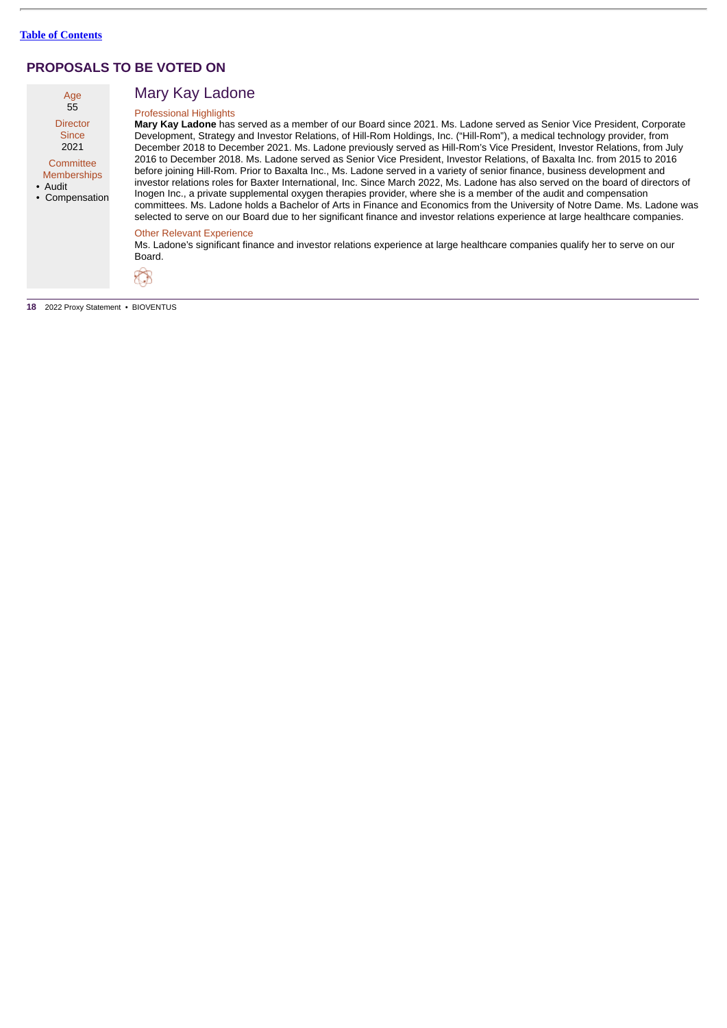| Age<br>55          |
|--------------------|
| <b>Director</b>    |
| Since<br>2021      |
| Committee          |
| <b>Memberships</b> |

• Audit • Compensation

# Mary Kay Ladone

# Professional Highlights

**Mary Kay Ladone** has served as a member of our Board since 2021. Ms. Ladone served as Senior Vice President, Corporate Development, Strategy and Investor Relations, of Hill-Rom Holdings, Inc. ("Hill-Rom"), a medical technology provider, from December 2018 to December 2021. Ms. Ladone previously served as Hill-Rom's Vice President, Investor Relations, from July 2016 to December 2018. Ms. Ladone served as Senior Vice President, Investor Relations, of Baxalta Inc. from 2015 to 2016 before joining Hill-Rom. Prior to Baxalta Inc., Ms. Ladone served in a variety of senior finance, business development and investor relations roles for Baxter International, Inc. Since March 2022, Ms. Ladone has also served on the board of directors of Inogen Inc., a private supplemental oxygen therapies provider, where she is a member of the audit and compensation committees. Ms. Ladone holds a Bachelor of Arts in Finance and Economics from the University of Notre Dame. Ms. Ladone was selected to serve on our Board due to her significant finance and investor relations experience at large healthcare companies.

### Other Relevant Experience

Ms. Ladone's significant finance and investor relations experience at large healthcare companies qualify her to serve on our Board.

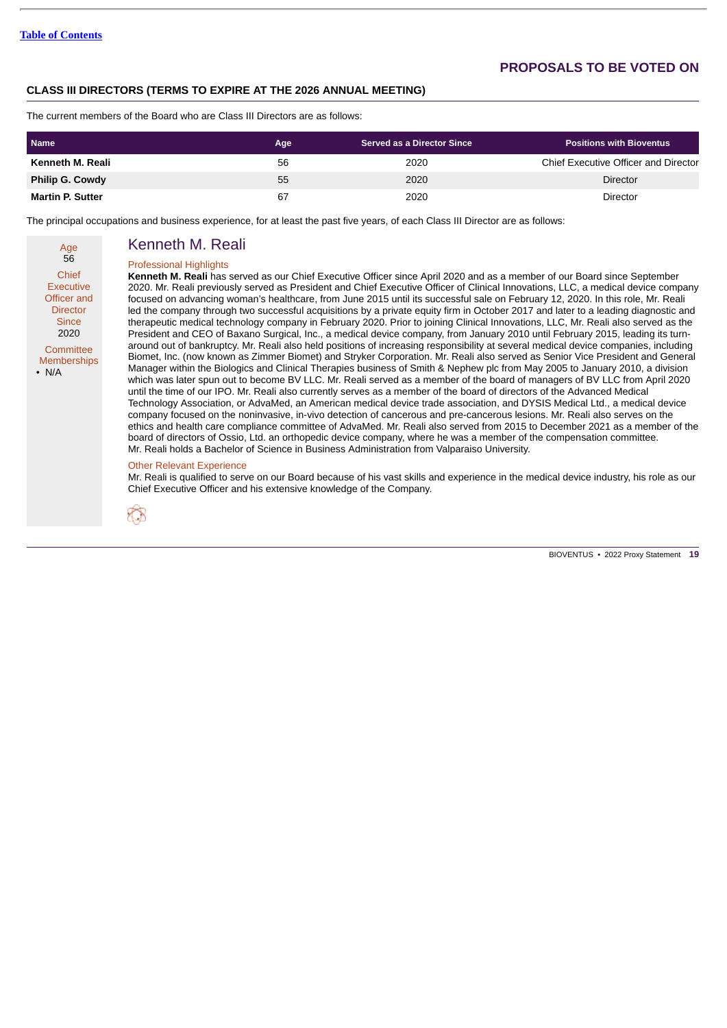# **CLASS III DIRECTORS (TERMS TO EXPIRE AT THE 2026 ANNUAL MEETING)**

The current members of the Board who are Class III Directors are as follows:

| <b>Name</b>             | Age | <b>Served as a Director Since</b> | <b>Positions with Bioventus</b>      |
|-------------------------|-----|-----------------------------------|--------------------------------------|
| Kenneth M. Reali        | 56  | 2020                              | Chief Executive Officer and Director |
| <b>Philip G. Cowdy</b>  | 55  | 2020                              | Director                             |
| <b>Martin P. Sutter</b> | 67  | 2020                              | Director                             |

The principal occupations and business experience, for at least the past five years, of each Class III Director are as follows:

Age 56 Chief Executive Officer and **Director Since** 2020 **Committee Memberships** • N/A

# Kenneth M. Reali

#### Professional Highlights

**Kenneth M. Reali** has served as our Chief Executive Officer since April 2020 and as a member of our Board since September 2020. Mr. Reali previously served as President and Chief Executive Officer of Clinical Innovations, LLC, a medical device company focused on advancing woman's healthcare, from June 2015 until its successful sale on February 12, 2020. In this role, Mr. Reali led the company through two successful acquisitions by a private equity firm in October 2017 and later to a leading diagnostic and therapeutic medical technology company in February 2020. Prior to joining Clinical Innovations, LLC, Mr. Reali also served as the President and CEO of Baxano Surgical, Inc., a medical device company, from January 2010 until February 2015, leading its turnaround out of bankruptcy. Mr. Reali also held positions of increasing responsibility at several medical device companies, including Biomet, Inc. (now known as Zimmer Biomet) and Stryker Corporation. Mr. Reali also served as Senior Vice President and General Manager within the Biologics and Clinical Therapies business of Smith & Nephew plc from May 2005 to January 2010, a division which was later spun out to become BV LLC. Mr. Reali served as a member of the board of managers of BV LLC from April 2020 until the time of our IPO. Mr. Reali also currently serves as a member of the board of directors of the Advanced Medical Technology Association, or AdvaMed, an American medical device trade association, and DYSIS Medical Ltd., a medical device company focused on the noninvasive, in-vivo detection of cancerous and pre-cancerous lesions. Mr. Reali also serves on the ethics and health care compliance committee of AdvaMed. Mr. Reali also served from 2015 to December 2021 as a member of the board of directors of Ossio, Ltd. an orthopedic device company, where he was a member of the compensation committee. Mr. Reali holds a Bachelor of Science in Business Administration from Valparaiso University.

#### Other Relevant Experience

Mr. Reali is qualified to serve on our Board because of his vast skills and experience in the medical device industry, his role as our Chief Executive Officer and his extensive knowledge of the Company.

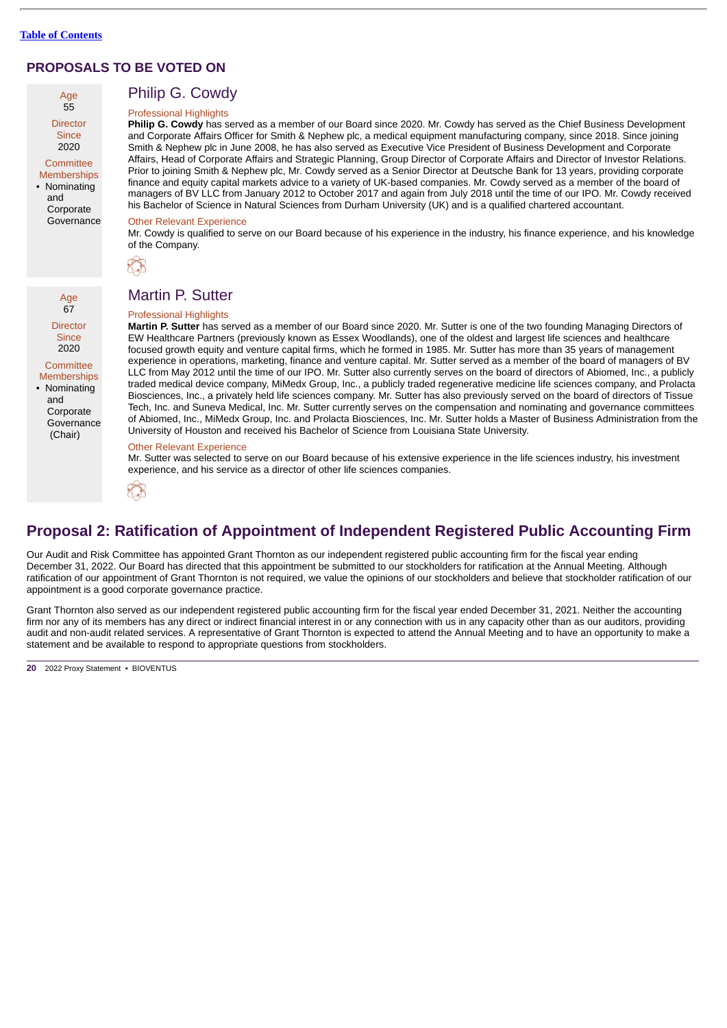

**Director** 2020

**Committee** Memberships • Nominating

> and **Corporate** Governance

Philip G. Cowdy Professional Highlights

**Philip G. Cowdy** has served as a member of our Board since 2020. Mr. Cowdy has served as the Chief Business Development and Corporate Affairs Officer for Smith & Nephew plc, a medical equipment manufacturing company, since 2018. Since joining Smith & Nephew plc in June 2008, he has also served as Executive Vice President of Business Development and Corporate Affairs, Head of Corporate Affairs and Strategic Planning, Group Director of Corporate Affairs and Director of Investor Relations. Prior to joining Smith & Nephew plc, Mr. Cowdy served as a Senior Director at Deutsche Bank for 13 years, providing corporate finance and equity capital markets advice to a variety of UK-based companies. Mr. Cowdy served as a member of the board of managers of BV LLC from January 2012 to October 2017 and again from July 2018 until the time of our IPO. Mr. Cowdy received his Bachelor of Science in Natural Sciences from Durham University (UK) and is a qualified chartered accountant.

#### Other Relevant Experience

Mr. Cowdy is qualified to serve on our Board because of his experience in the industry, his finance experience, and his knowledge of the Company.



Age 67 Director **Since** 2020

**Committee Memberships** 

• Nominating and Corporate Governance (Chair)

# Martin P. Sutter

#### Professional Highlights

**Martin P. Sutter** has served as a member of our Board since 2020. Mr. Sutter is one of the two founding Managing Directors of EW Healthcare Partners (previously known as Essex Woodlands), one of the oldest and largest life sciences and healthcare focused growth equity and venture capital firms, which he formed in 1985. Mr. Sutter has more than 35 years of management experience in operations, marketing, finance and venture capital. Mr. Sutter served as a member of the board of managers of BV LLC from May 2012 until the time of our IPO. Mr. Sutter also currently serves on the board of directors of Abiomed, Inc., a publicly traded medical device company, MiMedx Group, Inc., a publicly traded regenerative medicine life sciences company, and Prolacta Biosciences, Inc., a privately held life sciences company. Mr. Sutter has also previously served on the board of directors of Tissue Tech, Inc. and Suneva Medical, Inc. Mr. Sutter currently serves on the compensation and nominating and governance committees of Abiomed, Inc., MiMedx Group, Inc. and Prolacta Biosciences, Inc. Mr. Sutter holds a Master of Business Administration from the University of Houston and received his Bachelor of Science from Louisiana State University.

### Other Relevant Experience

Mr. Sutter was selected to serve on our Board because of his extensive experience in the life sciences industry, his investment experience, and his service as a director of other life sciences companies.



# <span id="page-23-0"></span>**Proposal 2: Ratification of Appointment of Independent Registered Public Accounting Firm**

Our Audit and Risk Committee has appointed Grant Thornton as our independent registered public accounting firm for the fiscal year ending December 31, 2022. Our Board has directed that this appointment be submitted to our stockholders for ratification at the Annual Meeting. Although ratification of our appointment of Grant Thornton is not required, we value the opinions of our stockholders and believe that stockholder ratification of our appointment is a good corporate governance practice.

Grant Thornton also served as our independent registered public accounting firm for the fiscal year ended December 31, 2021. Neither the accounting firm nor any of its members has any direct or indirect financial interest in or any connection with us in any capacity other than as our auditors, providing audit and non-audit related services. A representative of Grant Thornton is expected to attend the Annual Meeting and to have an opportunity to make a statement and be available to respond to appropriate questions from stockholders.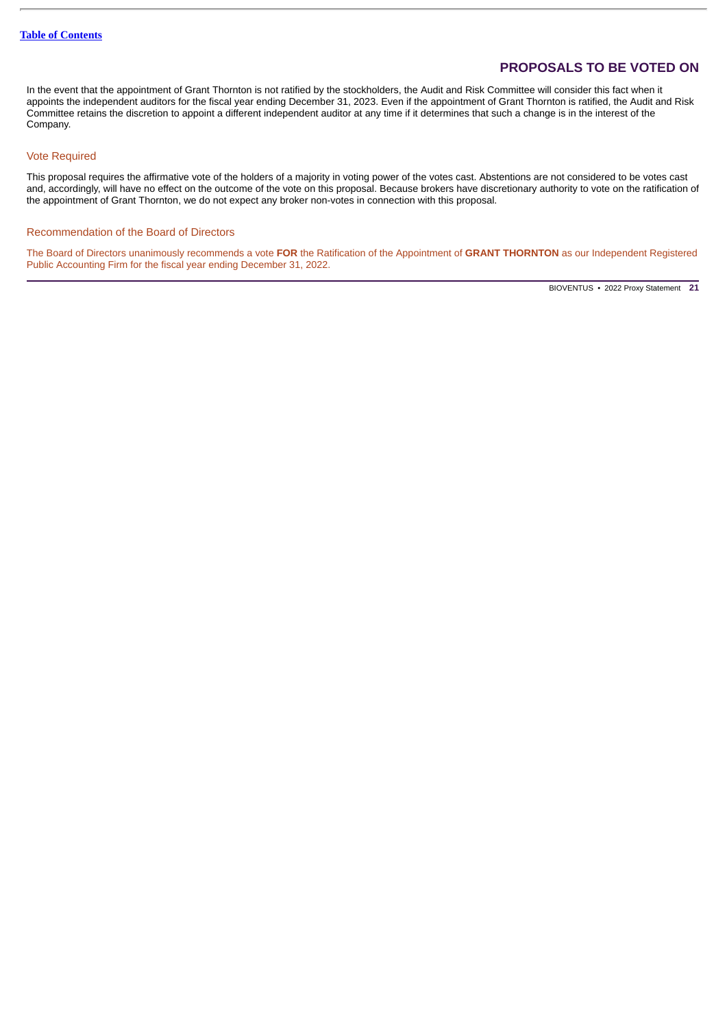In the event that the appointment of Grant Thornton is not ratified by the stockholders, the Audit and Risk Committee will consider this fact when it appoints the independent auditors for the fiscal year ending December 31, 2023. Even if the appointment of Grant Thornton is ratified, the Audit and Risk Committee retains the discretion to appoint a different independent auditor at any time if it determines that such a change is in the interest of the Company.

# Vote Required

This proposal requires the affirmative vote of the holders of a majority in voting power of the votes cast. Abstentions are not considered to be votes cast and, accordingly, will have no effect on the outcome of the vote on this proposal. Because brokers have discretionary authority to vote on the ratification of the appointment of Grant Thornton, we do not expect any broker non-votes in connection with this proposal.

# Recommendation of the Board of Directors

The Board of Directors unanimously recommends a vote **FOR** the Ratification of the Appointment of **GRANT THORNTON** as our Independent Registered Public Accounting Firm for the fiscal year ending December 31, 2022.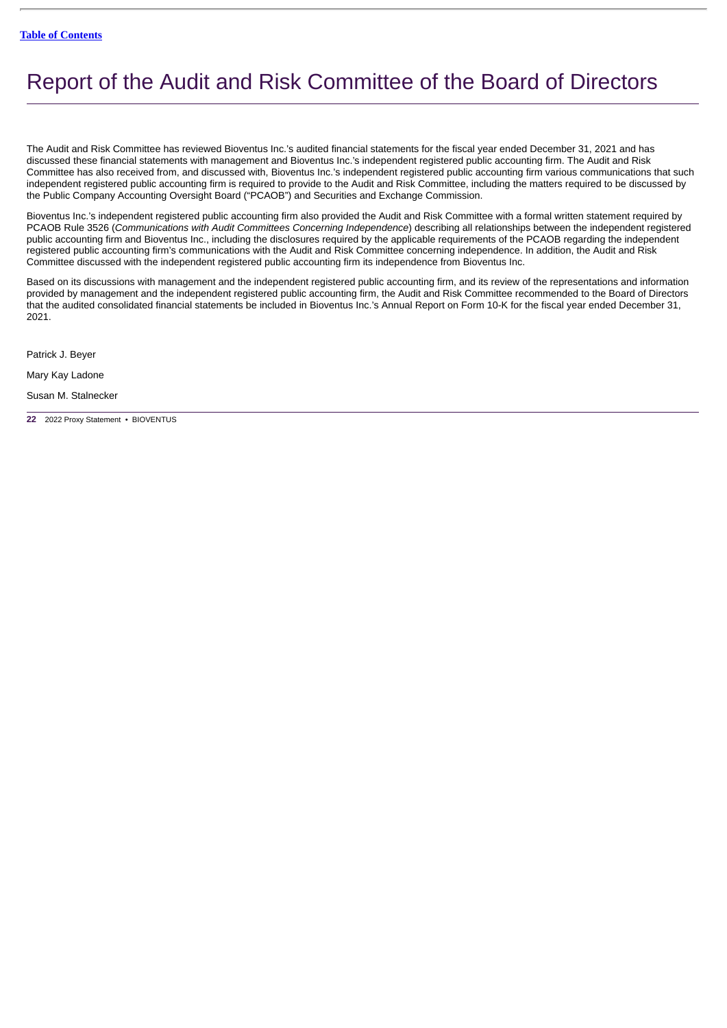# <span id="page-25-0"></span>Report of the Audit and Risk Committee of the Board of Directors

The Audit and Risk Committee has reviewed Bioventus Inc.'s audited financial statements for the fiscal year ended December 31, 2021 and has discussed these financial statements with management and Bioventus Inc.'s independent registered public accounting firm. The Audit and Risk Committee has also received from, and discussed with, Bioventus Inc.'s independent registered public accounting firm various communications that such independent registered public accounting firm is required to provide to the Audit and Risk Committee, including the matters required to be discussed by the Public Company Accounting Oversight Board ("PCAOB") and Securities and Exchange Commission.

Bioventus Inc.'s independent registered public accounting firm also provided the Audit and Risk Committee with a formal written statement required by PCAOB Rule 3526 (*Communications with Audit Committees Concerning Independence*) describing all relationships between the independent registered public accounting firm and Bioventus Inc., including the disclosures required by the applicable requirements of the PCAOB regarding the independent registered public accounting firm's communications with the Audit and Risk Committee concerning independence. In addition, the Audit and Risk Committee discussed with the independent registered public accounting firm its independence from Bioventus Inc.

Based on its discussions with management and the independent registered public accounting firm, and its review of the representations and information provided by management and the independent registered public accounting firm, the Audit and Risk Committee recommended to the Board of Directors that the audited consolidated financial statements be included in Bioventus Inc.'s Annual Report on Form 10-K for the fiscal year ended December 31, 2021.

Patrick J. Beyer

Mary Kay Ladone

Susan M. Stalnecker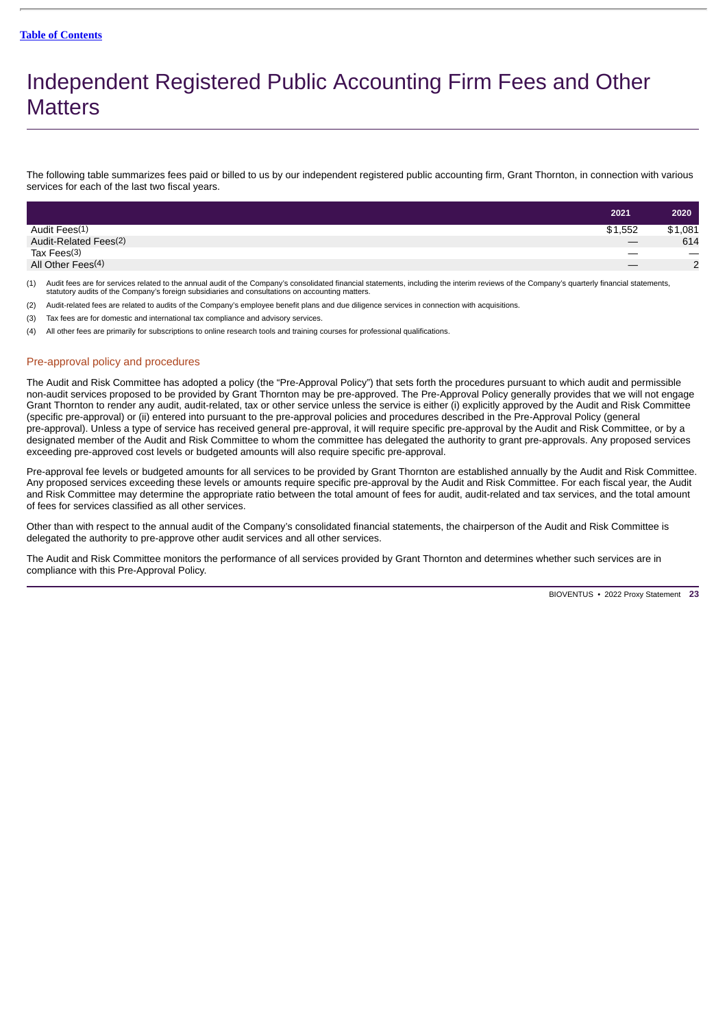# <span id="page-26-0"></span>Independent Registered Public Accounting Firm Fees and Other **Matters**

The following table summarizes fees paid or billed to us by our independent registered public accounting firm, Grant Thornton, in connection with various services for each of the last two fiscal years.

|                               | 2021    | 2020              |
|-------------------------------|---------|-------------------|
| Audit Fees(1)                 | \$1,552 | \$1,081           |
| Audit-Related Fees(2)         |         | 614               |
| Tax Fees <sup>(3)</sup>       |         | $\hspace{0.05cm}$ |
| All Other Fees <sup>(4)</sup> |         | $\overline{2}$    |
|                               |         |                   |

- (1) Audit fees are for services related to the annual audit of the Company's consolidated financial statements, including the interim reviews of the Company's quarterly financial statements,<br>statutory audits of the Company
- (2) Audit-related fees are related to audits of the Company's employee benefit plans and due diligence services in connection with acquisitions.
- (3) Tax fees are for domestic and international tax compliance and advisory services.
- (4) All other fees are primarily for subscriptions to online research tools and training courses for professional qualifications.

### Pre-approval policy and procedures

The Audit and Risk Committee has adopted a policy (the "Pre-Approval Policy") that sets forth the procedures pursuant to which audit and permissible non-audit services proposed to be provided by Grant Thornton may be pre-approved. The Pre-Approval Policy generally provides that we will not engage Grant Thornton to render any audit, audit-related, tax or other service unless the service is either (i) explicitly approved by the Audit and Risk Committee (specific pre-approval) or (ii) entered into pursuant to the pre-approval policies and procedures described in the Pre-Approval Policy (general pre-approval). Unless a type of service has received general pre-approval, it will require specific pre-approval by the Audit and Risk Committee, or by a designated member of the Audit and Risk Committee to whom the committee has delegated the authority to grant pre-approvals. Any proposed services exceeding pre-approved cost levels or budgeted amounts will also require specific pre-approval.

Pre-approval fee levels or budgeted amounts for all services to be provided by Grant Thornton are established annually by the Audit and Risk Committee. Any proposed services exceeding these levels or amounts require specific pre-approval by the Audit and Risk Committee. For each fiscal year, the Audit and Risk Committee may determine the appropriate ratio between the total amount of fees for audit, audit-related and tax services, and the total amount of fees for services classified as all other services.

Other than with respect to the annual audit of the Company's consolidated financial statements, the chairperson of the Audit and Risk Committee is delegated the authority to pre-approve other audit services and all other services.

The Audit and Risk Committee monitors the performance of all services provided by Grant Thornton and determines whether such services are in compliance with this Pre-Approval Policy.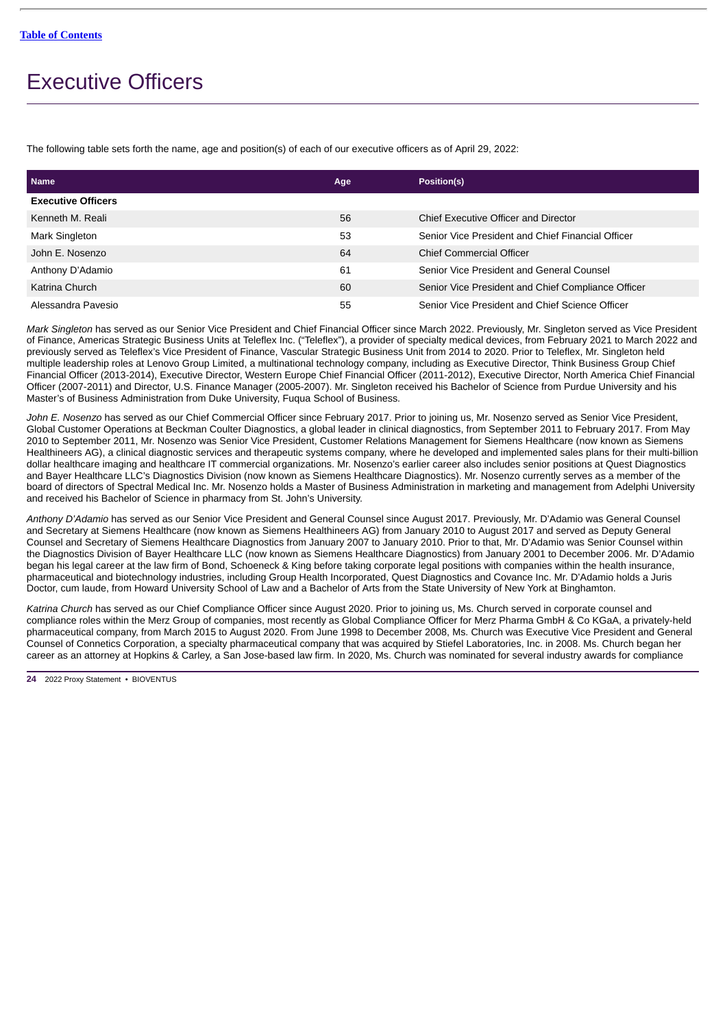# <span id="page-27-0"></span>Executive Officers

The following table sets forth the name, age and position(s) of each of our executive officers as of April 29, 2022:

| <b>Name</b>               | Age | Position(s)                                        |
|---------------------------|-----|----------------------------------------------------|
| <b>Executive Officers</b> |     |                                                    |
| Kenneth M. Reali          | 56  | Chief Executive Officer and Director               |
| Mark Singleton            | 53  | Senior Vice President and Chief Financial Officer  |
| John E. Nosenzo           | 64  | <b>Chief Commercial Officer</b>                    |
| Anthony D'Adamio          | 61  | Senior Vice President and General Counsel          |
| Katrina Church            | 60  | Senior Vice President and Chief Compliance Officer |
| Alessandra Pavesio        | 55  | Senior Vice President and Chief Science Officer    |

*Mark Singleton* has served as our Senior Vice President and Chief Financial Officer since March 2022. Previously, Mr. Singleton served as Vice President of Finance, Americas Strategic Business Units at Teleflex Inc. ("Teleflex"), a provider of specialty medical devices, from February 2021 to March 2022 and previously served as Teleflex's Vice President of Finance, Vascular Strategic Business Unit from 2014 to 2020. Prior to Teleflex, Mr. Singleton held multiple leadership roles at Lenovo Group Limited, a multinational technology company, including as Executive Director, Think Business Group Chief Financial Officer (2013-2014), Executive Director, Western Europe Chief Financial Officer (2011-2012), Executive Director, North America Chief Financial Officer (2007-2011) and Director, U.S. Finance Manager (2005-2007). Mr. Singleton received his Bachelor of Science from Purdue University and his Master's of Business Administration from Duke University, Fuqua School of Business.

*John E. Nosenzo* has served as our Chief Commercial Officer since February 2017. Prior to joining us, Mr. Nosenzo served as Senior Vice President, Global Customer Operations at Beckman Coulter Diagnostics, a global leader in clinical diagnostics, from September 2011 to February 2017. From May 2010 to September 2011, Mr. Nosenzo was Senior Vice President, Customer Relations Management for Siemens Healthcare (now known as Siemens Healthineers AG), a clinical diagnostic services and therapeutic systems company, where he developed and implemented sales plans for their multi-billion dollar healthcare imaging and healthcare IT commercial organizations. Mr. Nosenzo's earlier career also includes senior positions at Quest Diagnostics and Bayer Healthcare LLC's Diagnostics Division (now known as Siemens Healthcare Diagnostics). Mr. Nosenzo currently serves as a member of the board of directors of Spectral Medical Inc. Mr. Nosenzo holds a Master of Business Administration in marketing and management from Adelphi University and received his Bachelor of Science in pharmacy from St. John's University.

*Anthony D'Adamio* has served as our Senior Vice President and General Counsel since August 2017. Previously, Mr. D'Adamio was General Counsel and Secretary at Siemens Healthcare (now known as Siemens Healthineers AG) from January 2010 to August 2017 and served as Deputy General Counsel and Secretary of Siemens Healthcare Diagnostics from January 2007 to January 2010. Prior to that, Mr. D'Adamio was Senior Counsel within the Diagnostics Division of Bayer Healthcare LLC (now known as Siemens Healthcare Diagnostics) from January 2001 to December 2006. Mr. D'Adamio began his legal career at the law firm of Bond, Schoeneck & King before taking corporate legal positions with companies within the health insurance, pharmaceutical and biotechnology industries, including Group Health Incorporated, Quest Diagnostics and Covance Inc. Mr. D'Adamio holds a Juris Doctor, cum laude, from Howard University School of Law and a Bachelor of Arts from the State University of New York at Binghamton.

*Katrina Church* has served as our Chief Compliance Officer since August 2020. Prior to joining us, Ms. Church served in corporate counsel and compliance roles within the Merz Group of companies, most recently as Global Compliance Officer for Merz Pharma GmbH & Co KGaA, a privately-held pharmaceutical company, from March 2015 to August 2020. From June 1998 to December 2008, Ms. Church was Executive Vice President and General Counsel of Connetics Corporation, a specialty pharmaceutical company that was acquired by Stiefel Laboratories, Inc. in 2008. Ms. Church began her career as an attorney at Hopkins & Carley, a San Jose-based law firm. In 2020, Ms. Church was nominated for several industry awards for compliance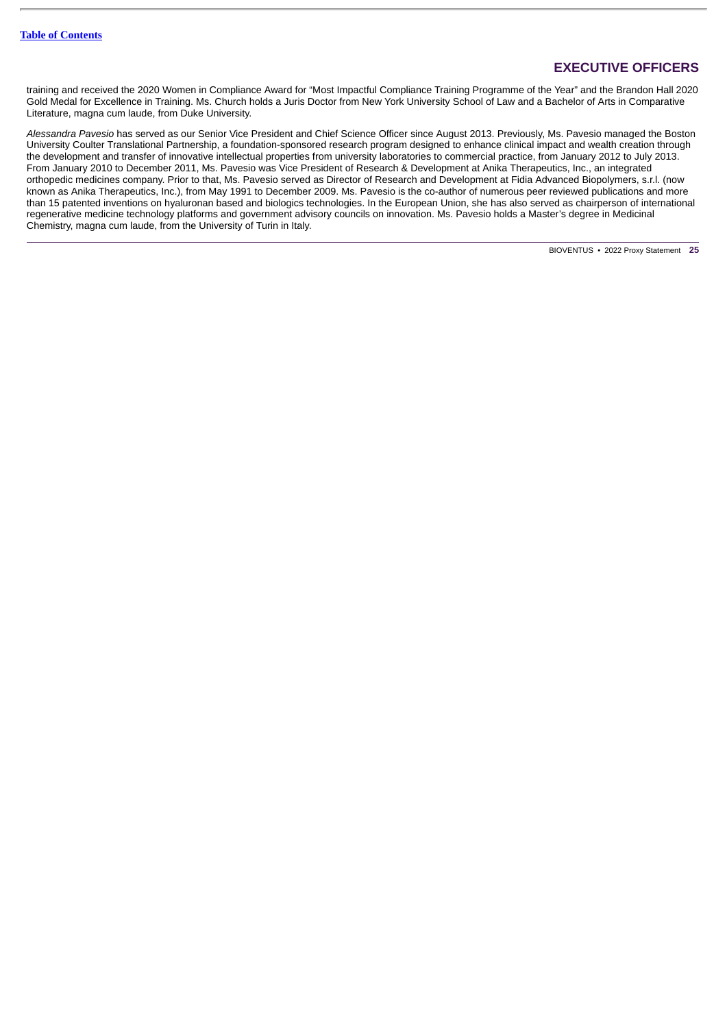# **EXECUTIVE OFFICERS**

training and received the 2020 Women in Compliance Award for "Most Impactful Compliance Training Programme of the Year" and the Brandon Hall 2020 Gold Medal for Excellence in Training. Ms. Church holds a Juris Doctor from New York University School of Law and a Bachelor of Arts in Comparative Literature, magna cum laude, from Duke University.

*Alessandra Pavesio* has served as our Senior Vice President and Chief Science Officer since August 2013. Previously, Ms. Pavesio managed the Boston University Coulter Translational Partnership, a foundation-sponsored research program designed to enhance clinical impact and wealth creation through the development and transfer of innovative intellectual properties from university laboratories to commercial practice, from January 2012 to July 2013. From January 2010 to December 2011, Ms. Pavesio was Vice President of Research & Development at Anika Therapeutics, Inc., an integrated orthopedic medicines company. Prior to that, Ms. Pavesio served as Director of Research and Development at Fidia Advanced Biopolymers, s.r.l. (now known as Anika Therapeutics, Inc.), from May 1991 to December 2009. Ms. Pavesio is the co-author of numerous peer reviewed publications and more than 15 patented inventions on hyaluronan based and biologics technologies. In the European Union, she has also served as chairperson of international regenerative medicine technology platforms and government advisory councils on innovation. Ms. Pavesio holds a Master's degree in Medicinal Chemistry, magna cum laude, from the University of Turin in Italy.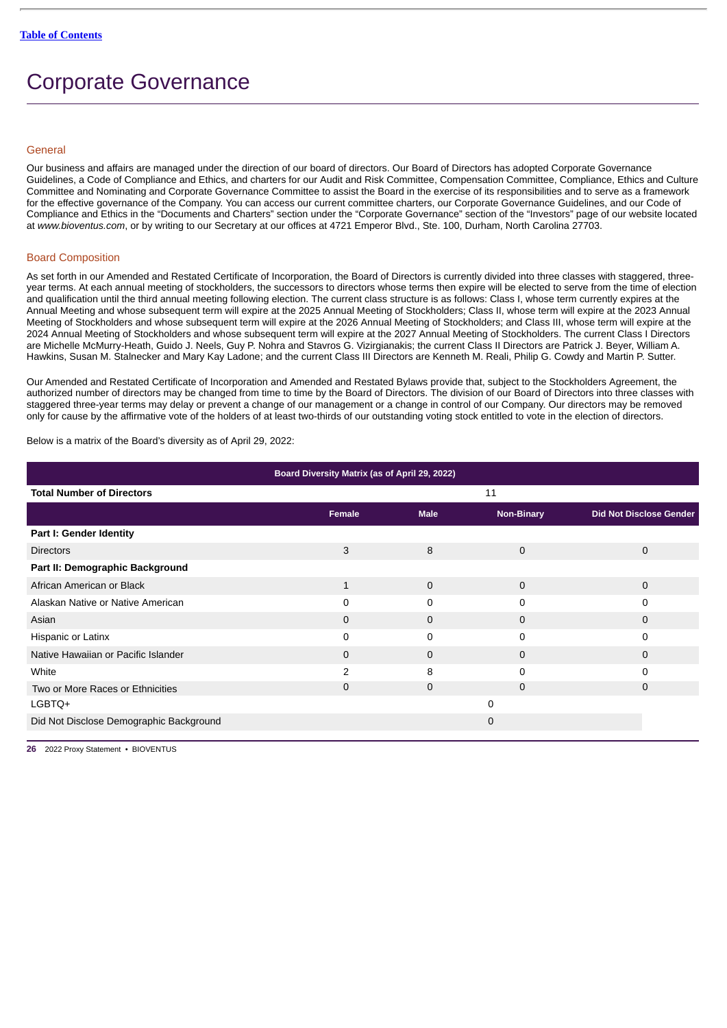# <span id="page-29-0"></span>Corporate Governance

# <span id="page-29-1"></span>**General**

Our business and affairs are managed under the direction of our board of directors. Our Board of Directors has adopted Corporate Governance Guidelines, a Code of Compliance and Ethics, and charters for our Audit and Risk Committee, Compensation Committee, Compliance, Ethics and Culture Committee and Nominating and Corporate Governance Committee to assist the Board in the exercise of its responsibilities and to serve as a framework for the effective governance of the Company. You can access our current committee charters, our Corporate Governance Guidelines, and our Code of Compliance and Ethics in the "Documents and Charters" section under the "Corporate Governance" section of the "Investors" page of our website located at *www.bioventus.com*, or by writing to our Secretary at our offices at 4721 Emperor Blvd., Ste. 100, Durham, North Carolina 27703.

### <span id="page-29-2"></span>Board Composition

As set forth in our Amended and Restated Certificate of Incorporation, the Board of Directors is currently divided into three classes with staggered, threeyear terms. At each annual meeting of stockholders, the successors to directors whose terms then expire will be elected to serve from the time of election and qualification until the third annual meeting following election. The current class structure is as follows: Class I, whose term currently expires at the Annual Meeting and whose subsequent term will expire at the 2025 Annual Meeting of Stockholders; Class II, whose term will expire at the 2023 Annual Meeting of Stockholders and whose subsequent term will expire at the 2026 Annual Meeting of Stockholders; and Class III, whose term will expire at the 2024 Annual Meeting of Stockholders and whose subsequent term will expire at the 2027 Annual Meeting of Stockholders. The current Class I Directors are Michelle McMurry-Heath, Guido J. Neels, Guy P. Nohra and Stavros G. Vizirgianakis; the current Class II Directors are Patrick J. Beyer, William A. Hawkins, Susan M. Stalnecker and Mary Kay Ladone; and the current Class III Directors are Kenneth M. Reali, Philip G. Cowdy and Martin P. Sutter.

Our Amended and Restated Certificate of Incorporation and Amended and Restated Bylaws provide that, subject to the Stockholders Agreement, the authorized number of directors may be changed from time to time by the Board of Directors. The division of our Board of Directors into three classes with staggered three-year terms may delay or prevent a change of our management or a change in control of our Company. Our directors may be removed only for cause by the affirmative vote of the holders of at least two-thirds of our outstanding voting stock entitled to vote in the election of directors.

Below is a matrix of the Board's diversity as of April 29, 2022:

| Board Diversity Matrix (as of April 29, 2022) |              |             |             |                                |  |  |  |
|-----------------------------------------------|--------------|-------------|-------------|--------------------------------|--|--|--|
| <b>Total Number of Directors</b>              |              |             | 11          |                                |  |  |  |
|                                               | Female       | <b>Male</b> | Non-Binary  | <b>Did Not Disclose Gender</b> |  |  |  |
| Part I: Gender Identity                       |              |             |             |                                |  |  |  |
| <b>Directors</b>                              | 3            | 8           | $\mathbf 0$ | 0                              |  |  |  |
| Part II: Demographic Background               |              |             |             |                                |  |  |  |
| African American or Black                     | $\mathbf{1}$ | $\mathbf 0$ | 0           | $\mathbf 0$                    |  |  |  |
| Alaskan Native or Native American             | $\Omega$     | 0           | 0           | 0                              |  |  |  |
| Asian                                         | $\mathbf 0$  | $\mathbf 0$ | $\Omega$    | $\mathbf 0$                    |  |  |  |
| Hispanic or Latinx                            | 0            | 0           | 0           | 0                              |  |  |  |
| Native Hawaiian or Pacific Islander           | $\mathbf 0$  | $\mathbf 0$ | 0           | $\mathbf 0$                    |  |  |  |
| White                                         | 2            | 8           | 0           | 0                              |  |  |  |
| Two or More Races or Ethnicities              | 0            | 0           | 0           | 0                              |  |  |  |
| LGBTQ+                                        |              |             | 0           |                                |  |  |  |
| Did Not Disclose Demographic Background       |              |             | $\mathbf 0$ |                                |  |  |  |
|                                               |              |             |             |                                |  |  |  |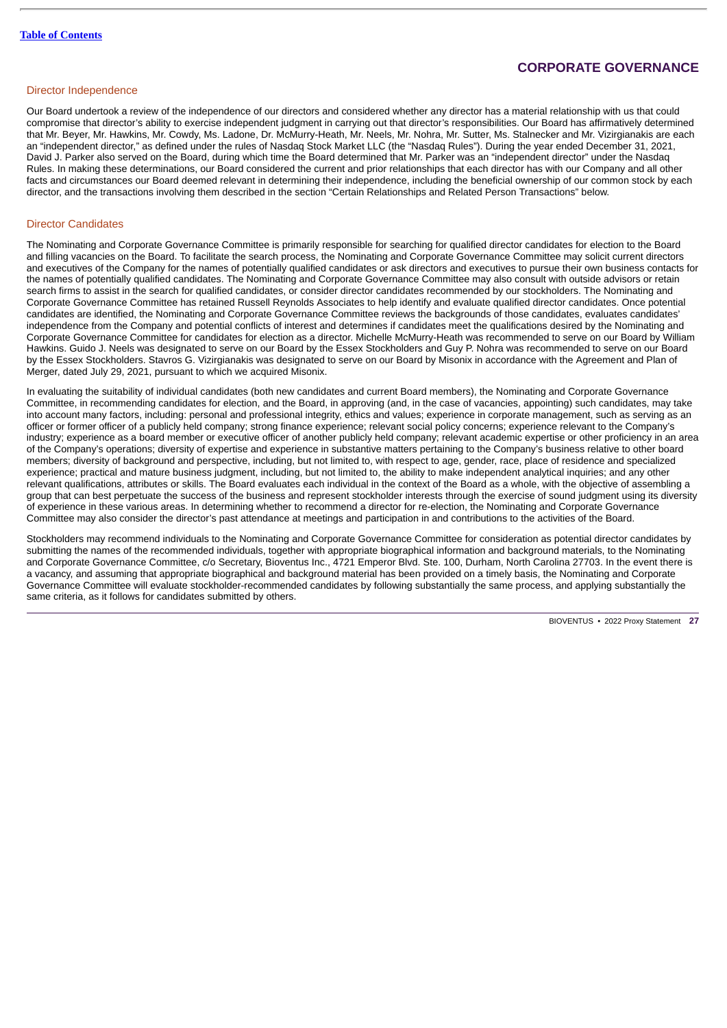# **CORPORATE GOVERNANCE**

# <span id="page-30-0"></span>Director Independence

Our Board undertook a review of the independence of our directors and considered whether any director has a material relationship with us that could compromise that director's ability to exercise independent judgment in carrying out that director's responsibilities. Our Board has affirmatively determined that Mr. Beyer, Mr. Hawkins, Mr. Cowdy, Ms. Ladone, Dr. McMurry-Heath, Mr. Neels, Mr. Nohra, Mr. Sutter, Ms. Stalnecker and Mr. Vizirgianakis are each an "independent director," as defined under the rules of Nasdaq Stock Market LLC (the "Nasdaq Rules"). During the year ended December 31, 2021, David J. Parker also served on the Board, during which time the Board determined that Mr. Parker was an "independent director" under the Nasdaq Rules. In making these determinations, our Board considered the current and prior relationships that each director has with our Company and all other facts and circumstances our Board deemed relevant in determining their independence, including the beneficial ownership of our common stock by each director, and the transactions involving them described in the section "Certain Relationships and Related Person Transactions" below.

# <span id="page-30-1"></span>Director Candidates

The Nominating and Corporate Governance Committee is primarily responsible for searching for qualified director candidates for election to the Board and filling vacancies on the Board. To facilitate the search process, the Nominating and Corporate Governance Committee may solicit current directors and executives of the Company for the names of potentially qualified candidates or ask directors and executives to pursue their own business contacts for the names of potentially qualified candidates. The Nominating and Corporate Governance Committee may also consult with outside advisors or retain search firms to assist in the search for qualified candidates, or consider director candidates recommended by our stockholders. The Nominating and Corporate Governance Committee has retained Russell Reynolds Associates to help identify and evaluate qualified director candidates. Once potential candidates are identified, the Nominating and Corporate Governance Committee reviews the backgrounds of those candidates, evaluates candidates' independence from the Company and potential conflicts of interest and determines if candidates meet the qualifications desired by the Nominating and Corporate Governance Committee for candidates for election as a director. Michelle McMurry-Heath was recommended to serve on our Board by William Hawkins. Guido J. Neels was designated to serve on our Board by the Essex Stockholders and Guy P. Nohra was recommended to serve on our Board by the Essex Stockholders. Stavros G. Vizirgianakis was designated to serve on our Board by Misonix in accordance with the Agreement and Plan of Merger, dated July 29, 2021, pursuant to which we acquired Misonix.

In evaluating the suitability of individual candidates (both new candidates and current Board members), the Nominating and Corporate Governance Committee, in recommending candidates for election, and the Board, in approving (and, in the case of vacancies, appointing) such candidates, may take into account many factors, including: personal and professional integrity, ethics and values; experience in corporate management, such as serving as an officer or former officer of a publicly held company; strong finance experience; relevant social policy concerns; experience relevant to the Company's industry; experience as a board member or executive officer of another publicly held company; relevant academic expertise or other proficiency in an area of the Company's operations; diversity of expertise and experience in substantive matters pertaining to the Company's business relative to other board members; diversity of background and perspective, including, but not limited to, with respect to age, gender, race, place of residence and specialized experience; practical and mature business judgment, including, but not limited to, the ability to make independent analytical inquiries; and any other relevant qualifications, attributes or skills. The Board evaluates each individual in the context of the Board as a whole, with the objective of assembling a group that can best perpetuate the success of the business and represent stockholder interests through the exercise of sound judgment using its diversity of experience in these various areas. In determining whether to recommend a director for re-election, the Nominating and Corporate Governance Committee may also consider the director's past attendance at meetings and participation in and contributions to the activities of the Board.

Stockholders may recommend individuals to the Nominating and Corporate Governance Committee for consideration as potential director candidates by submitting the names of the recommended individuals, together with appropriate biographical information and background materials, to the Nominating and Corporate Governance Committee, c/o Secretary, Bioventus Inc., 4721 Emperor Blvd. Ste. 100, Durham, North Carolina 27703. In the event there is a vacancy, and assuming that appropriate biographical and background material has been provided on a timely basis, the Nominating and Corporate Governance Committee will evaluate stockholder-recommended candidates by following substantially the same process, and applying substantially the same criteria, as it follows for candidates submitted by others.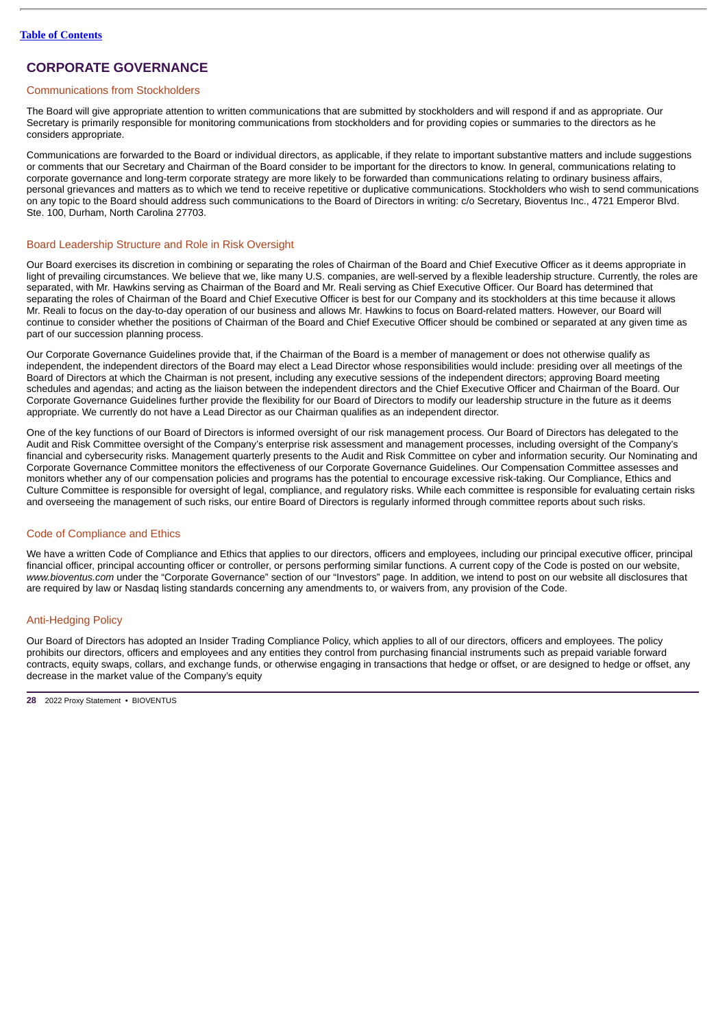# **CORPORATE GOVERNANCE**

# <span id="page-31-0"></span>Communications from Stockholders

The Board will give appropriate attention to written communications that are submitted by stockholders and will respond if and as appropriate. Our Secretary is primarily responsible for monitoring communications from stockholders and for providing copies or summaries to the directors as he considers appropriate.

Communications are forwarded to the Board or individual directors, as applicable, if they relate to important substantive matters and include suggestions or comments that our Secretary and Chairman of the Board consider to be important for the directors to know. In general, communications relating to corporate governance and long-term corporate strategy are more likely to be forwarded than communications relating to ordinary business affairs, personal grievances and matters as to which we tend to receive repetitive or duplicative communications. Stockholders who wish to send communications on any topic to the Board should address such communications to the Board of Directors in writing: c/o Secretary, Bioventus Inc., 4721 Emperor Blvd. Ste. 100, Durham, North Carolina 27703.

### <span id="page-31-1"></span>Board Leadership Structure and Role in Risk Oversight

Our Board exercises its discretion in combining or separating the roles of Chairman of the Board and Chief Executive Officer as it deems appropriate in light of prevailing circumstances. We believe that we, like many U.S. companies, are well-served by a flexible leadership structure. Currently, the roles are separated, with Mr. Hawkins serving as Chairman of the Board and Mr. Reali serving as Chief Executive Officer. Our Board has determined that separating the roles of Chairman of the Board and Chief Executive Officer is best for our Company and its stockholders at this time because it allows Mr. Reali to focus on the day-to-day operation of our business and allows Mr. Hawkins to focus on Board-related matters. However, our Board will continue to consider whether the positions of Chairman of the Board and Chief Executive Officer should be combined or separated at any given time as part of our succession planning process.

Our Corporate Governance Guidelines provide that, if the Chairman of the Board is a member of management or does not otherwise qualify as independent, the independent directors of the Board may elect a Lead Director whose responsibilities would include: presiding over all meetings of the Board of Directors at which the Chairman is not present, including any executive sessions of the independent directors; approving Board meeting schedules and agendas; and acting as the liaison between the independent directors and the Chief Executive Officer and Chairman of the Board. Our Corporate Governance Guidelines further provide the flexibility for our Board of Directors to modify our leadership structure in the future as it deems appropriate. We currently do not have a Lead Director as our Chairman qualifies as an independent director.

One of the key functions of our Board of Directors is informed oversight of our risk management process. Our Board of Directors has delegated to the Audit and Risk Committee oversight of the Company's enterprise risk assessment and management processes, including oversight of the Company's financial and cybersecurity risks. Management quarterly presents to the Audit and Risk Committee on cyber and information security. Our Nominating and Corporate Governance Committee monitors the effectiveness of our Corporate Governance Guidelines. Our Compensation Committee assesses and monitors whether any of our compensation policies and programs has the potential to encourage excessive risk-taking. Our Compliance, Ethics and Culture Committee is responsible for oversight of legal, compliance, and regulatory risks. While each committee is responsible for evaluating certain risks and overseeing the management of such risks, our entire Board of Directors is regularly informed through committee reports about such risks.

# <span id="page-31-2"></span>Code of Compliance and Ethics

We have a written Code of Compliance and Ethics that applies to our directors, officers and employees, including our principal executive officer, principal financial officer, principal accounting officer or controller, or persons performing similar functions. A current copy of the Code is posted on our website, *www.bioventus.com* under the "Corporate Governance" section of our "Investors" page. In addition, we intend to post on our website all disclosures that are required by law or Nasdaq listing standards concerning any amendments to, or waivers from, any provision of the Code.

# <span id="page-31-3"></span>Anti-Hedging Policy

Our Board of Directors has adopted an Insider Trading Compliance Policy, which applies to all of our directors, officers and employees. The policy prohibits our directors, officers and employees and any entities they control from purchasing financial instruments such as prepaid variable forward contracts, equity swaps, collars, and exchange funds, or otherwise engaging in transactions that hedge or offset, or are designed to hedge or offset, any decrease in the market value of the Company's equity

**<sup>28</sup>** 2022 Proxy Statement • BIOVENTUS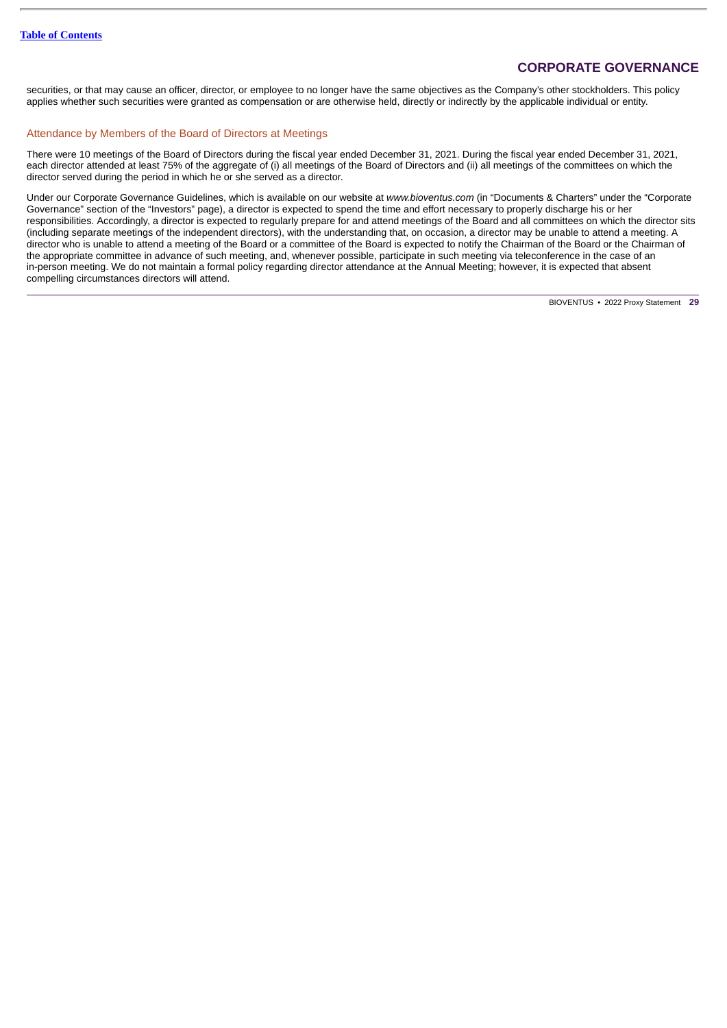# **CORPORATE GOVERNANCE**

securities, or that may cause an officer, director, or employee to no longer have the same objectives as the Company's other stockholders. This policy applies whether such securities were granted as compensation or are otherwise held, directly or indirectly by the applicable individual or entity.

### <span id="page-32-0"></span>Attendance by Members of the Board of Directors at Meetings

There were 10 meetings of the Board of Directors during the fiscal year ended December 31, 2021. During the fiscal year ended December 31, 2021, each director attended at least 75% of the aggregate of (i) all meetings of the Board of Directors and (ii) all meetings of the committees on which the director served during the period in which he or she served as a director.

Under our Corporate Governance Guidelines, which is available on our website at *www.bioventus.com* (in "Documents & Charters" under the "Corporate Governance" section of the "Investors" page), a director is expected to spend the time and effort necessary to properly discharge his or her responsibilities. Accordingly, a director is expected to regularly prepare for and attend meetings of the Board and all committees on which the director sits (including separate meetings of the independent directors), with the understanding that, on occasion, a director may be unable to attend a meeting. A director who is unable to attend a meeting of the Board or a committee of the Board is expected to notify the Chairman of the Board or the Chairman of the appropriate committee in advance of such meeting, and, whenever possible, participate in such meeting via teleconference in the case of an in-person meeting. We do not maintain a formal policy regarding director attendance at the Annual Meeting; however, it is expected that absent compelling circumstances directors will attend.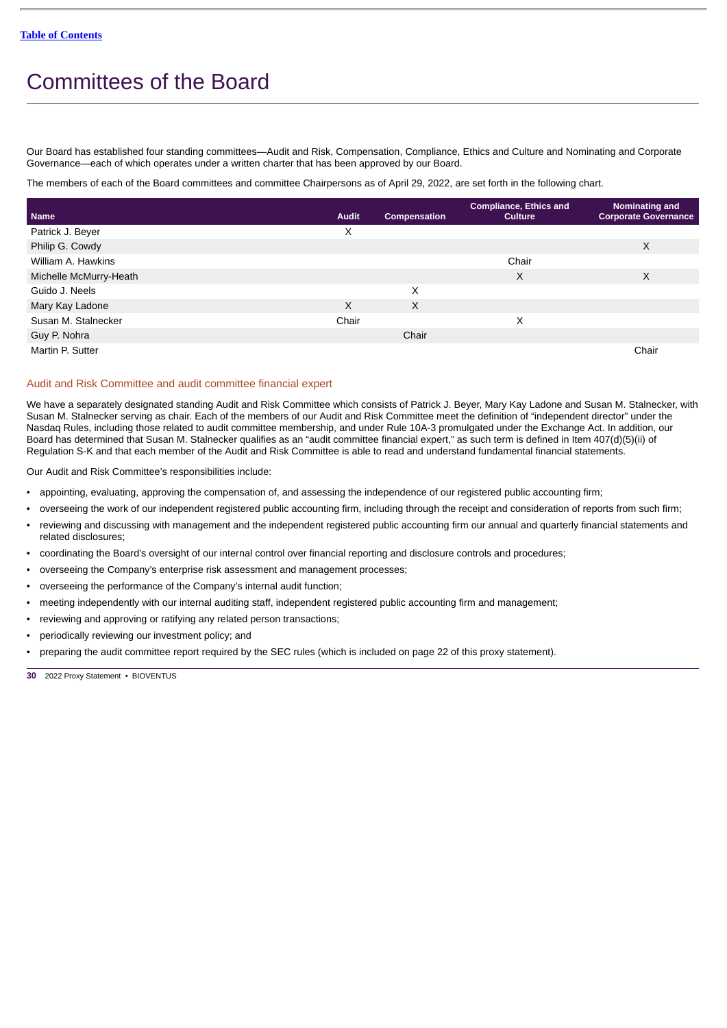# <span id="page-33-0"></span>Committees of the Board

Our Board has established four standing committees—Audit and Risk, Compensation, Compliance, Ethics and Culture and Nominating and Corporate Governance—each of which operates under a written charter that has been approved by our Board.

The members of each of the Board committees and committee Chairpersons as of April 29, 2022, are set forth in the following chart.

| <b>Name</b>            | <b>Audit</b> | Compensation | <b>Compliance, Ethics and</b><br><b>Culture</b> | Nominating and<br><b>Corporate Governance</b> |
|------------------------|--------------|--------------|-------------------------------------------------|-----------------------------------------------|
| Patrick J. Beyer       | X            |              |                                                 |                                               |
| Philip G. Cowdy        |              |              |                                                 | X                                             |
| William A. Hawkins     |              |              | Chair                                           |                                               |
| Michelle McMurry-Heath |              |              | X                                               | X                                             |
| Guido J. Neels         |              | X            |                                                 |                                               |
| Mary Kay Ladone        | X            | X            |                                                 |                                               |
| Susan M. Stalnecker    | Chair        |              | X                                               |                                               |
| Guy P. Nohra           |              | Chair        |                                                 |                                               |
| Martin P. Sutter       |              |              |                                                 | Chair                                         |

### <span id="page-33-1"></span>Audit and Risk Committee and audit committee financial expert

We have a separately designated standing Audit and Risk Committee which consists of Patrick J. Beyer, Mary Kay Ladone and Susan M. Stalnecker, with Susan M. Stalnecker serving as chair. Each of the members of our Audit and Risk Committee meet the definition of "independent director" under the Nasdaq Rules, including those related to audit committee membership, and under Rule 10A-3 promulgated under the Exchange Act. In addition, our Board has determined that Susan M. Stalnecker qualifies as an "audit committee financial expert," as such term is defined in Item 407(d)(5)(ii) of Regulation S-K and that each member of the Audit and Risk Committee is able to read and understand fundamental financial statements.

Our Audit and Risk Committee's responsibilities include:

- appointing, evaluating, approving the compensation of, and assessing the independence of our registered public accounting firm;
- overseeing the work of our independent registered public accounting firm, including through the receipt and consideration of reports from such firm;
- reviewing and discussing with management and the independent registered public accounting firm our annual and quarterly financial statements and related disclosures;
- coordinating the Board's oversight of our internal control over financial reporting and disclosure controls and procedures;
- overseeing the Company's enterprise risk assessment and management processes;
- overseeing the performance of the Company's internal audit function;
- meeting independently with our internal auditing staff, independent registered public accounting firm and management;
- reviewing and approving or ratifying any related person transactions;
- periodically reviewing our investment policy; and
- preparing the audit committee report required by the SEC rules (which is included on page 22 of this proxy statement).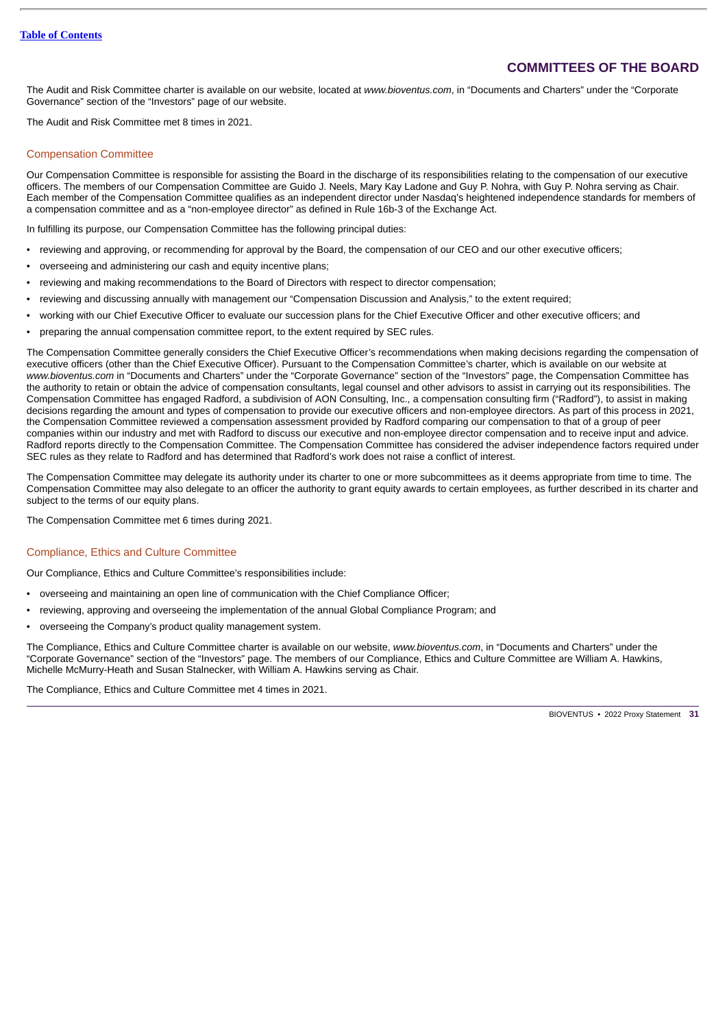# **COMMITTEES OF THE BOARD**

The Audit and Risk Committee charter is available on our website, located at *www.bioventus.com*, in "Documents and Charters" under the "Corporate Governance" section of the "Investors" page of our website.

The Audit and Risk Committee met 8 times in 2021.

### <span id="page-34-0"></span>Compensation Committee

Our Compensation Committee is responsible for assisting the Board in the discharge of its responsibilities relating to the compensation of our executive officers. The members of our Compensation Committee are Guido J. Neels, Mary Kay Ladone and Guy P. Nohra, with Guy P. Nohra serving as Chair. Each member of the Compensation Committee qualifies as an independent director under Nasdaq's heightened independence standards for members of a compensation committee and as a "non-employee director" as defined in Rule 16b-3 of the Exchange Act.

In fulfilling its purpose, our Compensation Committee has the following principal duties:

- reviewing and approving, or recommending for approval by the Board, the compensation of our CEO and our other executive officers;
- overseeing and administering our cash and equity incentive plans;
- reviewing and making recommendations to the Board of Directors with respect to director compensation;
- reviewing and discussing annually with management our "Compensation Discussion and Analysis," to the extent required;
- working with our Chief Executive Officer to evaluate our succession plans for the Chief Executive Officer and other executive officers; and
- preparing the annual compensation committee report, to the extent required by SEC rules.

The Compensation Committee generally considers the Chief Executive Officer's recommendations when making decisions regarding the compensation of executive officers (other than the Chief Executive Officer). Pursuant to the Compensation Committee's charter, which is available on our website at *www.bioventus.com* in "Documents and Charters" under the "Corporate Governance" section of the "Investors" page, the Compensation Committee has the authority to retain or obtain the advice of compensation consultants, legal counsel and other advisors to assist in carrying out its responsibilities. The Compensation Committee has engaged Radford, a subdivision of AON Consulting, Inc., a compensation consulting firm ("Radford"), to assist in making decisions regarding the amount and types of compensation to provide our executive officers and non-employee directors. As part of this process in 2021, the Compensation Committee reviewed a compensation assessment provided by Radford comparing our compensation to that of a group of peer companies within our industry and met with Radford to discuss our executive and non-employee director compensation and to receive input and advice. Radford reports directly to the Compensation Committee. The Compensation Committee has considered the adviser independence factors required under SEC rules as they relate to Radford and has determined that Radford's work does not raise a conflict of interest.

The Compensation Committee may delegate its authority under its charter to one or more subcommittees as it deems appropriate from time to time. The Compensation Committee may also delegate to an officer the authority to grant equity awards to certain employees, as further described in its charter and subject to the terms of our equity plans.

The Compensation Committee met 6 times during 2021.

### Compliance, Ethics and Culture Committee

Our Compliance, Ethics and Culture Committee's responsibilities include:

- overseeing and maintaining an open line of communication with the Chief Compliance Officer;
- reviewing, approving and overseeing the implementation of the annual Global Compliance Program; and
- overseeing the Company's product quality management system.

The Compliance, Ethics and Culture Committee charter is available on our website, *www.bioventus.com*, in "Documents and Charters" under the "Corporate Governance" section of the "Investors" page. The members of our Compliance, Ethics and Culture Committee are William A. Hawkins, Michelle McMurry-Heath and Susan Stalnecker, with William A. Hawkins serving as Chair.

The Compliance, Ethics and Culture Committee met 4 times in 2021.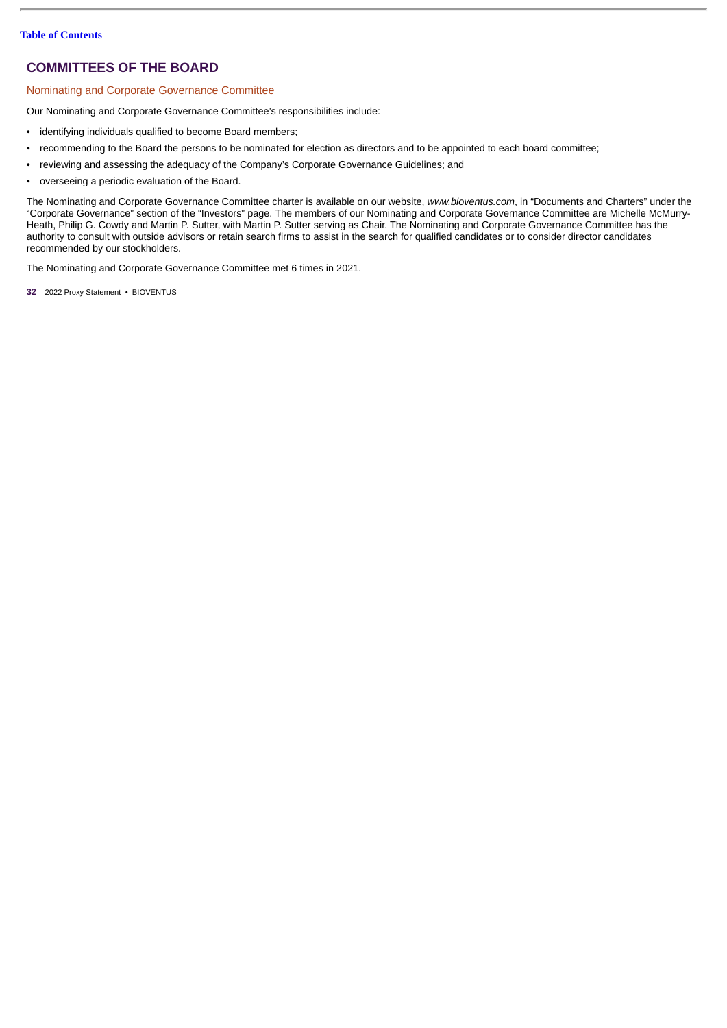# **COMMITTEES OF THE BOARD**

# <span id="page-35-0"></span>Nominating and Corporate Governance Committee

Our Nominating and Corporate Governance Committee's responsibilities include:

- identifying individuals qualified to become Board members;
- recommending to the Board the persons to be nominated for election as directors and to be appointed to each board committee;
- reviewing and assessing the adequacy of the Company's Corporate Governance Guidelines; and
- overseeing a periodic evaluation of the Board.

The Nominating and Corporate Governance Committee charter is available on our website, *www.bioventus.com*, in "Documents and Charters" under the "Corporate Governance" section of the "Investors" page. The members of our Nominating and Corporate Governance Committee are Michelle McMurry-Heath, Philip G. Cowdy and Martin P. Sutter, with Martin P. Sutter serving as Chair. The Nominating and Corporate Governance Committee has the authority to consult with outside advisors or retain search firms to assist in the search for qualified candidates or to consider director candidates recommended by our stockholders.

The Nominating and Corporate Governance Committee met 6 times in 2021.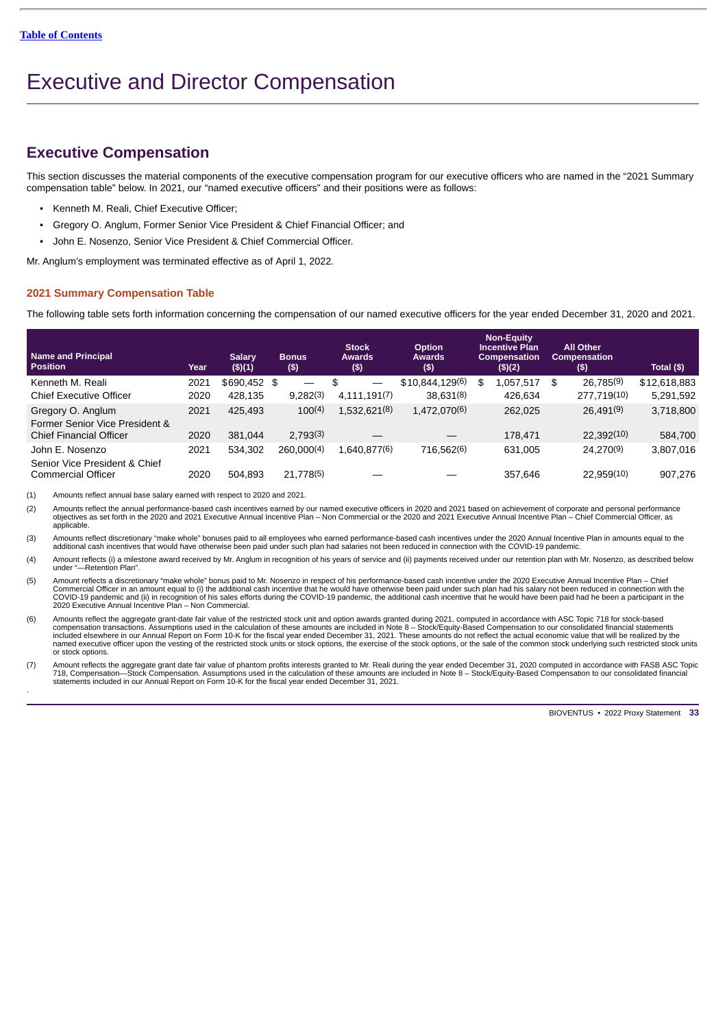# <span id="page-36-0"></span>Executive and Director Compensation

# **Executive Compensation**

This section discusses the material components of the executive compensation program for our executive officers who are named in the "2021 Summary compensation table" below. In 2021, our "named executive officers" and their positions were as follows:

- Kenneth M. Reali, Chief Executive Officer;
- Gregory O. Anglum, Former Senior Vice President & Chief Financial Officer; and
- John E. Nosenzo, Senior Vice President & Chief Commercial Officer.

Mr. Anglum's employment was terminated effective as of April 1, 2022.

# <span id="page-36-1"></span>**2021 Summary Compensation Table**

The following table sets forth information concerning the compensation of our named executive officers for the year ended December 31, 2020 and 2021.

| <b>Name and Principal</b><br><b>Position</b>        | Year | <b>Salary</b><br>(\$)(1) | <b>Bonus</b><br>$($ \$) |            | <b>Stock</b><br>Awards<br>$($ \$) |              | <b>Option</b><br><b>Awards</b><br>$($ \$) |           | <b>Non-Equity</b><br><b>Incentive Plan</b><br><b>Compensation</b><br>(\$)(2) | <b>All Other</b><br><b>Compensation</b><br>(\$) | Total (\$)   |
|-----------------------------------------------------|------|--------------------------|-------------------------|------------|-----------------------------------|--------------|-------------------------------------------|-----------|------------------------------------------------------------------------------|-------------------------------------------------|--------------|
| Kenneth M. Reali                                    | 2021 | \$690.452 \$             |                         |            | \$                                |              | \$10.844.129(6)                           |           | \$<br>1,057,517                                                              | \$<br>26.785(9)                                 | \$12,618,883 |
| <b>Chief Executive Officer</b>                      | 2020 | 428.135                  |                         | 9.282(3)   |                                   | 4.111.191(7) |                                           | 38.631(8) | 426.634                                                                      | 277.719(10)                                     | 5,291,592    |
| Gregory O. Anglum<br>Former Senior Vice President & | 2021 | 425.493                  |                         | 100(4)     |                                   | 1,532,621(8) | 1,472,070(6)                              |           | 262.025                                                                      | 26.491(9)                                       | 3,718,800    |
| <b>Chief Financial Officer</b>                      | 2020 | 381.044                  |                         | 2.793(3)   |                                   |              |                                           |           | 178.471                                                                      | 22.392(10)                                      | 584.700      |
| John E. Nosenzo<br>Senior Vice President & Chief    | 2021 | 534.302                  |                         | 260.000(4) |                                   | 1.640.877(6) | 716.562(6)                                |           | 631.005                                                                      | 24.270(9)                                       | 3,807,016    |
| <b>Commercial Officer</b>                           | 2020 | 504.893                  |                         | 21.778(5)  |                                   |              |                                           |           | 357.646                                                                      | 22.959(10)                                      | 907.276      |

(1) Amounts reflect annual base salary earned with respect to 2020 and 2021.

(2) Amounts reflect the annual performance-based cash incentives earned by our named executive officers in 2020 and 2021 based on achievement of corporate and personal performance<br>objectives as set forth in the 2020 and 20 applicable.

(3) Amounts reflect discretionary "make whole" bonuses paid to all employees who earned performance-based cash incentives under the 2020 Annual Incentive Plan in amounts equal to the additional cash incentives that would have otherwise been paid under such plan had salaries not been reduced in connection with the COVID-19 pandemic.

(4) Amount reflects (i) a milestone award received by Mr. Anglum in recognition of his years of service and (ii) payments received under our retention plan with Mr. Nosenzo, as described below under "—Retention Plan".

(5) Amount reflects a discretionary "make whole" bonus paid to Mr. Nosenzo in respect of his performance-based cash incentive under the 2020 Executive Annual Incentive Plan – Chief<br>Commercial Officer in an amount equal to

6) Amounts reflect the aggregate grant-date fair value of the restricted stock unit and option awards granted during 2021, computed in accordance with ASC Topic 718 for stock-based<br>compensation transactions. Assumptions us named executive officer upon the vesting of the restricted stock units or stock options, the exercise of the stock options, or the sale of the common stock underlying such restricted stock units or stock options.

(7) Amount reflects the aggregate grant date fair value of phantom profits interests granted to Mr. Reali during the year ended December 31, 2020 computed in accordance with FASB ASC Topic 718, Compensation—Stock Compensation. Assumptions used in the calculation of these amounts are included in Note 8 – Stock/Equity-Based Compensation to our consolidated financial<br>statements included in our Annual Report on .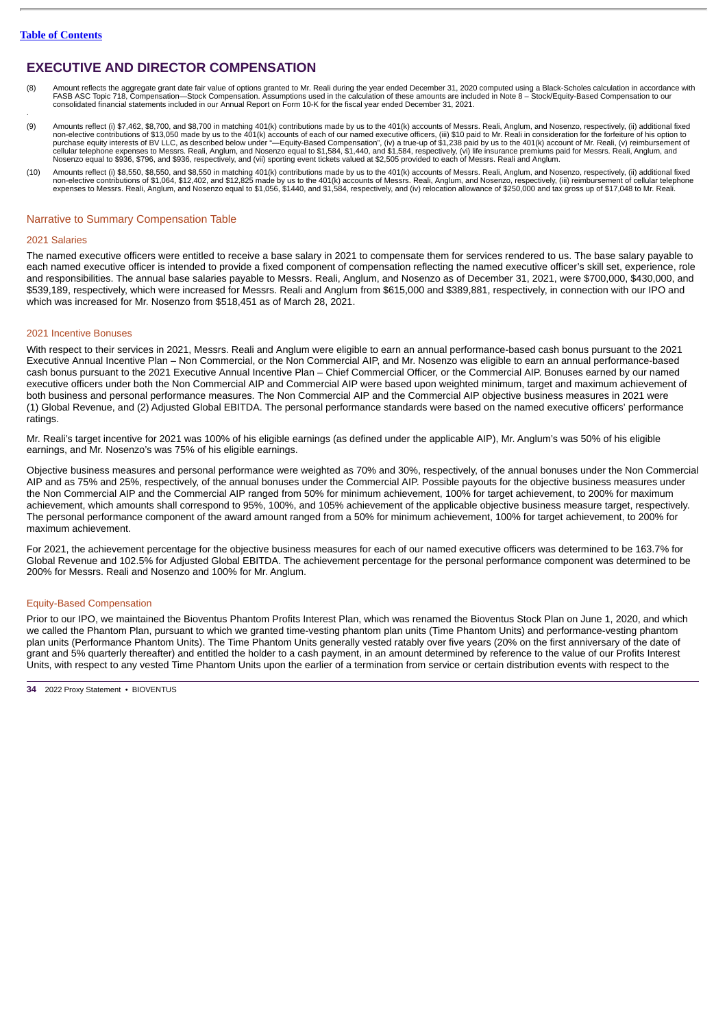.

# **EXECUTIVE AND DIRECTOR COMPENSATION**

- 8) Amount reflects the aggregate grant date fair value of options granted to Mr. Reali during the year ended December 31, 2020 computed using a Black-Scholes calculation in accordance with<br>FASB ASC Topic 718, Compensation—
- (9) Amounts reflect (i) \$7,462, \$8,700, and \$8,700 in matching 401(k) contributions made by us to the 401(k) accounts of Messrs. Reali, Anglum, and Nosenzo, respectively, (ii) additional fixed non-elective contributions of
- (10) Amounts reflect (i) \$8,550, \$8,550, and \$8,550 in matching 401(k) contributions made by us to the 401(k) accounts of Messrs. Reali, Anglum, and Nosenzo, respectively, (ii) additional fixed non-elective contributions of \$1,064, \$12,402, and \$12,825 made by us to the 401(k) accounts of Messrs. Reali, Anglum, and Nosenzo, respectively, (iii) reimbursement of cellular telephone<br>expenses to Messrs. Reali, Anglum,

### <span id="page-37-0"></span>Narrative to Summary Compensation Table

#### 2021 Salaries

The named executive officers were entitled to receive a base salary in 2021 to compensate them for services rendered to us. The base salary payable to each named executive officer is intended to provide a fixed component of compensation reflecting the named executive officer's skill set, experience, role and responsibilities. The annual base salaries payable to Messrs. Reali, Anglum, and Nosenzo as of December 31, 2021, were \$700,000, \$430,000, and \$539,189, respectively, which were increased for Messrs. Reali and Anglum from \$615,000 and \$389,881, respectively, in connection with our IPO and which was increased for Mr. Nosenzo from \$518,451 as of March 28, 2021.

#### 2021 Incentive Bonuses

With respect to their services in 2021, Messrs. Reali and Anglum were eligible to earn an annual performance-based cash bonus pursuant to the 2021 Executive Annual Incentive Plan – Non Commercial, or the Non Commercial AIP, and Mr. Nosenzo was eligible to earn an annual performance-based cash bonus pursuant to the 2021 Executive Annual Incentive Plan – Chief Commercial Officer, or the Commercial AIP. Bonuses earned by our named executive officers under both the Non Commercial AIP and Commercial AIP were based upon weighted minimum, target and maximum achievement of both business and personal performance measures. The Non Commercial AIP and the Commercial AIP objective business measures in 2021 were (1) Global Revenue, and (2) Adjusted Global EBITDA. The personal performance standards were based on the named executive officers' performance ratings.

Mr. Reali's target incentive for 2021 was 100% of his eligible earnings (as defined under the applicable AIP), Mr. Anglum's was 50% of his eligible earnings, and Mr. Nosenzo's was 75% of his eligible earnings.

Objective business measures and personal performance were weighted as 70% and 30%, respectively, of the annual bonuses under the Non Commercial AIP and as 75% and 25%, respectively, of the annual bonuses under the Commercial AIP. Possible payouts for the objective business measures under the Non Commercial AIP and the Commercial AIP ranged from 50% for minimum achievement, 100% for target achievement, to 200% for maximum achievement, which amounts shall correspond to 95%, 100%, and 105% achievement of the applicable objective business measure target, respectively. The personal performance component of the award amount ranged from a 50% for minimum achievement, 100% for target achievement, to 200% for maximum achievement.

For 2021, the achievement percentage for the objective business measures for each of our named executive officers was determined to be 163.7% for Global Revenue and 102.5% for Adjusted Global EBITDA. The achievement percentage for the personal performance component was determined to be 200% for Messrs. Reali and Nosenzo and 100% for Mr. Anglum.

### Equity-Based Compensation

Prior to our IPO, we maintained the Bioventus Phantom Profits Interest Plan, which was renamed the Bioventus Stock Plan on June 1, 2020, and which we called the Phantom Plan, pursuant to which we granted time-vesting phantom plan units (Time Phantom Units) and performance-vesting phantom plan units (Performance Phantom Units). The Time Phantom Units generally vested ratably over five years (20% on the first anniversary of the date of grant and 5% quarterly thereafter) and entitled the holder to a cash payment, in an amount determined by reference to the value of our Profits Interest Units, with respect to any vested Time Phantom Units upon the earlier of a termination from service or certain distribution events with respect to the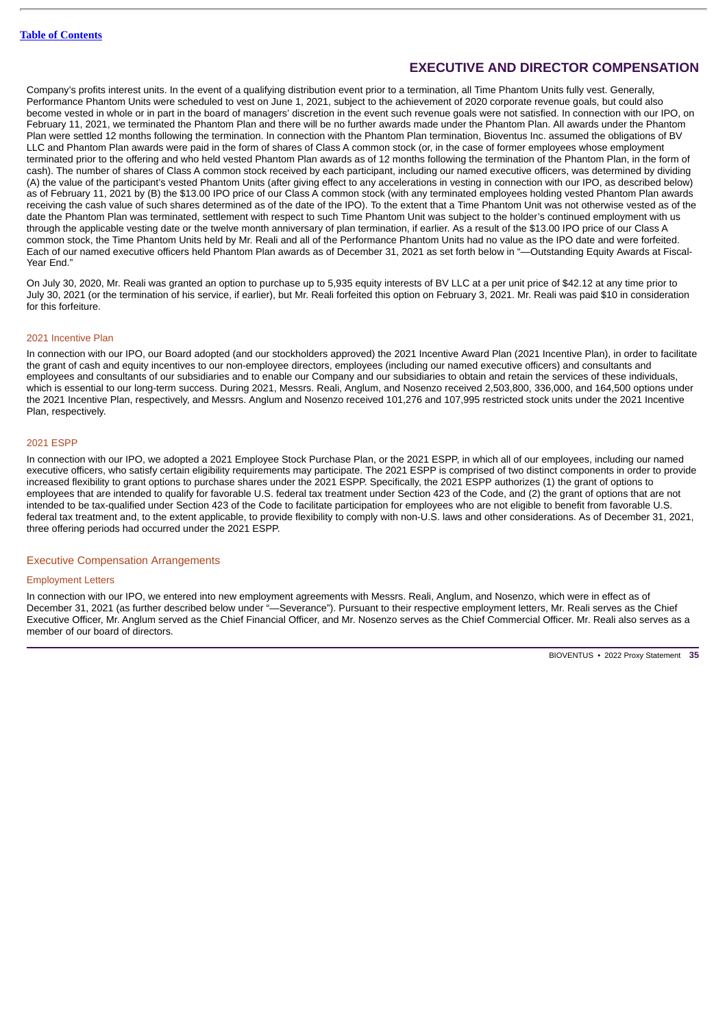Company's profits interest units. In the event of a qualifying distribution event prior to a termination, all Time Phantom Units fully vest. Generally, Performance Phantom Units were scheduled to vest on June 1, 2021, subject to the achievement of 2020 corporate revenue goals, but could also become vested in whole or in part in the board of managers' discretion in the event such revenue goals were not satisfied. In connection with our IPO, on February 11, 2021, we terminated the Phantom Plan and there will be no further awards made under the Phantom Plan. All awards under the Phantom Plan were settled 12 months following the termination. In connection with the Phantom Plan termination, Bioventus Inc. assumed the obligations of BV LLC and Phantom Plan awards were paid in the form of shares of Class A common stock (or, in the case of former employees whose employment terminated prior to the offering and who held vested Phantom Plan awards as of 12 months following the termination of the Phantom Plan, in the form of cash). The number of shares of Class A common stock received by each participant, including our named executive officers, was determined by dividing (A) the value of the participant's vested Phantom Units (after giving effect to any accelerations in vesting in connection with our IPO, as described below) as of February 11, 2021 by (B) the \$13.00 IPO price of our Class A common stock (with any terminated employees holding vested Phantom Plan awards receiving the cash value of such shares determined as of the date of the IPO). To the extent that a Time Phantom Unit was not otherwise vested as of the date the Phantom Plan was terminated, settlement with respect to such Time Phantom Unit was subject to the holder's continued employment with us through the applicable vesting date or the twelve month anniversary of plan termination, if earlier. As a result of the \$13.00 IPO price of our Class A common stock, the Time Phantom Units held by Mr. Reali and all of the Performance Phantom Units had no value as the IPO date and were forfeited. Each of our named executive officers held Phantom Plan awards as of December 31, 2021 as set forth below in "—Outstanding Equity Awards at Fiscal-Year End."

On July 30, 2020, Mr. Reali was granted an option to purchase up to 5,935 equity interests of BV LLC at a per unit price of \$42.12 at any time prior to July 30, 2021 (or the termination of his service, if earlier), but Mr. Reali forfeited this option on February 3, 2021. Mr. Reali was paid \$10 in consideration for this forfeiture.

### 2021 Incentive Plan

In connection with our IPO, our Board adopted (and our stockholders approved) the 2021 Incentive Award Plan (2021 Incentive Plan), in order to facilitate the grant of cash and equity incentives to our non-employee directors, employees (including our named executive officers) and consultants and employees and consultants of our subsidiaries and to enable our Company and our subsidiaries to obtain and retain the services of these individuals, which is essential to our long-term success. During 2021, Messrs. Reali, Anglum, and Nosenzo received 2,503,800, 336,000, and 164,500 options under the 2021 Incentive Plan, respectively, and Messrs. Anglum and Nosenzo received 101,276 and 107,995 restricted stock units under the 2021 Incentive Plan, respectively.

#### 2021 ESPP

In connection with our IPO, we adopted a 2021 Employee Stock Purchase Plan, or the 2021 ESPP, in which all of our employees, including our named executive officers, who satisfy certain eligibility requirements may participate. The 2021 ESPP is comprised of two distinct components in order to provide increased flexibility to grant options to purchase shares under the 2021 ESPP. Specifically, the 2021 ESPP authorizes (1) the grant of options to employees that are intended to qualify for favorable U.S. federal tax treatment under Section 423 of the Code, and (2) the grant of options that are not intended to be tax-qualified under Section 423 of the Code to facilitate participation for employees who are not eligible to benefit from favorable U.S. federal tax treatment and, to the extent applicable, to provide flexibility to comply with non-U.S. laws and other considerations. As of December 31, 2021, three offering periods had occurred under the 2021 ESPP.

# Executive Compensation Arrangements

#### Employment Letters

In connection with our IPO, we entered into new employment agreements with Messrs. Reali, Anglum, and Nosenzo, which were in effect as of December 31, 2021 (as further described below under "—Severance"). Pursuant to their respective employment letters, Mr. Reali serves as the Chief Executive Officer, Mr. Anglum served as the Chief Financial Officer, and Mr. Nosenzo serves as the Chief Commercial Officer. Mr. Reali also serves as a member of our board of directors.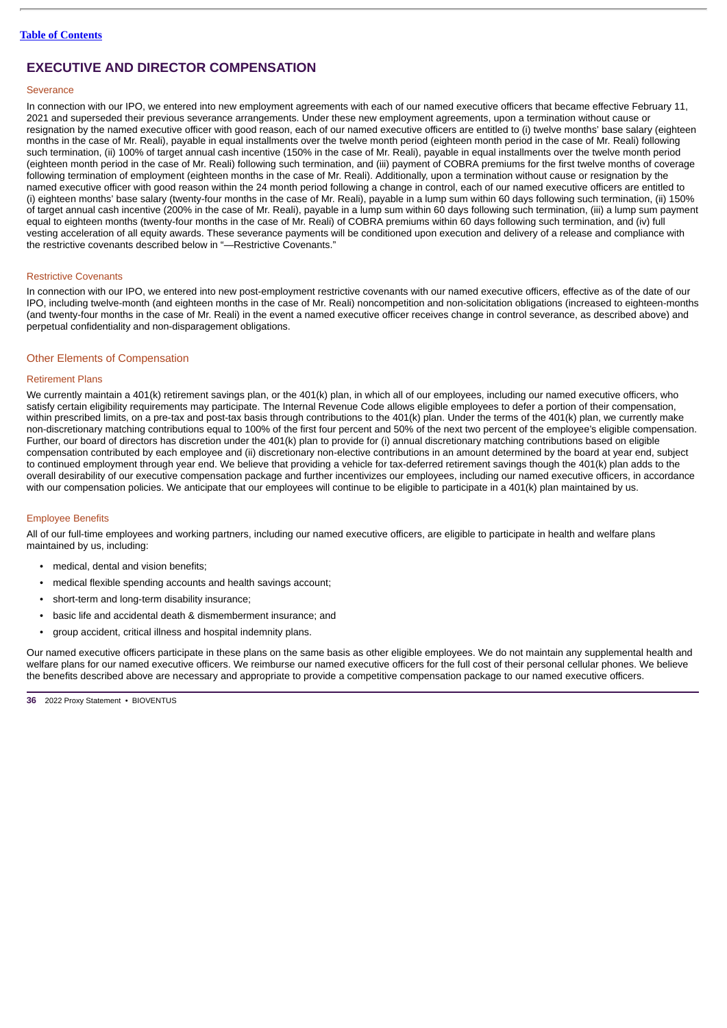### **Severance**

In connection with our IPO, we entered into new employment agreements with each of our named executive officers that became effective February 11, 2021 and superseded their previous severance arrangements. Under these new employment agreements, upon a termination without cause or resignation by the named executive officer with good reason, each of our named executive officers are entitled to (i) twelve months' base salary (eighteen months in the case of Mr. Reali), payable in equal installments over the twelve month period (eighteen month period in the case of Mr. Reali) following such termination, (ii) 100% of target annual cash incentive (150% in the case of Mr. Reali), payable in equal installments over the twelve month period (eighteen month period in the case of Mr. Reali) following such termination, and (iii) payment of COBRA premiums for the first twelve months of coverage following termination of employment (eighteen months in the case of Mr. Reali). Additionally, upon a termination without cause or resignation by the named executive officer with good reason within the 24 month period following a change in control, each of our named executive officers are entitled to (i) eighteen months' base salary (twenty-four months in the case of Mr. Reali), payable in a lump sum within 60 days following such termination, (ii) 150% of target annual cash incentive (200% in the case of Mr. Reali), payable in a lump sum within 60 days following such termination, (iii) a lump sum payment equal to eighteen months (twenty-four months in the case of Mr. Reali) of COBRA premiums within 60 days following such termination, and (iv) full vesting acceleration of all equity awards. These severance payments will be conditioned upon execution and delivery of a release and compliance with the restrictive covenants described below in "—Restrictive Covenants."

#### Restrictive Covenants

In connection with our IPO, we entered into new post-employment restrictive covenants with our named executive officers, effective as of the date of our IPO, including twelve-month (and eighteen months in the case of Mr. Reali) noncompetition and non-solicitation obligations (increased to eighteen-months (and twenty-four months in the case of Mr. Reali) in the event a named executive officer receives change in control severance, as described above) and perpetual confidentiality and non-disparagement obligations.

#### Other Elements of Compensation

### Retirement Plans

We currently maintain a 401(k) retirement savings plan, or the 401(k) plan, in which all of our employees, including our named executive officers, who satisfy certain eligibility requirements may participate. The Internal Revenue Code allows eligible employees to defer a portion of their compensation, within prescribed limits, on a pre-tax and post-tax basis through contributions to the 401(k) plan. Under the terms of the 401(k) plan, we currently make non-discretionary matching contributions equal to 100% of the first four percent and 50% of the next two percent of the employee's eligible compensation. Further, our board of directors has discretion under the 401(k) plan to provide for (i) annual discretionary matching contributions based on eligible compensation contributed by each employee and (ii) discretionary non-elective contributions in an amount determined by the board at year end, subject to continued employment through year end. We believe that providing a vehicle for tax-deferred retirement savings though the 401(k) plan adds to the overall desirability of our executive compensation package and further incentivizes our employees, including our named executive officers, in accordance with our compensation policies. We anticipate that our employees will continue to be eligible to participate in a 401(k) plan maintained by us.

#### Employee Benefits

All of our full-time employees and working partners, including our named executive officers, are eligible to participate in health and welfare plans maintained by us, including:

- medical, dental and vision benefits:
- medical flexible spending accounts and health savings account;
- short-term and long-term disability insurance;
- basic life and accidental death & dismemberment insurance; and
- group accident, critical illness and hospital indemnity plans.

Our named executive officers participate in these plans on the same basis as other eligible employees. We do not maintain any supplemental health and welfare plans for our named executive officers. We reimburse our named executive officers for the full cost of their personal cellular phones. We believe the benefits described above are necessary and appropriate to provide a competitive compensation package to our named executive officers.

**<sup>36</sup>** 2022 Proxy Statement • BIOVENTUS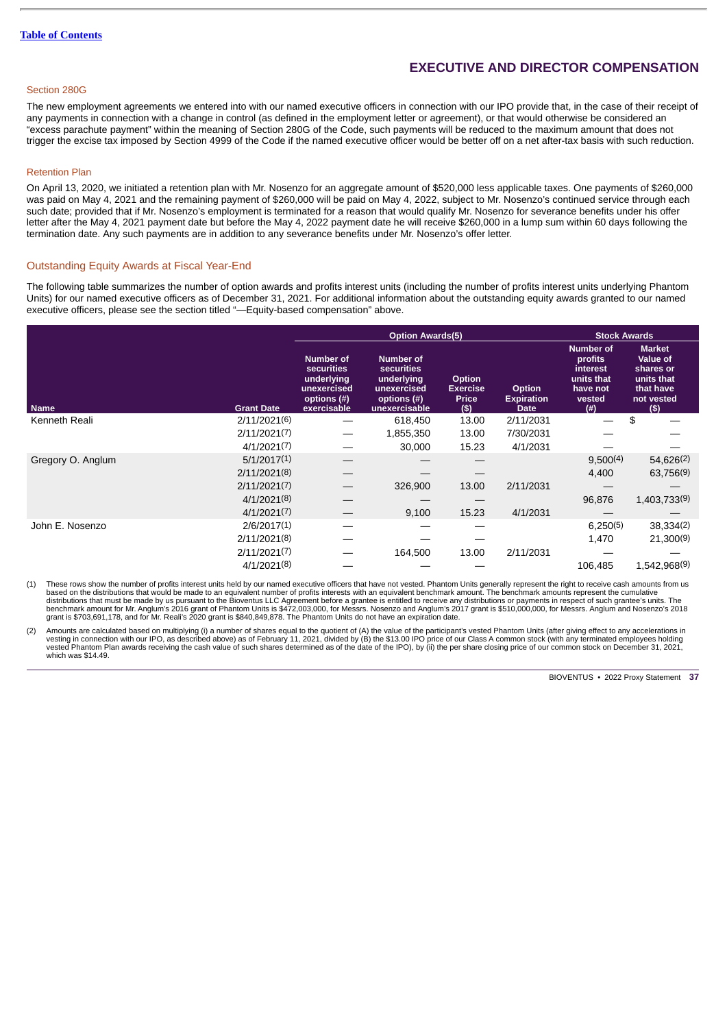## Section 280G

The new employment agreements we entered into with our named executive officers in connection with our IPO provide that, in the case of their receipt of any payments in connection with a change in control (as defined in the employment letter or agreement), or that would otherwise be considered an "excess parachute payment" within the meaning of Section 280G of the Code, such payments will be reduced to the maximum amount that does not trigger the excise tax imposed by Section 4999 of the Code if the named executive officer would be better off on a net after-tax basis with such reduction.

#### Retention Plan

On April 13, 2020, we initiated a retention plan with Mr. Nosenzo for an aggregate amount of \$520,000 less applicable taxes. One payments of \$260,000 was paid on May 4, 2021 and the remaining payment of \$260,000 will be paid on May 4, 2022, subject to Mr. Nosenzo's continued service through each such date; provided that if Mr. Nosenzo's employment is terminated for a reason that would qualify Mr. Nosenzo for severance benefits under his offer letter after the May 4, 2021 payment date but before the May 4, 2022 payment date he will receive \$260,000 in a lump sum within 60 days following the termination date. Any such payments are in addition to any severance benefits under Mr. Nosenzo's offer letter.

#### <span id="page-40-0"></span>Outstanding Equity Awards at Fiscal Year-End

The following table summarizes the number of option awards and profits interest units (including the number of profits interest units underlying Phantom Units) for our named executive officers as of December 31, 2021. For additional information about the outstanding equity awards granted to our named executive officers, please see the section titled "-Equity-based compensation" above.

|                   |                   |                                                                                           | <b>Option Awards(5)</b>                                                                     | <b>Stock Awards</b>                              |                                                   |                                                                                       |                                                                                        |
|-------------------|-------------------|-------------------------------------------------------------------------------------------|---------------------------------------------------------------------------------------------|--------------------------------------------------|---------------------------------------------------|---------------------------------------------------------------------------------------|----------------------------------------------------------------------------------------|
| <b>Name</b>       | <b>Grant Date</b> | <b>Number of</b><br>securities<br>underlying<br>unexercised<br>options (#)<br>exercisable | <b>Number of</b><br>securities<br>underlying<br>unexercised<br>options (#)<br>unexercisable | Option<br><b>Exercise</b><br><b>Price</b><br>(5) | <b>Option</b><br><b>Expiration</b><br><b>Date</b> | <b>Number of</b><br>profits<br>interest<br>units that<br>have not<br>vested<br>$($ #) | <b>Market</b><br>Value of<br>shares or<br>units that<br>that have<br>not vested<br>(S) |
| Kenneth Reali     | 2/11/2021(6)      |                                                                                           | 618,450                                                                                     | 13.00                                            | 2/11/2031                                         |                                                                                       | \$                                                                                     |
|                   | 2/11/2021(7)      |                                                                                           | 1,855,350                                                                                   | 13.00                                            | 7/30/2031                                         |                                                                                       |                                                                                        |
|                   | 4/1/2021(7)       |                                                                                           | 30,000                                                                                      | 15.23                                            | 4/1/2031                                          |                                                                                       |                                                                                        |
| Gregory O. Anglum | 5/1/2017(1)       |                                                                                           |                                                                                             |                                                  |                                                   | 9,500(4)                                                                              | 54,626(2)                                                                              |
|                   | 2/11/2021(8)      |                                                                                           |                                                                                             |                                                  |                                                   | 4,400                                                                                 | 63,756(9)                                                                              |
|                   | 2/11/2021(7)      |                                                                                           | 326,900                                                                                     | 13.00                                            | 2/11/2031                                         |                                                                                       |                                                                                        |
|                   | 4/1/2021(8)       |                                                                                           |                                                                                             |                                                  |                                                   | 96,876                                                                                | 1,403,733(9)                                                                           |
|                   | 4/1/2021(7)       |                                                                                           | 9,100                                                                                       | 15.23                                            | 4/1/2031                                          |                                                                                       |                                                                                        |
| John E. Nosenzo   | 2/6/2017(1)       |                                                                                           |                                                                                             |                                                  |                                                   | 6,250(5)                                                                              | 38,334(2)                                                                              |
|                   | 2/11/2021(8)      |                                                                                           |                                                                                             |                                                  |                                                   | 1,470                                                                                 | 21,300(9)                                                                              |
|                   | 2/11/2021(7)      |                                                                                           | 164,500                                                                                     | 13.00                                            | 2/11/2031                                         |                                                                                       |                                                                                        |
|                   | 4/1/2021(8)       |                                                                                           |                                                                                             |                                                  |                                                   | 106.485                                                                               | 1,542,968(9)                                                                           |

(1) These rows show the number of profits interest units held by our named executive officers that have not vested. Phantom Units generally represent the right to receive cash amounts from us based on the distributions that would be made to an equivalent number of profits interests with an equivalent benchmark amount. The benchmark amounts represent the cumulative<br>distributions that must be made by us pursuant

(2) Amounts are calculated based on multiplying (i) a number of shares equal to the quotient of (A) the value of the participant's vested Phantom Units (after giving effect to any accelerations in vesting in connection with our IPO, as described above) as of February 11, 2021, divided by (B) the \$13.00 IPO price of our Class A common stock (with any terminated employees holding<br>vested Phantom Plan awards receiving t which was \$14.49.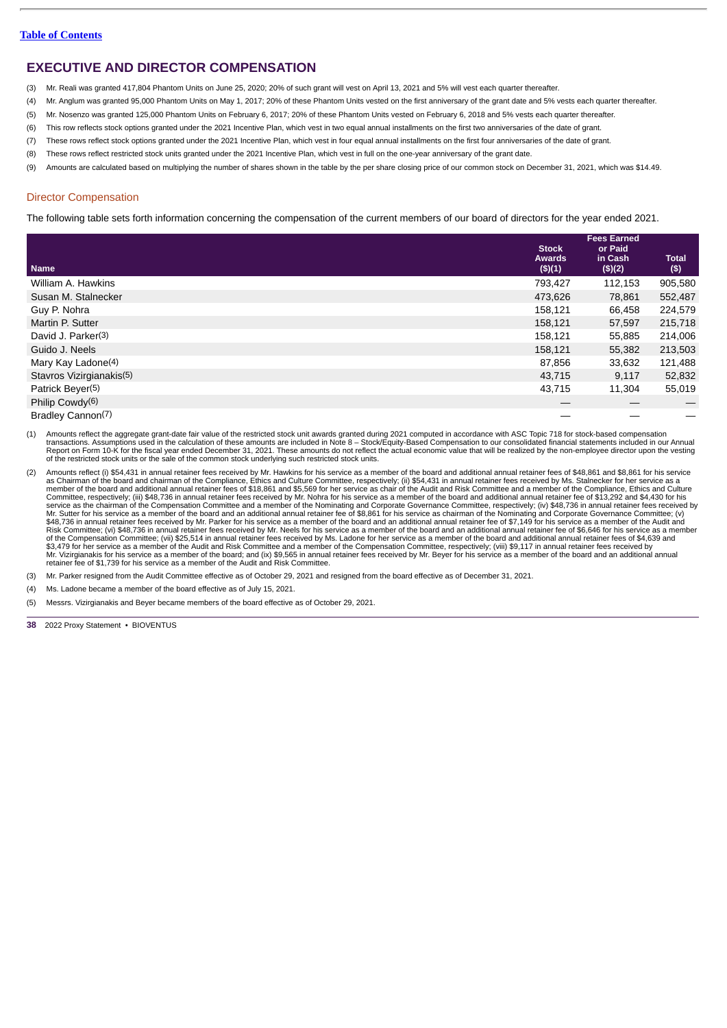- (3) Mr. Reali was granted 417,804 Phantom Units on June 25, 2020; 20% of such grant will vest on April 13, 2021 and 5% will vest each quarter thereafter.
- (4) Mr. Anglum was granted 95,000 Phantom Units on May 1, 2017; 20% of these Phantom Units vested on the first anniversary of the grant date and 5% vests each quarter thereafter.
- (5) Mr. Nosenzo was granted 125,000 Phantom Units on February 6, 2017; 20% of these Phantom Units vested on February 6, 2018 and 5% vests each quarter thereafter.
- (6) This row reflects stock options granted under the 2021 Incentive Plan, which vest in two equal annual installments on the first two anniversaries of the date of grant.
- (7) These rows reflect stock options granted under the 2021 Incentive Plan, which vest in four equal annual installments on the first four anniversaries of the date of grant.
- (8) These rows reflect restricted stock units granted under the 2021 Incentive Plan, which vest in full on the one-year anniversary of the grant date.
- (9) Amounts are calculated based on multiplying the number of shares shown in the table by the per share closing price of our common stock on December 31, 2021, which was \$14.49.

### <span id="page-41-0"></span>Director Compensation

The following table sets forth information concerning the compensation of the current members of our board of directors for the year ended 2021.

|                                | <b>Stock</b>                | <b>Fees Earned</b><br>or Paid |                       |
|--------------------------------|-----------------------------|-------------------------------|-----------------------|
| <b>Name</b>                    | <b>Awards</b><br>$($ \$)(1) | in Cash<br>(\$)(2)            | <b>Total</b><br>$($)$ |
| William A. Hawkins             | 793,427                     | 112,153                       | 905,580               |
| Susan M. Stalnecker            | 473,626                     | 78,861                        | 552,487               |
| Guy P. Nohra                   | 158,121                     | 66,458                        | 224,579               |
| Martin P. Sutter               | 158,121                     | 57,597                        | 215,718               |
| David J. Parker <sup>(3)</sup> | 158,121                     | 55,885                        | 214,006               |
| Guido J. Neels                 | 158,121                     | 55,382                        | 213,503               |
| Mary Kay Ladone(4)             | 87,856                      | 33,632                        | 121,488               |
| Stavros Vizirgianakis(5)       | 43,715                      | 9,117                         | 52,832                |
| Patrick Beyer <sup>(5)</sup>   | 43,715                      | 11.304                        | 55,019                |
| Philip Cowdy <sup>(6)</sup>    |                             |                               |                       |
| Bradley Cannon(7)              |                             |                               |                       |

(1) Amounts reflect the aggregate grant-date fair value of the restricted stock unit awards granted during 2021 computed in accordance with ASC Topic 718 for stock-based compensation<br>transactions. Assumptions used in the c Report on Form 10-K for the fiscal year ended December 31, 2021. These amounts do not reflect the actual economic value that will be realized by the non-employee director upon the vesting<br>of the restricted stock units or t

- Amounts reflect (i) \$54,431 in annual retainer fees received by Mr. Hawkins for his service as a member of the board and additional annual retainer fees of \$48,861 and \$8,861 for his service as Chairman of the board and ch Risk Committee; (vi) \$48,736 in annual retainer fees received by Mr. Neels for his service as a member of the board and an additional annual retainer fee of \$6,646 for his service as a member<br>of the Compensation Committee; \$3,479 for her service as a member of the Audit and Risk Committee and a member of the Compensation Committee, respectively; (viii) \$9,117 in annual retainer fees received by<br>Mr. Vizirgianakis for his service as a member o retainer fee of \$1,739 for his service as a member of the Audit and Risk Committee.
- (3) Mr. Parker resigned from the Audit Committee effective as of October 29, 2021 and resigned from the board effective as of December 31, 2021.
- (4) Ms. Ladone became a member of the board effective as of July 15, 2021.

(5) Messrs. Vizirgianakis and Beyer became members of the board effective as of October 29, 2021.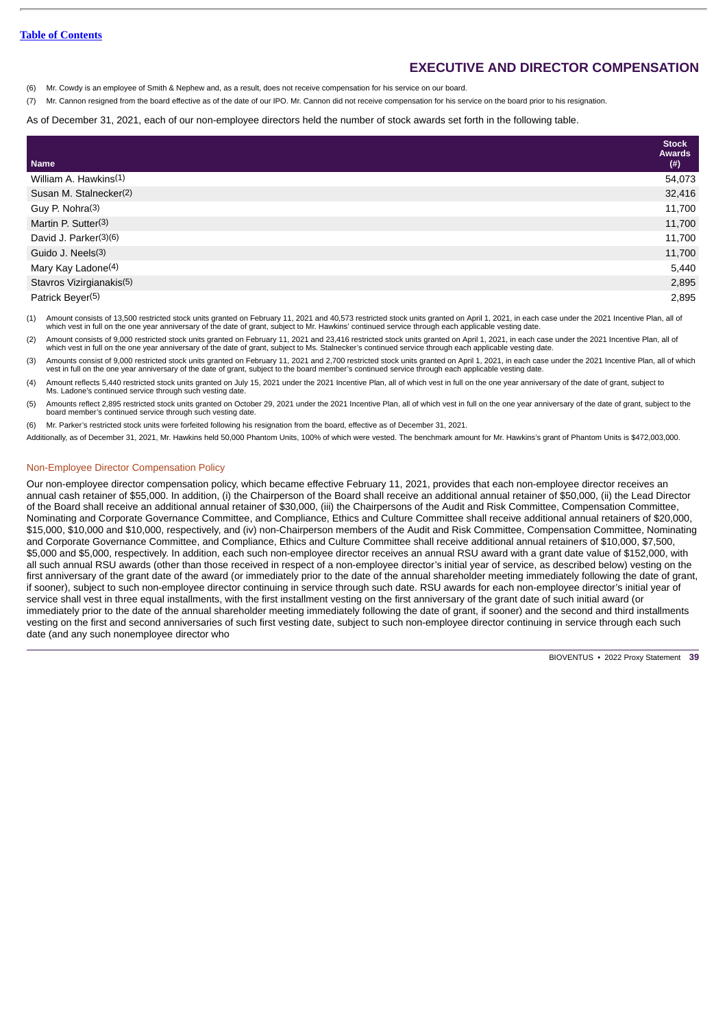(6) Mr. Cowdy is an employee of Smith & Nephew and, as a result, does not receive compensation for his service on our board.

(7) Mr. Cannon resigned from the board effective as of the date of our IPO. Mr. Cannon did not receive compensation for his service on the board prior to his resignation.

As of December 31, 2021, each of our non-employee directors held the number of stock awards set forth in the following table.

|                                   | <b>Stock</b><br><b>Awards</b> |
|-----------------------------------|-------------------------------|
| <b>Name</b>                       | $(\#)$                        |
| William A. Hawkins <sup>(1)</sup> | 54,073                        |
| Susan M. Stalnecker(2)            | 32,416                        |
| Guy P. Nohra(3)                   | 11,700                        |
| Martin P. Sutter(3)               | 11,700                        |
| David J. Parker(3)(6)             | 11,700                        |
| Guido J. Neels(3)                 | 11,700                        |
| Mary Kay Ladone(4)                | 5,440                         |
| Stavros Vizirgianakis(5)          | 2,895                         |
| Patrick Beyer(5)                  | 2,895                         |

(1) Amount consists of 13,500 restricted stock units granted on February 11, 2021 and 40,573 restricted stock units granted on April 1, 2021, in each case under the 2021 Incentive Plan, all of which vest in full on the one year anniversary of the date of grant, subject to Mr. Hawkins' continued service through each applicable vesting date.

(2) Amount consists of 9,000 restricted stock units granted on February 11, 2021 and 23,416 restricted stock units granted on April 1, 2021, in each case under the 2021 Incentive Plan, all of which vest in full on the one year anniversary of the date of grant, subject to Ms. Stalnecker's continued service through each applicable vesting date.

(3) Amounts consist of 9,000 restricted stock units granted on February 11, 2021 and 2,700 restricted stock units granted on April 1, 2021, in each case under the 2021 Incentive Plan, all of which vest in full on the one year anniversary of the date of grant, subject to the board member's continued service through each applicable vesting date.

(4) Amount reflects 5,440 restricted stock units granted on July 15, 2021 under the 2021 Incentive Plan, all of which vest in full on the one year anniversary of the date of grant, subject to Ms. Ladone's continued service through such vesting date.

(5) Amounts reflect 2,895 restricted stock units granted on October 29, 2021 under the 2021 Incentive Plan, all of which vest in full on the one year anniversary of the date of grant, subject to the board member's continued service through such vesting date

(6) Mr. Parker's restricted stock units were forfeited following his resignation from the board, effective as of December 31, 2021.

Additionally, as of December 31, 2021, Mr. Hawkins held 50,000 Phantom Units, 100% of which were vested. The benchmark amount for Mr. Hawkins's grant of Phantom Units is \$472,003,000.

### Non-Employee Director Compensation Policy

Our non-employee director compensation policy, which became effective February 11, 2021, provides that each non-employee director receives an annual cash retainer of \$55,000. In addition, (i) the Chairperson of the Board shall receive an additional annual retainer of \$50,000, (ii) the Lead Director of the Board shall receive an additional annual retainer of \$30,000, (iii) the Chairpersons of the Audit and Risk Committee, Compensation Committee, Nominating and Corporate Governance Committee, and Compliance, Ethics and Culture Committee shall receive additional annual retainers of \$20,000, \$15,000, \$10,000 and \$10,000, respectively, and (iv) non-Chairperson members of the Audit and Risk Committee, Compensation Committee, Nominating and Corporate Governance Committee, and Compliance, Ethics and Culture Committee shall receive additional annual retainers of \$10,000, \$7,500, \$5,000 and \$5,000, respectively. In addition, each such non-employee director receives an annual RSU award with a grant date value of \$152,000, with all such annual RSU awards (other than those received in respect of a non-employee director's initial year of service, as described below) vesting on the first anniversary of the grant date of the award (or immediately prior to the date of the annual shareholder meeting immediately following the date of grant, if sooner), subject to such non-employee director continuing in service through such date. RSU awards for each non-employee director's initial year of service shall vest in three equal installments, with the first installment vesting on the first anniversary of the grant date of such initial award (or immediately prior to the date of the annual shareholder meeting immediately following the date of grant, if sooner) and the second and third installments vesting on the first and second anniversaries of such first vesting date, subject to such non-employee director continuing in service through each such date (and any such nonemployee director who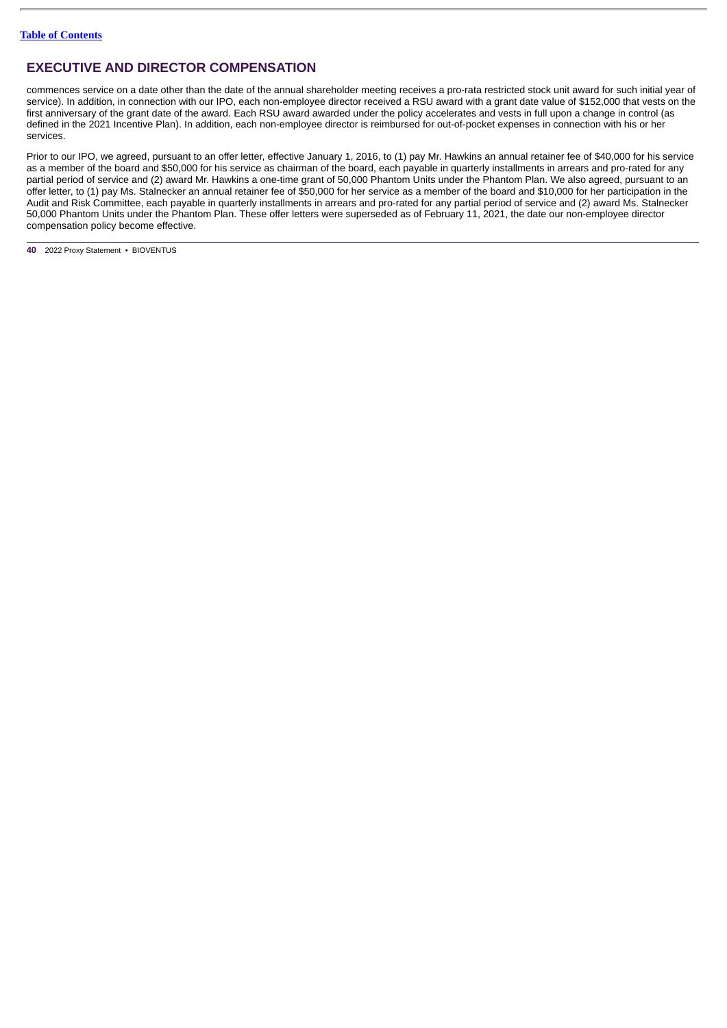commences service on a date other than the date of the annual shareholder meeting receives a pro-rata restricted stock unit award for such initial year of service). In addition, in connection with our IPO, each non-employee director received a RSU award with a grant date value of \$152,000 that vests on the first anniversary of the grant date of the award. Each RSU award awarded under the policy accelerates and vests in full upon a change in control (as defined in the 2021 Incentive Plan). In addition, each non-employee director is reimbursed for out-of-pocket expenses in connection with his or her services.

Prior to our IPO, we agreed, pursuant to an offer letter, effective January 1, 2016, to (1) pay Mr. Hawkins an annual retainer fee of \$40,000 for his service as a member of the board and \$50,000 for his service as chairman of the board, each payable in quarterly installments in arrears and pro-rated for any partial period of service and (2) award Mr. Hawkins a one-time grant of 50,000 Phantom Units under the Phantom Plan. We also agreed, pursuant to an offer letter, to (1) pay Ms. Stalnecker an annual retainer fee of \$50,000 for her service as a member of the board and \$10,000 for her participation in the Audit and Risk Committee, each payable in quarterly installments in arrears and pro-rated for any partial period of service and (2) award Ms. Stalnecker 50,000 Phantom Units under the Phantom Plan. These offer letters were superseded as of February 11, 2021, the date our non-employee director compensation policy become effective.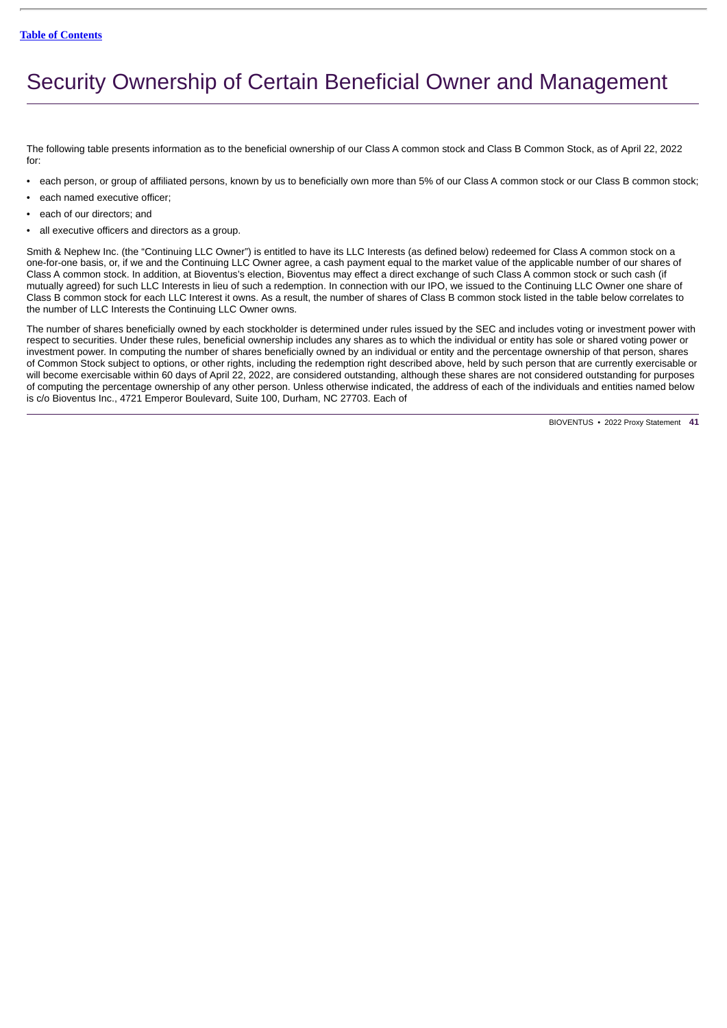# <span id="page-44-0"></span>Security Ownership of Certain Beneficial Owner and Management

The following table presents information as to the beneficial ownership of our Class A common stock and Class B Common Stock, as of April 22, 2022 for:

- each person, or group of affiliated persons, known by us to beneficially own more than 5% of our Class A common stock or our Class B common stock;
- each named executive officer;
- each of our directors; and
- all executive officers and directors as a group.

Smith & Nephew Inc. (the "Continuing LLC Owner") is entitled to have its LLC Interests (as defined below) redeemed for Class A common stock on a one-for-one basis, or, if we and the Continuing LLC Owner agree, a cash payment equal to the market value of the applicable number of our shares of Class A common stock. In addition, at Bioventus's election, Bioventus may effect a direct exchange of such Class A common stock or such cash (if mutually agreed) for such LLC Interests in lieu of such a redemption. In connection with our IPO, we issued to the Continuing LLC Owner one share of Class B common stock for each LLC Interest it owns. As a result, the number of shares of Class B common stock listed in the table below correlates to the number of LLC Interests the Continuing LLC Owner owns.

The number of shares beneficially owned by each stockholder is determined under rules issued by the SEC and includes voting or investment power with respect to securities. Under these rules, beneficial ownership includes any shares as to which the individual or entity has sole or shared voting power or investment power. In computing the number of shares beneficially owned by an individual or entity and the percentage ownership of that person, shares of Common Stock subject to options, or other rights, including the redemption right described above, held by such person that are currently exercisable or will become exercisable within 60 days of April 22, 2022, are considered outstanding, although these shares are not considered outstanding for purposes of computing the percentage ownership of any other person. Unless otherwise indicated, the address of each of the individuals and entities named below is c/o Bioventus Inc., 4721 Emperor Boulevard, Suite 100, Durham, NC 27703. Each of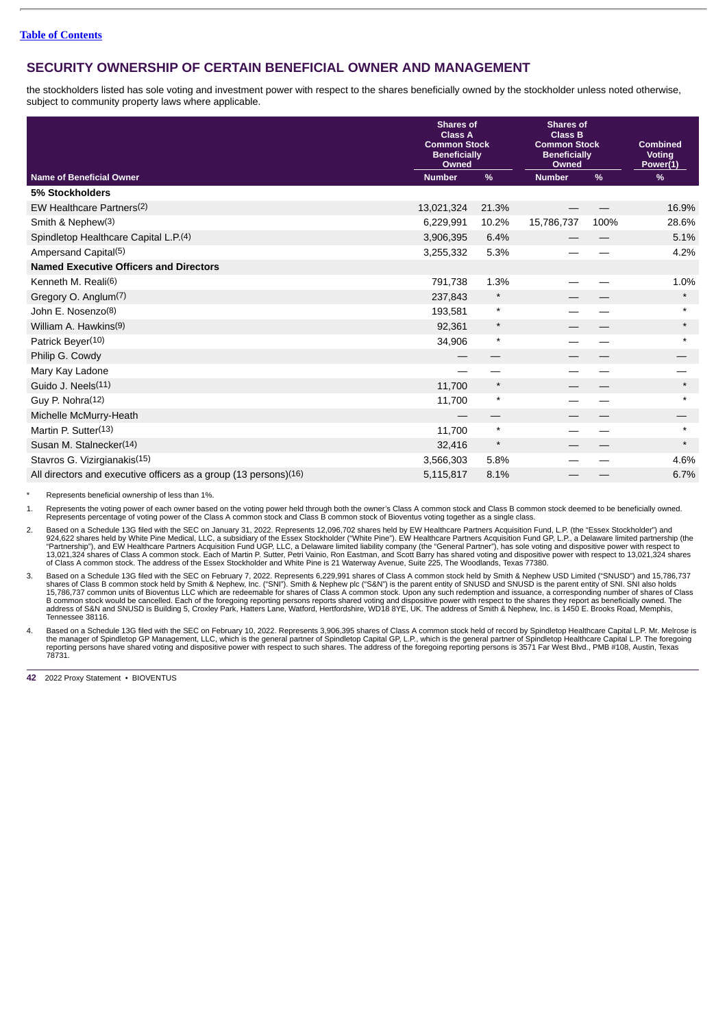# **SECURITY OWNERSHIP OF CERTAIN BENEFICIAL OWNER AND MANAGEMENT**

the stockholders listed has sole voting and investment power with respect to the shares beneficially owned by the stockholder unless noted otherwise, subject to community property laws where applicable.

|                                                                               | <b>Shares of</b><br><b>Class A</b><br><b>Common Stock</b><br><b>Beneficially</b><br>Owned |          | <b>Shares of</b><br><b>Class B</b><br><b>Common Stock</b><br><b>Beneficially</b><br>Owned | <b>Combined</b><br><b>Voting</b><br>Power(1) |          |
|-------------------------------------------------------------------------------|-------------------------------------------------------------------------------------------|----------|-------------------------------------------------------------------------------------------|----------------------------------------------|----------|
| <b>Name of Beneficial Owner</b>                                               | <b>Number</b>                                                                             | $\%$     | <b>Number</b>                                                                             | $\frac{9}{6}$                                | %        |
| 5% Stockholders                                                               |                                                                                           |          |                                                                                           |                                              |          |
| EW Healthcare Partners(2)                                                     | 13,021,324                                                                                | 21.3%    |                                                                                           |                                              | 16.9%    |
| Smith & Nephew(3)                                                             | 6,229,991                                                                                 | 10.2%    | 15,786,737                                                                                | 100%                                         | 28.6%    |
| Spindletop Healthcare Capital L.P.(4)                                         | 3,906,395                                                                                 | 6.4%     |                                                                                           |                                              | 5.1%     |
| Ampersand Capital(5)                                                          | 3,255,332                                                                                 | 5.3%     |                                                                                           |                                              | 4.2%     |
| <b>Named Executive Officers and Directors</b>                                 |                                                                                           |          |                                                                                           |                                              |          |
| Kenneth M. Reali(6)                                                           | 791,738                                                                                   | 1.3%     |                                                                                           |                                              | 1.0%     |
| Gregory O. Anglum(7)                                                          | 237,843                                                                                   | $^\star$ |                                                                                           |                                              | $\star$  |
| John E. Nosenzo(8)                                                            | 193,581                                                                                   | $\star$  |                                                                                           |                                              | $^\star$ |
| William A. Hawkins(9)                                                         | 92,361                                                                                    | $^\star$ |                                                                                           |                                              | $\star$  |
| Patrick Beyer(10)                                                             | 34,906                                                                                    | $\star$  |                                                                                           |                                              | $^\star$ |
| Philip G. Cowdy                                                               |                                                                                           |          |                                                                                           |                                              |          |
| Mary Kay Ladone                                                               |                                                                                           |          |                                                                                           |                                              |          |
| Guido J. Neels(11)                                                            | 11,700                                                                                    | $^\star$ |                                                                                           |                                              | $\star$  |
| Guy P. Nohra(12)                                                              | 11,700                                                                                    | $^\star$ |                                                                                           |                                              | $\star$  |
| Michelle McMurry-Heath                                                        |                                                                                           | —        |                                                                                           |                                              |          |
| Martin P. Sutter(13)                                                          | 11,700                                                                                    | $\star$  |                                                                                           |                                              | $\star$  |
| Susan M. Stalnecker(14)                                                       | 32,416                                                                                    | $\star$  |                                                                                           |                                              | $\star$  |
| Stavros G. Vizirgianakis(15)                                                  | 3,566,303                                                                                 | 5.8%     |                                                                                           |                                              | 4.6%     |
| All directors and executive officers as a group $(13 \text{ persons})^{(16)}$ | 5,115,817                                                                                 | 8.1%     |                                                                                           |                                              | 6.7%     |

Represents beneficial ownership of less than 1%.

1. Represents the voting power of each owner based on the voting power held through both the owner's Class A common stock and Class B common stock deemed to be beneficially owned.<br>Represents percentage of voting power of t

Based on a Schedule 13G filed with the SEC on January 31, 2022. Represents 12,096,702 shares held by EW Healthcare Partners Acquisition Fund, L.P. (the "Essex Stockholder") and<br>924,622 shares held by White Pine Medical, LL

3. Based on a Schedule 13G filed with the SEC on February 7, 2022. Represents 6,229,991 shares of Class A common stock held by Smith & Nephew USD Limited ("SNUSD") and 15,786,737 shares of Class B common stock held by Smith & Nephew, Inc. ("SNI"). Smith & Nephew plc ("S&N") is the parent entity of SNUSD and SNUSD is the parent entity of SNI. SNI also holds<br>15,786,737 common units of Bioventus LLC w Tennessee 38116.

4. Based on a Schedule 13G filed with the SEC on February 10, 2022. Represents 3,906,395 shares of Class A common stock held of record by Spindletop Healthcare Capital L.P. Mr. Melrose is<br>the manager of Spindletop GP Manag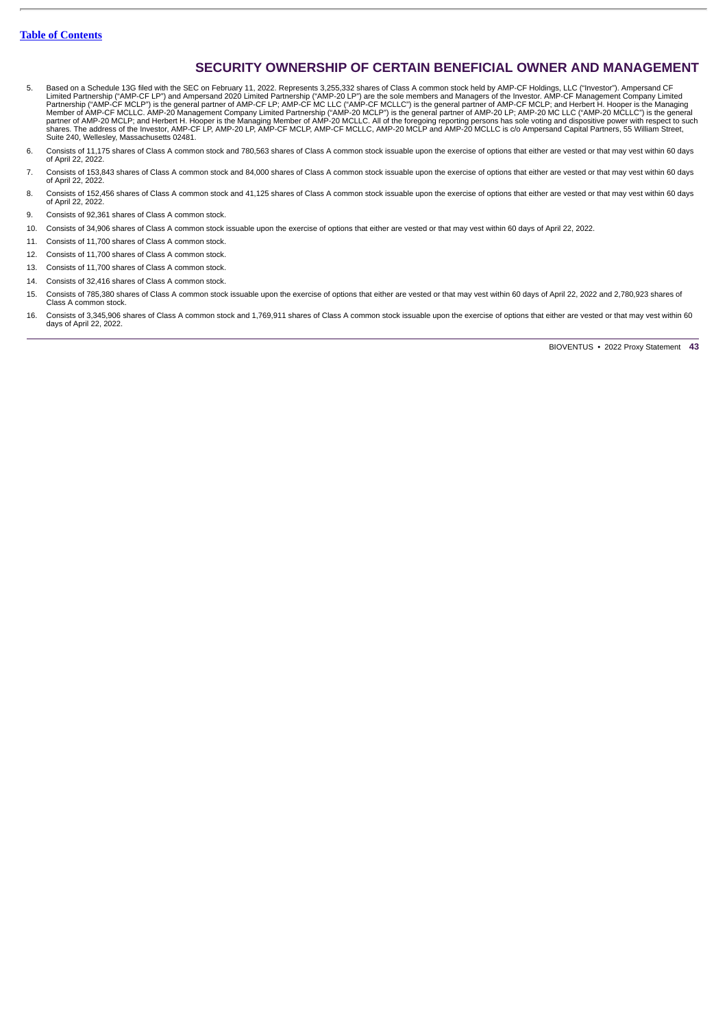# **SECURITY OWNERSHIP OF CERTAIN BENEFICIAL OWNER AND MANAGEMENT**

- 5. Based on a Schedule 13G filed with the SEC on February 11, 2022. Represents 3,255,332 shares of Class A common stock held by AMP-CF Holdings, LLC ("investor"). Ampersand CF<br>Limited Partnership ("AMP-CF LP") and Ampersan
- 6. Consists of 11,175 shares of Class A common stock and 780,563 shares of Class A common stock issuable upon the exercise of options that either are vested or that may vest within 60 days of April 22, 2022.
- 7. Consists of 153,843 shares of Class A common stock and 84,000 shares of Class A common stock issuable upon the exercise of options that either are vested or that may vest within 60 days of April 22, 2022.
- 8. Consists of 152,456 shares of Class A common stock and 41,125 shares of Class A common stock issuable upon the exercise of options that either are vested or that may vest within 60 days of April 22, 2022.
- 9. Consists of 92,361 shares of Class A common stock.
- 10. Consists of 34,906 shares of Class A common stock issuable upon the exercise of options that either are vested or that may vest within 60 days of April 22, 2022.
- 11. Consists of 11,700 shares of Class A common stock.
- 12. Consists of 11,700 shares of Class A common stock.
- 13. Consists of 11,700 shares of Class A common stock.
- 14. Consists of 32,416 shares of Class A common stock.
- 15. Consists of 785,380 shares of Class A common stock issuable upon the exercise of options that either are vested or that may vest within 60 days of April 22, 2022 and 2,780,923 shares of Class A common stock.
- 16. Consists of 3,345,906 shares of Class A common stock and 1,769,911 shares of Class A common stock issuable upon the exercise of options that either are vested or that may vest within 60 days of April 22, 2022.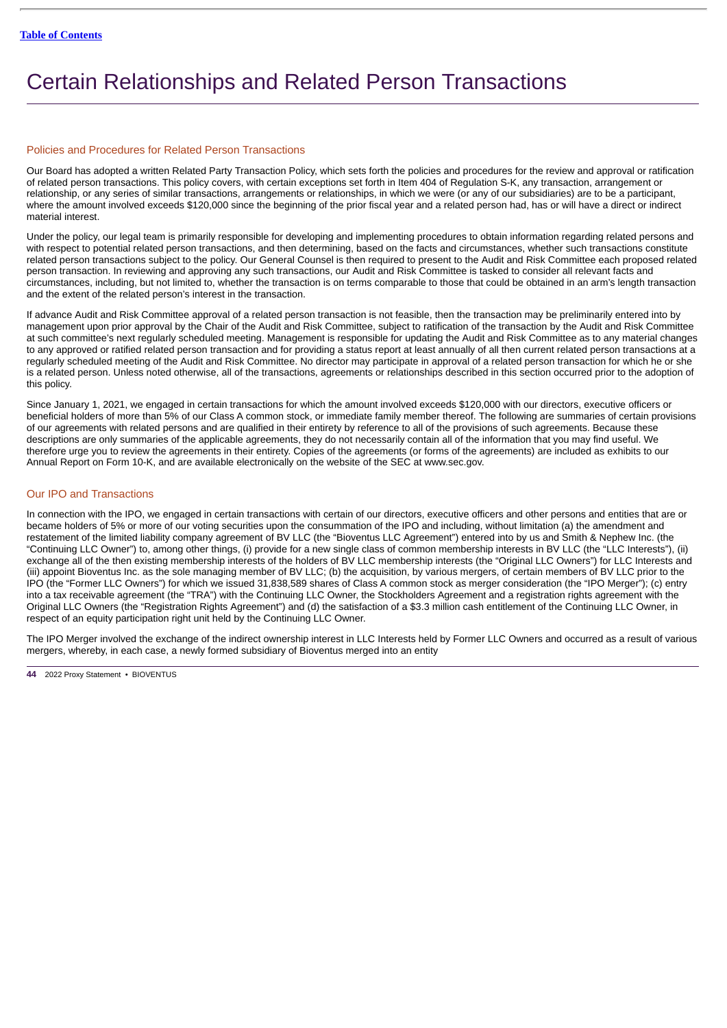# <span id="page-47-0"></span>Certain Relationships and Related Person Transactions

### Policies and Procedures for Related Person Transactions

Our Board has adopted a written Related Party Transaction Policy, which sets forth the policies and procedures for the review and approval or ratification of related person transactions. This policy covers, with certain exceptions set forth in Item 404 of Regulation S-K, any transaction, arrangement or relationship, or any series of similar transactions, arrangements or relationships, in which we were (or any of our subsidiaries) are to be a participant, where the amount involved exceeds \$120,000 since the beginning of the prior fiscal year and a related person had, has or will have a direct or indirect material interest.

Under the policy, our legal team is primarily responsible for developing and implementing procedures to obtain information regarding related persons and with respect to potential related person transactions, and then determining, based on the facts and circumstances, whether such transactions constitute related person transactions subject to the policy. Our General Counsel is then required to present to the Audit and Risk Committee each proposed related person transaction. In reviewing and approving any such transactions, our Audit and Risk Committee is tasked to consider all relevant facts and circumstances, including, but not limited to, whether the transaction is on terms comparable to those that could be obtained in an arm's length transaction and the extent of the related person's interest in the transaction.

If advance Audit and Risk Committee approval of a related person transaction is not feasible, then the transaction may be preliminarily entered into by management upon prior approval by the Chair of the Audit and Risk Committee, subject to ratification of the transaction by the Audit and Risk Committee at such committee's next regularly scheduled meeting. Management is responsible for updating the Audit and Risk Committee as to any material changes to any approved or ratified related person transaction and for providing a status report at least annually of all then current related person transactions at a regularly scheduled meeting of the Audit and Risk Committee. No director may participate in approval of a related person transaction for which he or she is a related person. Unless noted otherwise, all of the transactions, agreements or relationships described in this section occurred prior to the adoption of this policy.

Since January 1, 2021, we engaged in certain transactions for which the amount involved exceeds \$120,000 with our directors, executive officers or beneficial holders of more than 5% of our Class A common stock, or immediate family member thereof. The following are summaries of certain provisions of our agreements with related persons and are qualified in their entirety by reference to all of the provisions of such agreements. Because these descriptions are only summaries of the applicable agreements, they do not necessarily contain all of the information that you may find useful. We therefore urge you to review the agreements in their entirety. Copies of the agreements (or forms of the agreements) are included as exhibits to our Annual Report on Form 10-K, and are available electronically on the website of the SEC at www.sec.gov.

# Our IPO and Transactions

In connection with the IPO, we engaged in certain transactions with certain of our directors, executive officers and other persons and entities that are or became holders of 5% or more of our voting securities upon the consummation of the IPO and including, without limitation (a) the amendment and restatement of the limited liability company agreement of BV LLC (the "Bioventus LLC Agreement") entered into by us and Smith & Nephew Inc. (the "Continuing LLC Owner") to, among other things, (i) provide for a new single class of common membership interests in BV LLC (the "LLC Interests"), (ii) exchange all of the then existing membership interests of the holders of BV LLC membership interests (the "Original LLC Owners") for LLC Interests and (iii) appoint Bioventus Inc. as the sole managing member of BV LLC; (b) the acquisition, by various mergers, of certain members of BV LLC prior to the IPO (the "Former LLC Owners") for which we issued 31,838,589 shares of Class A common stock as merger consideration (the "IPO Merger"); (c) entry into a tax receivable agreement (the "TRA") with the Continuing LLC Owner, the Stockholders Agreement and a registration rights agreement with the Original LLC Owners (the "Registration Rights Agreement") and (d) the satisfaction of a \$3.3 million cash entitlement of the Continuing LLC Owner, in respect of an equity participation right unit held by the Continuing LLC Owner.

The IPO Merger involved the exchange of the indirect ownership interest in LLC Interests held by Former LLC Owners and occurred as a result of various mergers, whereby, in each case, a newly formed subsidiary of Bioventus merged into an entity

**<sup>44</sup>** 2022 Proxy Statement • BIOVENTUS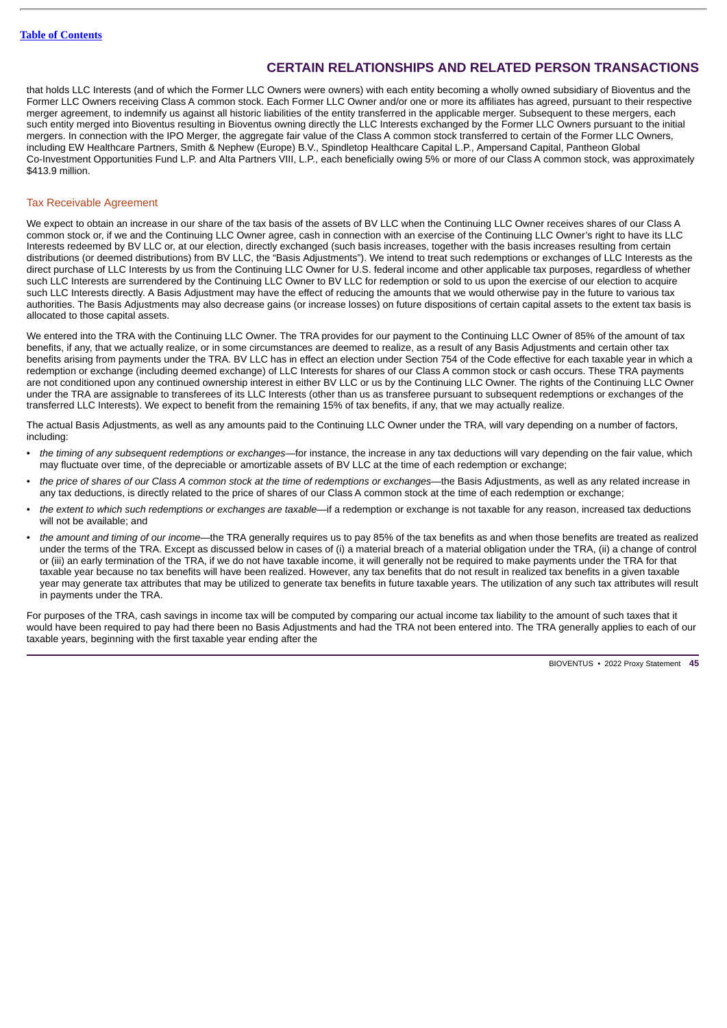that holds LLC Interests (and of which the Former LLC Owners were owners) with each entity becoming a wholly owned subsidiary of Bioventus and the Former LLC Owners receiving Class A common stock. Each Former LLC Owner and/or one or more its affiliates has agreed, pursuant to their respective merger agreement, to indemnify us against all historic liabilities of the entity transferred in the applicable merger. Subsequent to these mergers, each such entity merged into Bioventus resulting in Bioventus owning directly the LLC Interests exchanged by the Former LLC Owners pursuant to the initial mergers. In connection with the IPO Merger, the aggregate fair value of the Class A common stock transferred to certain of the Former LLC Owners, including EW Healthcare Partners, Smith & Nephew (Europe) B.V., Spindletop Healthcare Capital L.P., Ampersand Capital, Pantheon Global Co-Investment Opportunities Fund L.P. and Alta Partners VIII, L.P., each beneficially owing 5% or more of our Class A common stock, was approximately \$413.9 million.

# Tax Receivable Agreement

We expect to obtain an increase in our share of the tax basis of the assets of BV LLC when the Continuing LLC Owner receives shares of our Class A common stock or, if we and the Continuing LLC Owner agree, cash in connection with an exercise of the Continuing LLC Owner's right to have its LLC Interests redeemed by BV LLC or, at our election, directly exchanged (such basis increases, together with the basis increases resulting from certain distributions (or deemed distributions) from BV LLC, the "Basis Adjustments"). We intend to treat such redemptions or exchanges of LLC Interests as the direct purchase of LLC Interests by us from the Continuing LLC Owner for U.S. federal income and other applicable tax purposes, regardless of whether such LLC Interests are surrendered by the Continuing LLC Owner to BV LLC for redemption or sold to us upon the exercise of our election to acquire such LLC Interests directly. A Basis Adjustment may have the effect of reducing the amounts that we would otherwise pay in the future to various tax authorities. The Basis Adjustments may also decrease gains (or increase losses) on future dispositions of certain capital assets to the extent tax basis is allocated to those capital assets.

We entered into the TRA with the Continuing LLC Owner. The TRA provides for our payment to the Continuing LLC Owner of 85% of the amount of tax benefits, if any, that we actually realize, or in some circumstances are deemed to realize, as a result of any Basis Adjustments and certain other tax benefits arising from payments under the TRA. BV LLC has in effect an election under Section 754 of the Code effective for each taxable year in which a redemption or exchange (including deemed exchange) of LLC Interests for shares of our Class A common stock or cash occurs. These TRA payments are not conditioned upon any continued ownership interest in either BV LLC or us by the Continuing LLC Owner. The rights of the Continuing LLC Owner under the TRA are assignable to transferees of its LLC Interests (other than us as transferee pursuant to subsequent redemptions or exchanges of the transferred LLC Interests). We expect to benefit from the remaining 15% of tax benefits, if any, that we may actually realize.

The actual Basis Adjustments, as well as any amounts paid to the Continuing LLC Owner under the TRA, will vary depending on a number of factors, including:

- *the timing of any subsequent redemptions or exchanges—*for instance, the increase in any tax deductions will vary depending on the fair value, which may fluctuate over time, of the depreciable or amortizable assets of BV LLC at the time of each redemption or exchange;
- *the price of shares of our Class A common stock at the time of redemptions or exchanges*—the Basis Adjustments, as well as any related increase in any tax deductions, is directly related to the price of shares of our Class A common stock at the time of each redemption or exchange;
- *the extent to which such redemptions or exchanges are taxable—*if a redemption or exchange is not taxable for any reason, increased tax deductions will not be available; and
- *the amount and timing of our income—*the TRA generally requires us to pay 85% of the tax benefits as and when those benefits are treated as realized under the terms of the TRA. Except as discussed below in cases of (i) a material breach of a material obligation under the TRA, (ii) a change of control or (iii) an early termination of the TRA, if we do not have taxable income, it will generally not be required to make payments under the TRA for that taxable year because no tax benefits will have been realized. However, any tax benefits that do not result in realized tax benefits in a given taxable year may generate tax attributes that may be utilized to generate tax benefits in future taxable years. The utilization of any such tax attributes will result in payments under the TRA.

For purposes of the TRA, cash savings in income tax will be computed by comparing our actual income tax liability to the amount of such taxes that it would have been required to pay had there been no Basis Adjustments and had the TRA not been entered into. The TRA generally applies to each of our taxable years, beginning with the first taxable year ending after the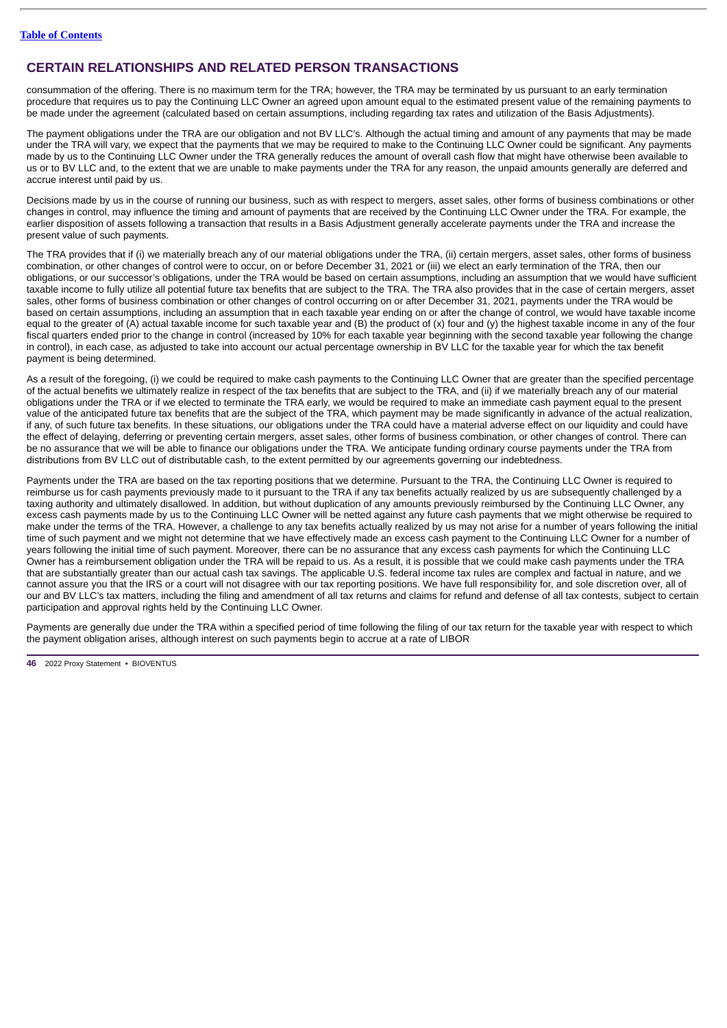consummation of the offering. There is no maximum term for the TRA; however, the TRA may be terminated by us pursuant to an early termination procedure that requires us to pay the Continuing LLC Owner an agreed upon amount equal to the estimated present value of the remaining payments to be made under the agreement (calculated based on certain assumptions, including regarding tax rates and utilization of the Basis Adjustments).

The payment obligations under the TRA are our obligation and not BV LLC's. Although the actual timing and amount of any payments that may be made under the TRA will vary, we expect that the payments that we may be required to make to the Continuing LLC Owner could be significant. Any payments made by us to the Continuing LLC Owner under the TRA generally reduces the amount of overall cash flow that might have otherwise been available to us or to BV LLC and, to the extent that we are unable to make payments under the TRA for any reason, the unpaid amounts generally are deferred and accrue interest until paid by us.

Decisions made by us in the course of running our business, such as with respect to mergers, asset sales, other forms of business combinations or other changes in control, may influence the timing and amount of payments that are received by the Continuing LLC Owner under the TRA. For example, the earlier disposition of assets following a transaction that results in a Basis Adjustment generally accelerate payments under the TRA and increase the present value of such payments.

The TRA provides that if (i) we materially breach any of our material obligations under the TRA, (ii) certain mergers, asset sales, other forms of business combination, or other changes of control were to occur, on or before December 31, 2021 or (iii) we elect an early termination of the TRA, then our obligations, or our successor's obligations, under the TRA would be based on certain assumptions, including an assumption that we would have sufficient taxable income to fully utilize all potential future tax benefits that are subject to the TRA. The TRA also provides that in the case of certain mergers, asset sales, other forms of business combination or other changes of control occurring on or after December 31, 2021, payments under the TRA would be based on certain assumptions, including an assumption that in each taxable year ending on or after the change of control, we would have taxable income equal to the greater of (A) actual taxable income for such taxable year and (B) the product of (x) four and (y) the highest taxable income in any of the four fiscal quarters ended prior to the change in control (increased by 10% for each taxable year beginning with the second taxable year following the change in control), in each case, as adjusted to take into account our actual percentage ownership in BV LLC for the taxable year for which the tax benefit payment is being determined.

As a result of the foregoing, (i) we could be required to make cash payments to the Continuing LLC Owner that are greater than the specified percentage of the actual benefits we ultimately realize in respect of the tax benefits that are subject to the TRA, and (ii) if we materially breach any of our material obligations under the TRA or if we elected to terminate the TRA early, we would be required to make an immediate cash payment equal to the present value of the anticipated future tax benefits that are the subject of the TRA, which payment may be made significantly in advance of the actual realization, if any, of such future tax benefits. In these situations, our obligations under the TRA could have a material adverse effect on our liquidity and could have the effect of delaying, deferring or preventing certain mergers, asset sales, other forms of business combination, or other changes of control. There can be no assurance that we will be able to finance our obligations under the TRA. We anticipate funding ordinary course payments under the TRA from distributions from BV LLC out of distributable cash, to the extent permitted by our agreements governing our indebtedness.

Payments under the TRA are based on the tax reporting positions that we determine. Pursuant to the TRA, the Continuing LLC Owner is required to reimburse us for cash payments previously made to it pursuant to the TRA if any tax benefits actually realized by us are subsequently challenged by a taxing authority and ultimately disallowed. In addition, but without duplication of any amounts previously reimbursed by the Continuing LLC Owner, any excess cash payments made by us to the Continuing LLC Owner will be netted against any future cash payments that we might otherwise be required to make under the terms of the TRA. However, a challenge to any tax benefits actually realized by us may not arise for a number of years following the initial time of such payment and we might not determine that we have effectively made an excess cash payment to the Continuing LLC Owner for a number of years following the initial time of such payment. Moreover, there can be no assurance that any excess cash payments for which the Continuing LLC Owner has a reimbursement obligation under the TRA will be repaid to us. As a result, it is possible that we could make cash payments under the TRA that are substantially greater than our actual cash tax savings. The applicable U.S. federal income tax rules are complex and factual in nature, and we cannot assure you that the IRS or a court will not disagree with our tax reporting positions. We have full responsibility for, and sole discretion over, all of our and BV LLC's tax matters, including the filing and amendment of all tax returns and claims for refund and defense of all tax contests, subject to certain participation and approval rights held by the Continuing LLC Owner.

Payments are generally due under the TRA within a specified period of time following the filing of our tax return for the taxable year with respect to which the payment obligation arises, although interest on such payments begin to accrue at a rate of LIBOR

**<sup>46</sup>** 2022 Proxy Statement • BIOVENTUS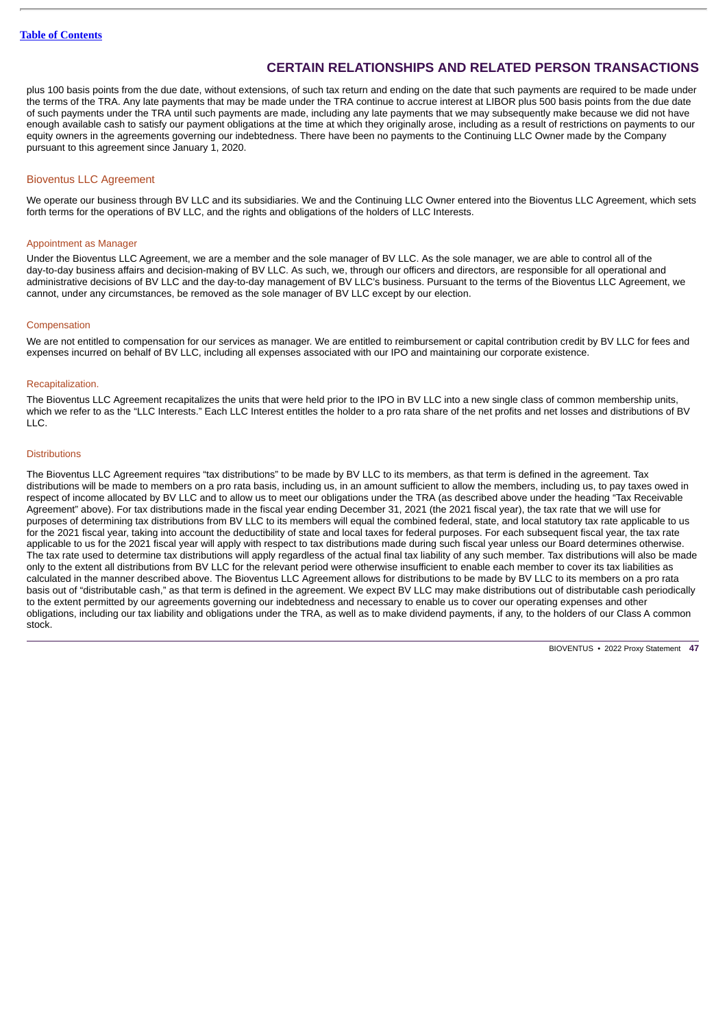plus 100 basis points from the due date, without extensions, of such tax return and ending on the date that such payments are required to be made under the terms of the TRA. Any late payments that may be made under the TRA continue to accrue interest at LIBOR plus 500 basis points from the due date of such payments under the TRA until such payments are made, including any late payments that we may subsequently make because we did not have enough available cash to satisfy our payment obligations at the time at which they originally arose, including as a result of restrictions on payments to our equity owners in the agreements governing our indebtedness. There have been no payments to the Continuing LLC Owner made by the Company pursuant to this agreement since January 1, 2020.

# Bioventus LLC Agreement

We operate our business through BV LLC and its subsidiaries. We and the Continuing LLC Owner entered into the Bioventus LLC Agreement, which sets forth terms for the operations of BV LLC, and the rights and obligations of the holders of LLC Interests.

### Appointment as Manager

Under the Bioventus LLC Agreement, we are a member and the sole manager of BV LLC. As the sole manager, we are able to control all of the day-to-day business affairs and decision-making of BV LLC. As such, we, through our officers and directors, are responsible for all operational and administrative decisions of BV LLC and the day-to-day management of BV LLC's business. Pursuant to the terms of the Bioventus LLC Agreement, we cannot, under any circumstances, be removed as the sole manager of BV LLC except by our election.

### Compensation

We are not entitled to compensation for our services as manager. We are entitled to reimbursement or capital contribution credit by BV LLC for fees and expenses incurred on behalf of BV LLC, including all expenses associated with our IPO and maintaining our corporate existence.

### Recapitalization.

The Bioventus LLC Agreement recapitalizes the units that were held prior to the IPO in BV LLC into a new single class of common membership units, which we refer to as the "LLC Interests." Each LLC Interest entitles the holder to a pro rata share of the net profits and net losses and distributions of BV  $ILC.$ 

### **Distributions**

The Bioventus LLC Agreement requires "tax distributions" to be made by BV LLC to its members, as that term is defined in the agreement. Tax distributions will be made to members on a pro rata basis, including us, in an amount sufficient to allow the members, including us, to pay taxes owed in respect of income allocated by BV LLC and to allow us to meet our obligations under the TRA (as described above under the heading "Tax Receivable Agreement" above). For tax distributions made in the fiscal year ending December 31, 2021 (the 2021 fiscal year), the tax rate that we will use for purposes of determining tax distributions from BV LLC to its members will equal the combined federal, state, and local statutory tax rate applicable to us for the 2021 fiscal year, taking into account the deductibility of state and local taxes for federal purposes. For each subsequent fiscal year, the tax rate applicable to us for the 2021 fiscal year will apply with respect to tax distributions made during such fiscal year unless our Board determines otherwise. The tax rate used to determine tax distributions will apply regardless of the actual final tax liability of any such member. Tax distributions will also be made only to the extent all distributions from BV LLC for the relevant period were otherwise insufficient to enable each member to cover its tax liabilities as calculated in the manner described above. The Bioventus LLC Agreement allows for distributions to be made by BV LLC to its members on a pro rata basis out of "distributable cash," as that term is defined in the agreement. We expect BV LLC may make distributions out of distributable cash periodically to the extent permitted by our agreements governing our indebtedness and necessary to enable us to cover our operating expenses and other obligations, including our tax liability and obligations under the TRA, as well as to make dividend payments, if any, to the holders of our Class A common stock.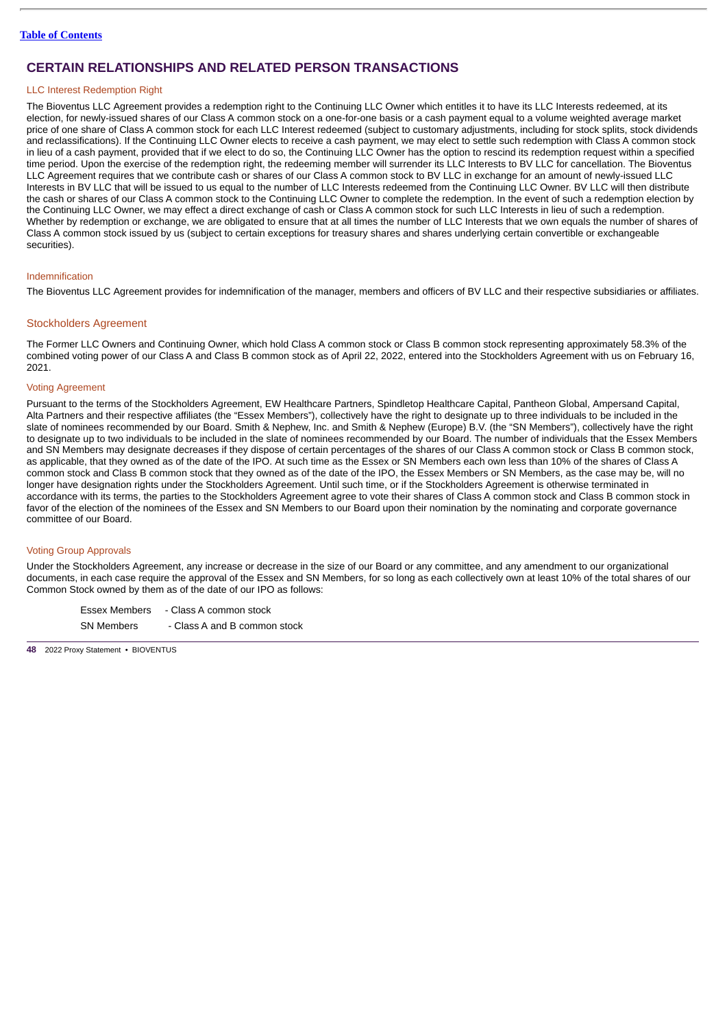# LLC Interest Redemption Right

The Bioventus LLC Agreement provides a redemption right to the Continuing LLC Owner which entitles it to have its LLC Interests redeemed, at its election, for newly-issued shares of our Class A common stock on a one-for-one basis or a cash payment equal to a volume weighted average market price of one share of Class A common stock for each LLC Interest redeemed (subject to customary adjustments, including for stock splits, stock dividends and reclassifications). If the Continuing LLC Owner elects to receive a cash payment, we may elect to settle such redemption with Class A common stock in lieu of a cash payment, provided that if we elect to do so, the Continuing LLC Owner has the option to rescind its redemption request within a specified time period. Upon the exercise of the redemption right, the redeeming member will surrender its LLC Interests to BV LLC for cancellation. The Bioventus LLC Agreement requires that we contribute cash or shares of our Class A common stock to BV LLC in exchange for an amount of newly-issued LLC Interests in BV LLC that will be issued to us equal to the number of LLC Interests redeemed from the Continuing LLC Owner. BV LLC will then distribute the cash or shares of our Class A common stock to the Continuing LLC Owner to complete the redemption. In the event of such a redemption election by the Continuing LLC Owner, we may effect a direct exchange of cash or Class A common stock for such LLC Interests in lieu of such a redemption. Whether by redemption or exchange, we are obligated to ensure that at all times the number of LLC Interests that we own equals the number of shares of Class A common stock issued by us (subject to certain exceptions for treasury shares and shares underlying certain convertible or exchangeable securities).

#### Indemnification

The Bioventus LLC Agreement provides for indemnification of the manager, members and officers of BV LLC and their respective subsidiaries or affiliates.

### Stockholders Agreement

The Former LLC Owners and Continuing Owner, which hold Class A common stock or Class B common stock representing approximately 58.3% of the combined voting power of our Class A and Class B common stock as of April 22, 2022, entered into the Stockholders Agreement with us on February 16, 2021.

#### Voting Agreement

Pursuant to the terms of the Stockholders Agreement, EW Healthcare Partners, Spindletop Healthcare Capital, Pantheon Global, Ampersand Capital, Alta Partners and their respective affiliates (the "Essex Members"), collectively have the right to designate up to three individuals to be included in the slate of nominees recommended by our Board. Smith & Nephew, Inc. and Smith & Nephew (Europe) B.V. (the "SN Members"), collectively have the right to designate up to two individuals to be included in the slate of nominees recommended by our Board. The number of individuals that the Essex Members and SN Members may designate decreases if they dispose of certain percentages of the shares of our Class A common stock or Class B common stock, as applicable, that they owned as of the date of the IPO. At such time as the Essex or SN Members each own less than 10% of the shares of Class A common stock and Class B common stock that they owned as of the date of the IPO, the Essex Members or SN Members, as the case may be, will no longer have designation rights under the Stockholders Agreement. Until such time, or if the Stockholders Agreement is otherwise terminated in accordance with its terms, the parties to the Stockholders Agreement agree to vote their shares of Class A common stock and Class B common stock in favor of the election of the nominees of the Essex and SN Members to our Board upon their nomination by the nominating and corporate governance committee of our Board.

#### Voting Group Approvals

Under the Stockholders Agreement, any increase or decrease in the size of our Board or any committee, and any amendment to our organizational documents, in each case require the approval of the Essex and SN Members, for so long as each collectively own at least 10% of the total shares of our Common Stock owned by them as of the date of our IPO as follows:

Essex Members - Class A common stock  $SN$  Members  $\overline{S}$  Class A and B common stock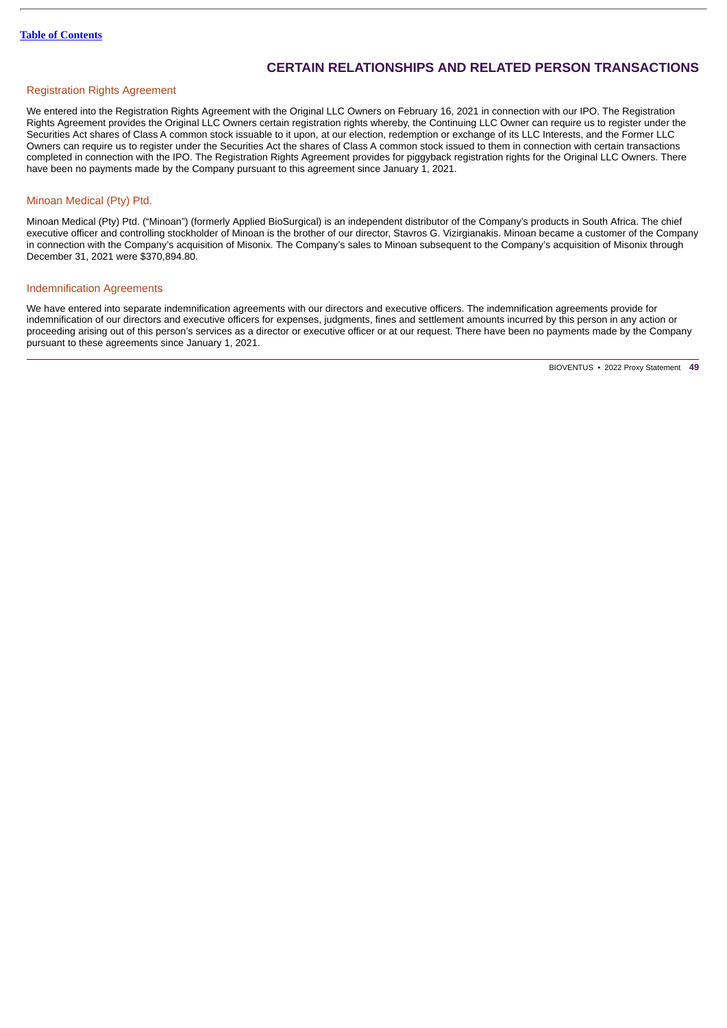# Registration Rights Agreement

We entered into the Registration Rights Agreement with the Original LLC Owners on February 16, 2021 in connection with our IPO. The Registration Rights Agreement provides the Original LLC Owners certain registration rights whereby, the Continuing LLC Owner can require us to register under the Securities Act shares of Class A common stock issuable to it upon, at our election, redemption or exchange of its LLC Interests, and the Former LLC Owners can require us to register under the Securities Act the shares of Class A common stock issued to them in connection with certain transactions completed in connection with the IPO. The Registration Rights Agreement provides for piggyback registration rights for the Original LLC Owners. There have been no payments made by the Company pursuant to this agreement since January 1, 2021.

### Minoan Medical (Pty) Ptd.

Minoan Medical (Pty) Ptd. ("Minoan") (formerly Applied BioSurgical) is an independent distributor of the Company's products in South Africa. The chief executive officer and controlling stockholder of Minoan is the brother of our director, Stavros G. Vizirgianakis. Minoan became a customer of the Company in connection with the Company's acquisition of Misonix. The Company's sales to Minoan subsequent to the Company's acquisition of Misonix through December 31, 2021 were \$370,894.80.

# Indemnification Agreements

We have entered into separate indemnification agreements with our directors and executive officers. The indemnification agreements provide for indemnification of our directors and executive officers for expenses, judgments, fines and settlement amounts incurred by this person in any action or proceeding arising out of this person's services as a director or executive officer or at our request. There have been no payments made by the Company pursuant to these agreements since January 1, 2021.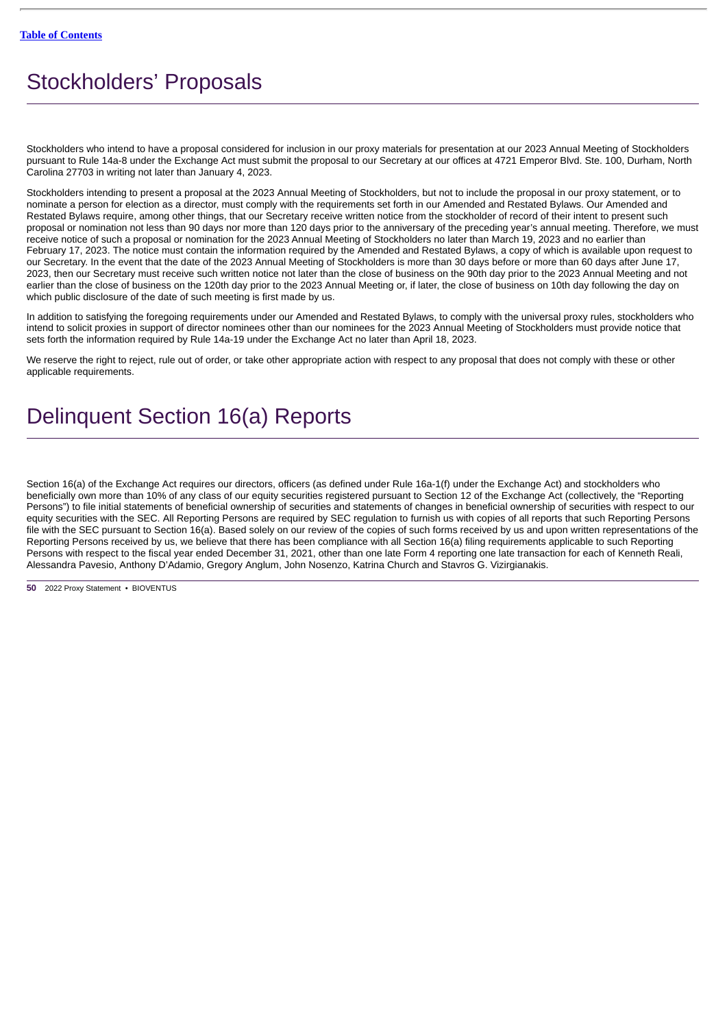# <span id="page-53-0"></span>Stockholders' Proposals

Stockholders who intend to have a proposal considered for inclusion in our proxy materials for presentation at our 2023 Annual Meeting of Stockholders pursuant to Rule 14a-8 under the Exchange Act must submit the proposal to our Secretary at our offices at 4721 Emperor Blvd. Ste. 100, Durham, North Carolina 27703 in writing not later than January 4, 2023.

Stockholders intending to present a proposal at the 2023 Annual Meeting of Stockholders, but not to include the proposal in our proxy statement, or to nominate a person for election as a director, must comply with the requirements set forth in our Amended and Restated Bylaws. Our Amended and Restated Bylaws require, among other things, that our Secretary receive written notice from the stockholder of record of their intent to present such proposal or nomination not less than 90 days nor more than 120 days prior to the anniversary of the preceding year's annual meeting. Therefore, we must receive notice of such a proposal or nomination for the 2023 Annual Meeting of Stockholders no later than March 19, 2023 and no earlier than February 17, 2023. The notice must contain the information required by the Amended and Restated Bylaws, a copy of which is available upon request to our Secretary. In the event that the date of the 2023 Annual Meeting of Stockholders is more than 30 days before or more than 60 days after June 17, 2023, then our Secretary must receive such written notice not later than the close of business on the 90th day prior to the 2023 Annual Meeting and not earlier than the close of business on the 120th day prior to the 2023 Annual Meeting or, if later, the close of business on 10th day following the day on which public disclosure of the date of such meeting is first made by us.

In addition to satisfying the foregoing requirements under our Amended and Restated Bylaws, to comply with the universal proxy rules, stockholders who intend to solicit proxies in support of director nominees other than our nominees for the 2023 Annual Meeting of Stockholders must provide notice that sets forth the information required by Rule 14a-19 under the Exchange Act no later than April 18, 2023.

We reserve the right to reject, rule out of order, or take other appropriate action with respect to any proposal that does not comply with these or other applicable requirements.

# Delinquent Section 16(a) Reports

Section 16(a) of the Exchange Act requires our directors, officers (as defined under Rule 16a-1(f) under the Exchange Act) and stockholders who beneficially own more than 10% of any class of our equity securities registered pursuant to Section 12 of the Exchange Act (collectively, the "Reporting Persons") to file initial statements of beneficial ownership of securities and statements of changes in beneficial ownership of securities with respect to our equity securities with the SEC. All Reporting Persons are required by SEC regulation to furnish us with copies of all reports that such Reporting Persons file with the SEC pursuant to Section 16(a). Based solely on our review of the copies of such forms received by us and upon written representations of the Reporting Persons received by us, we believe that there has been compliance with all Section 16(a) filing requirements applicable to such Reporting Persons with respect to the fiscal year ended December 31, 2021, other than one late Form 4 reporting one late transaction for each of Kenneth Reali, Alessandra Pavesio, Anthony D'Adamio, Gregory Anglum, John Nosenzo, Katrina Church and Stavros G. Vizirgianakis.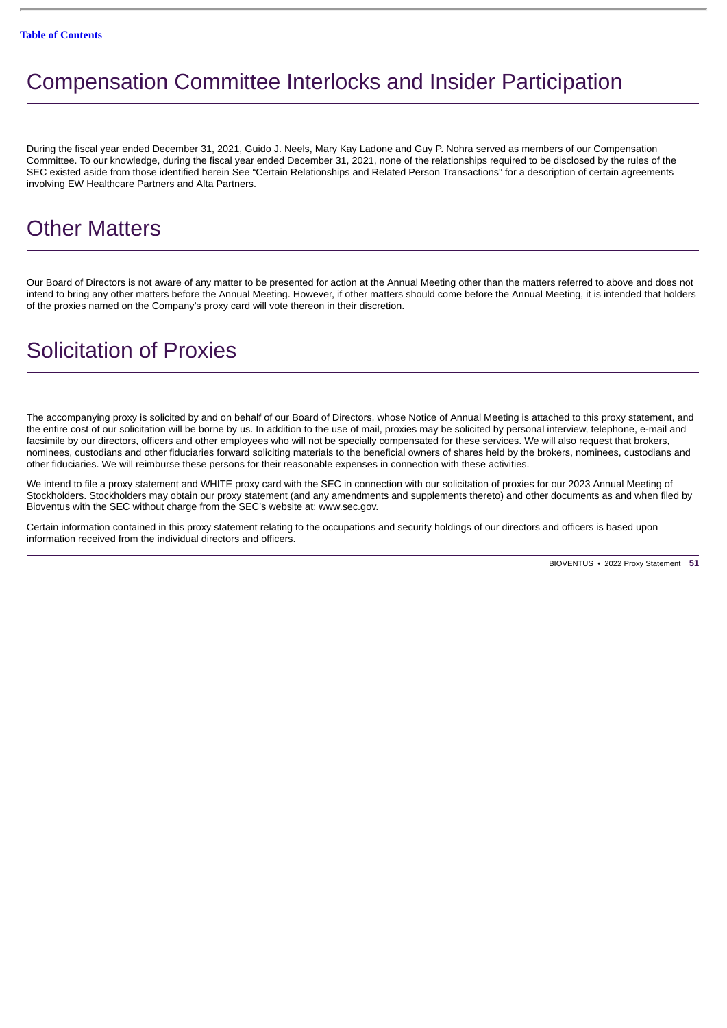# <span id="page-54-0"></span>Compensation Committee Interlocks and Insider Participation

During the fiscal year ended December 31, 2021, Guido J. Neels, Mary Kay Ladone and Guy P. Nohra served as members of our Compensation Committee. To our knowledge, during the fiscal year ended December 31, 2021, none of the relationships required to be disclosed by the rules of the SEC existed aside from those identified herein See "Certain Relationships and Related Person Transactions" for a description of certain agreements involving EW Healthcare Partners and Alta Partners.

# <span id="page-54-1"></span>Other Matters

Our Board of Directors is not aware of any matter to be presented for action at the Annual Meeting other than the matters referred to above and does not intend to bring any other matters before the Annual Meeting. However, if other matters should come before the Annual Meeting, it is intended that holders of the proxies named on the Company's proxy card will vote thereon in their discretion.

# <span id="page-54-2"></span>Solicitation of Proxies

The accompanying proxy is solicited by and on behalf of our Board of Directors, whose Notice of Annual Meeting is attached to this proxy statement, and the entire cost of our solicitation will be borne by us. In addition to the use of mail, proxies may be solicited by personal interview, telephone, e-mail and facsimile by our directors, officers and other employees who will not be specially compensated for these services. We will also request that brokers, nominees, custodians and other fiduciaries forward soliciting materials to the beneficial owners of shares held by the brokers, nominees, custodians and other fiduciaries. We will reimburse these persons for their reasonable expenses in connection with these activities.

We intend to file a proxy statement and WHITE proxy card with the SEC in connection with our solicitation of proxies for our 2023 Annual Meeting of Stockholders. Stockholders may obtain our proxy statement (and any amendments and supplements thereto) and other documents as and when filed by Bioventus with the SEC without charge from the SEC's website at: www.sec.gov.

Certain information contained in this proxy statement relating to the occupations and security holdings of our directors and officers is based upon information received from the individual directors and officers.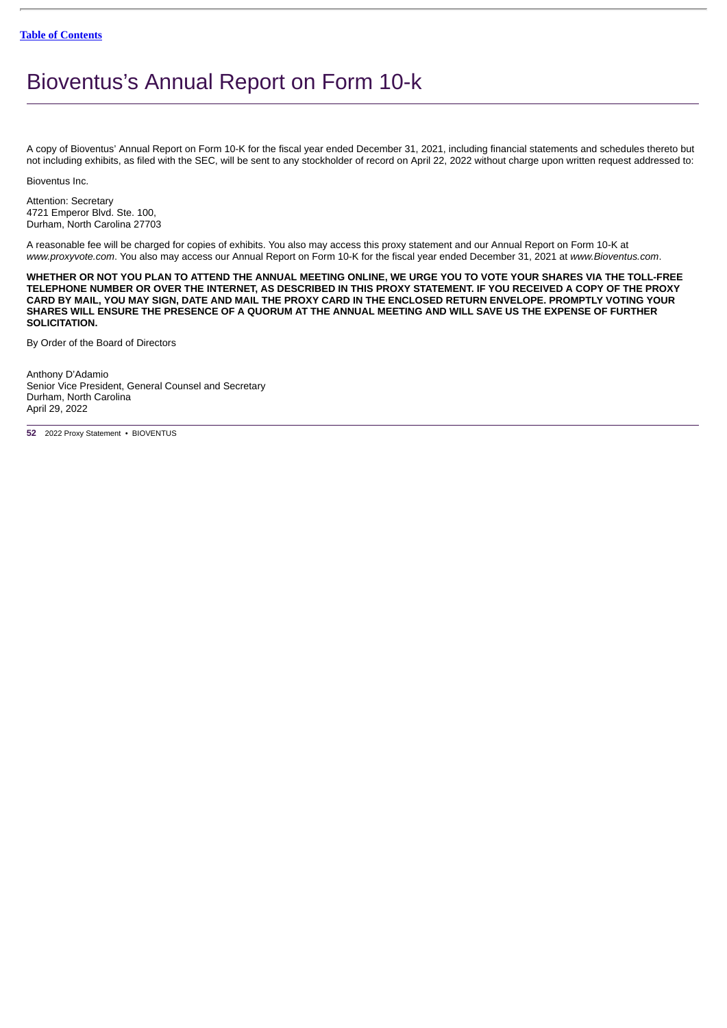# <span id="page-55-0"></span>Bioventus's Annual Report on Form 10-k

A copy of Bioventus' Annual Report on Form 10-K for the fiscal year ended December 31, 2021, including financial statements and schedules thereto but not including exhibits, as filed with the SEC, will be sent to any stockholder of record on April 22, 2022 without charge upon written request addressed to:

Bioventus Inc.

Attention: Secretary 4721 Emperor Blvd. Ste. 100, Durham, North Carolina 27703

A reasonable fee will be charged for copies of exhibits. You also may access this proxy statement and our Annual Report on Form 10-K at *www.proxyvote.com*. You also may access our Annual Report on Form 10-K for the fiscal year ended December 31, 2021 at *www.Bioventus.com*.

**WHETHER OR NOT YOU PLAN TO ATTEND THE ANNUAL MEETING ONLINE, WE URGE YOU TO VOTE YOUR SHARES VIA THE TOLL-FREE TELEPHONE NUMBER OR OVER THE INTERNET, AS DESCRIBED IN THIS PROXY STATEMENT. IF YOU RECEIVED A COPY OF THE PROXY CARD BY MAIL, YOU MAY SIGN, DATE AND MAIL THE PROXY CARD IN THE ENCLOSED RETURN ENVELOPE. PROMPTLY VOTING YOUR SHARES WILL ENSURE THE PRESENCE OF A QUORUM AT THE ANNUAL MEETING AND WILL SAVE US THE EXPENSE OF FURTHER SOLICITATION.**

By Order of the Board of Directors

Anthony D'Adamio Senior Vice President, General Counsel and Secretary Durham, North Carolina April 29, 2022